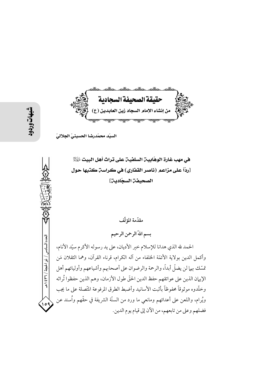حقيقة الصحيفة السجادية من إنشاء الإمام السجاد زين العابدين (ع) <u>stadiotes</u>

السيّد محمّدرضا الحسينيّ الجلاليّ

هي مهب غارة الوهّابيـن السلفيـن على تراث أهل البيت  $\mathbb{R}$ [ردّاً على مزاعم (ناصر القفاري) في كراسة كتبها حول الصحيفة السجّادية]

مقدّمة المؤلّف

بسم اللهّ الرحمن الرحيم

الحمد لله الذي هدانا للإسلام خير الأديان، على يد رسوله الأكرم سيّد الأنام، وأكمل الدين بولاية الأئمّة الخلفاء من آله الكرام، قرناء القرآن، وهما الثقلان مَن تمسَّك بهما لن يضلُّ أبداً، والرحمة والرضوان على أصحابهم وأشياعهم وأوليائهم أهل الإيهان الذين على عواتقهم حفظ الدين الحقّ طول الأزمان، وهم الذين حفظوا تُراثه وخلَّدوه موثوقاً محفوظاً بأثبت الأسانيد وأضبط الطرق المرفوعة المتَّصلة على ما يجب ويُرام، واللعن على أعدائهم ومانعي ما ورد من السنَّة الشريفة في حقَّهم واُسند عن فضلهم وعلى من تابعهم، من الآن إلى قيام يوم الدين.

العدد السادس / ذو الحجة / ٣٦ / ٤٣٩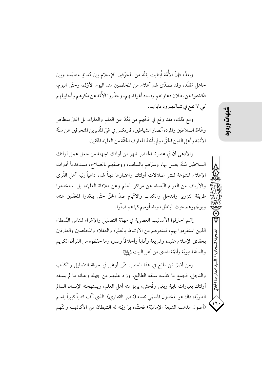وبعدُ، فإنَّ الأُمَّة أُبتليت بثلَّة من المحرِّفين للإسلام بين مُعاندٍ متعمَّد، وبين جاهل مُقلَّد، وقد تصدَّى لهم أعلام من المخلصين منذ اليوم الأوَّل، وحتَّى اليوم، فكشفوا عن بطلان دعاواهم وفساد أغراضهم، وحذَّروا الأُمَّة عن مكرهم وأحابيلهم كي لا تقع في شباكهم ودعاياتهم.

ومع ذلك، فقد وقع في فخَّهم من بَعُدَ عن العلم والعلماء، بل اغترَّ بمظاهر وعَّاظ السلاطين والمردة أنصار الشياطين، فارتكس في غيِّ المُدبرين المنحرفين عن سنَّة الأئمّة وأهل الدين الحقّ، ولم يأخذ المعارف الحقّة من العلماء المتّقين.

والأدهي أنَّ في عصرنا الحاضر ظهر من أولئك الجهلة من جعل عمل أولئك السلاطين سُنَّة يعمل بها، وسمَّاهم بالسلف، ووصفهم بالصلاح، مستخدماً أدوات الإعلام المتنوّعة لنشر ضلالات أولئك واعتبارها ديناً لهم، داعياً إليه أهل القُرى والأرياف من العوامِّ البُعداء عن مراكز العلم وعن ملاقاة العلماء، بل استخدموا طريقة التزوير والدخل والكذب والاتّهام ضدّ الحقّ حتّى يبعّدوا المغفّلين عنه، ويوجّهوهم حيث الباطل، ويضلّونهم كما هم ضلّوا.

إنَّهم احترفوا الأساليب العصرية في مهمَّة التضليل والإغراء للناس البُسطاء الذين استفردوا بهم، فمنعوهم من الارتباط بالعلماء والعقلاء والمخلصين والعارفين بحقائق الإسلام عقيدة وشريعة وآداباً وأخلاقاً وسيرة وما حفظوه من القرآن الكريم والسنَّة النبويَّة وأئمَّة الهدى من أهل البيت لِلسَّلاثِ .

ومن أضرِّ مَن طلعٍ في هذا العصر، ممَّن أوغل في حرفة التضليل والكذب والدجل، فجمع ما كدَّسه سلفه الطالح، وزاد عليهم من جهله وغبائه ما لم يسبقه أولئك بعبارات نابية وبغى وفُحش، يربؤ منه أهل العلم، ويستهجنه الإنسان السالم الطويَّة، ذاك هو المخذول المسمَّى نفسه (ناصر القفاري) الذي ألَّف كتاباً كبيراً باسم (أصول مذهب الشيعة الإماميّة) فحشّاه ببا زيّنه له الشيطان من الأكاذيب والتّهم

医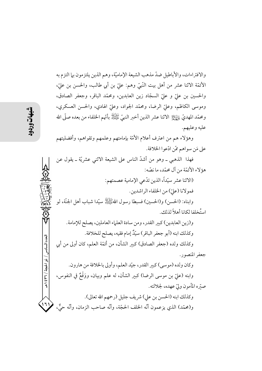والافتراءات، والأباطيل ضدّ مذهب الشيعة الإماميّة، وهم الذين يلتزمون بها التزم به الأئمَّة الاثنا عشر من أهل بيت النَّبيِّ وهم: عليّ بن أبي طالب، والحسن بن عليّ، والحسين بن عليٍّ و عليٍّ السجَّاد زين العابدين، ومحمَّد الباقر، وجعفر الصادق، وموسى الكاظم، وعليّ الرضا، ومحمّد الجواد، وعليّ الهادي، والحسن العسكري، ومحمَّد المهديُّ ٳإِيَّالِٱ الاثنا عشر الذين أخبر النبيِّ ﷺ بأنَّهم الخلفاء من بعده صلَّى الله عليه وعليهم.

وهؤلاء هم من اعترف أعلام الأمّة بإمامتهم وعلمهم وتقواهم، وأفضليتهم على مَن سواهم ممّن ادّعوا الخلافة.

فهذا الذهبي ـ وهو من أشدَّ الناس على الشيعة الاثني عشريَّة ـ يقول عن هؤ لاء الأئمّة من آل محمّد، ما نصّه:

> (الاثنا عشر سيّداً، الذين تدّعي الإمامية عصمتهم: فمو لانا (عليّ) من الخلفاء الراشدين.

وابناه: (الحسن) و(الحسين) فسبطا رسول اللهُﷺ سيّدا شباب أهل الجنّة، لو استُخلفا لكانا أهلاً لذلك.

و(زين العابدين) كبير القدر، ومن سادة العلماء العاملين، يصلح للإمامة. وكذلك ابنه (أبو جعفر الباقر) سيّلٌ إمام فقيه، يصلح للخلافة. وكذلك ولده (جعفر الصادق) كبير الشأن، من أئمّة العلم، كان أولى من أبي جعفر المنصور . وكان ولده (موسى) كبير القدر، جيّد العلم، وأولى بالخلافة من هارون. وابنه (عليّ بن موسى الرضا) كبير الشأن، له علم وبيان، ووَقْعٌ في النفوس، صتره المأمون وليّ عهده، لجلالته. وكذلك ابنه (الحسن بن على) شريف جليل (رحمهم الله تعالى).  $(7)$ و(محمّد) الذي يزعمون أنّه الحلف الحجّة، وأنّه صاحب الزمان، وأنّه حيٌّ،

العدد السادس / ذو الحجة / ٣٦٦ هـ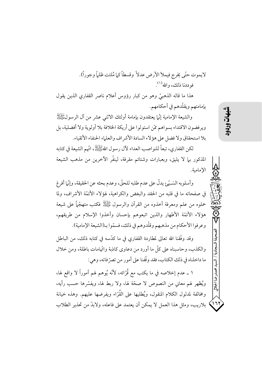لايموت حتَّى يَخرج فيملأ الأرض عدلاً وقسطاً كما مُلئت ظلماً وجوراً). فوددنا ذلك، والله ( ا).

هذا ما قاله الذهبيّ وهو من كبار رؤوس أعلام ناصر القفارى الذين يقول بإمامتهم ويقلّدهم في أحكامهم.

والشيعة الإمامية إنَّما يعتقدون بإمامة أولئك الاثني عشر من آل الرسولﷺ وير فضون الاقتداء بسواهم ممّن استولوا على أريكة الخلافة بلا أولوية ولا أفضلية، بل بلا استحقاق ولا فضل على هؤلاء السادة الأشر اف والعلياء الحنفاء الأتقياء.

لكن القفاري، تبعاً للنواصب العداء لآل رسول اللهُﷺ، اتَّهم الشَّيخال اللهُ عَلَيْهِ السَّمِعة في كتابه المذكور بها لا يليق، وبعبارات وشتائم مقرفة، لينفّر الآخرين من مذهب الشيعة الإمامية.

وأسلوبه السَّـيّع يدلّ على عدم طلبه للحقّ، وعدم بحثه عن الحقيقة، وإنّما أفرغ في صفحاته ما في قلبه من الحقد والبغض والكراهية، لهؤلاء الأئمَّة الأشراف، ولما حملوه من علم ومعرفة أخذوه من القرآن والرسول ﷺ فكتب متهجَّماً على شيعة هؤلاء الأئمَّة الأطهار والذين اتبعوهم بإحسان وأخذوا الإسلام من طريقهم، وعرفوا الأحكام من مذهبهم وقلَّدوهم في ذلك، فسمَّوا بـ(الشيعة الإمامية).

وقد وفَّقنا الله تعالى لمطاردة القفاري في ما كدَّسه في كتابه ذلك، من الباطل والكذب، وحاسبناه على كلِّ ما أورد من دعاوى كاذبة واتَّهامات باطلة، ومن خلال ما داخلناه في ذلك الكتاب، فقد وقَّفنا على أمور من تصرَّ فاته، وهي:

١ ــ عدم إخلاصه في ما يكتب مع قُرَّائه، لأنَّه يُوهم لهم أموراً لا واقع لها، ويُظهر لهم معاني من النصوص لا صحَّة لها، ولا ربط لها، ويفسَّرها حسب رأيه، ومخالفة لمدلول الكلام المنقول، ويُطليها على القُرّاء ويفرضها عليهم. وهذه خيانة بلاريب، ومثل هذا العمل لا يمكن أن يعتمد على فاعله، ولابدَّ من تحذير الطلاب

۱٦۱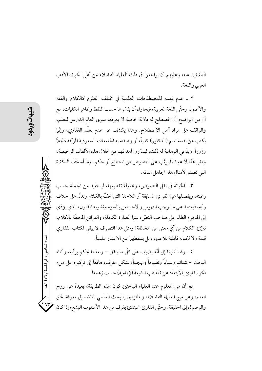الناشئين عنه، وعليهم أن يراجعوا في ذلك العلماء الفضلاء من أهل الخبرة بالأدب العربي واللغة.

٢ \_ عدم فهمه للمصطلحات العلمية في مختلف العلوم كالكلام والفقه والأصول وحتَّى اللغة العربية، فيحاول أن يفسِّر ها حسب اللفظ وظاهر الكليات، مع أن من الواضح أن المصطلح له دلالة خاصة لا يعرفها سوى العالم الدارس للعلم، والواقف على مراد أهل الاصطلاح. وهذا يكشف عن عدم تعلُّم القفارى، وإنَّما يكتب عن نفسه اسم (الدكتور) كذباً، أو وصفته به الجامعات السعودية المزيّفة دَجَلاً ۖ وزوراً. ويدَّعي الوهابية له ذلك، ليمرِّ روا أهدافهم من خلال هذه الألقاب الرخيصة، ومثل هذا لا عبرة لما يرتَّب على النصوص من استنتاج أو حكم. وما أسخف الدكترة التي تصدر لأمثال هذا الجاهل التافه.

٣ ـ الخيانة في نقل النصوص، ومحاولة تقطيعها، ليستفيد من الجملة حسب رغبته، ويفصلها عن القرائن السابقة أو اللاحقة التي تحفُّ بالكلام وتدلُّ على خلاف رأيه، فيعتمد على ما يوجب التهويل والاحساس بالسوء وتشويه المدلول، الذي يؤدّي إلى الهجوم الظالم على صاحب النصِّ، بينها العبارة الكاملة، والقرائن المحتفَّة بالكلام، تبرِّئ الكلام من أيِّ معنى من المخالفة! ومثل هذا التصرف لا يبقى لكتاب القفاري قيمة ولا لكتابه قابلية للاعتياد ، بل يسقطهما عن الاعتبار علمياً.

٤ \_ وقد أشرنا إلى أنَّه يضيف على كلَّ ما ينقل – وبعدما يحكم برأيه، وأثناء البحث – شتائم وسباباً وتقبيحاً وتهجيناً، بشكل مقرف، هادفاً إلى تركيزه على ملء فكر القارئ بالابتعاد عن (مذهب الشيعة الإمامية) حسب زعمه!

مع أن من المعلوم عند العلماء الباحثين كون هذه الطريقة، بعيدةً عن روح العلم، وعن نهج العلماء الفضلاء، والملتزمين بالبحث العلمي الناشد إلى معرفة الحق والوصول إلى الحقيقة. وحتّى القارئ المبتدئ يقرف من هذا الأسلوب البشع، إذا كان

العدد السادس / ذو الحجة / ٣٦ / ٤٣٩

۱٦۲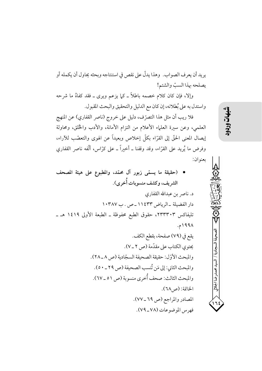يريد أن يعرف الصواب. وهذا يدلُّ على نقص في استنتاجه وبحثه يحاول أن يكمله أو يصلحه بهذا السبّ والشتم!

وإلا، فإن كان كلام خصمه باطلاً ــ كما يزعم ويرى ــ فقد كفاهُ ما شرحه واستدل به على بُطلانه، إن كان مع الدليل والتحقيق والبحث المقبول.

فلا ريب أن مثل هذا التصرّف، دليل على خروج (ناصر القفاري) عن المنهج العلمي، وعن سيرة العلماء الأعلام من التزام الأمانة، والأدب والخُلق، ومحاولة إيصال المعنى الحقَّ إلى القرَّاء بكلِّ إخلاص وبعيداً عن الهوى والتعصُّب للآراء، وفرض ما يُريد على القرَّاء، وقد وقفنا ـ أخيراً ـ على كرَّاس، ألَّفه ناصر القفاري بعنوان:

• (حقيقة ما يسمّى زبور آل محمّد، والمطبوع على هيئة المصحف الشريف، وكشف منسوبات أُخرى).  $\sim 1.75$   $\frac{1}{2}$   $\frac{1}{2}$   $\frac{1}{2}$   $\frac{1}{2}$   $\frac{1}{2}$   $\sim 1.2$ 

شهات

لسحادية /

لسيد محمدر ضا الجلالي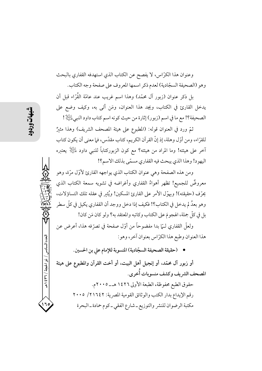وعنوان هذا الكرّاس، لا يفصح عن الكتاب الذي استهدفه القفاري بالبحث وهو (الصحيفة السجّادية) لعدم ذكر اسمها المعروف على صفحة وجه الكتاب.

بل ذكر عنوان (زبور آل محمّد) وهذا اسم غريب عند عامّة القُرّاء قبل أن يدخل القارئ في الكتاب، ويجد هذا العنوان، ومَن أتى به، وكيف وضع على الصحيفة؟! مع ما في اسم (زبور) إثارة من حيث كونه اسم كتاب داود النبي التِّالا !

ثمَّ ورد في العنوان قوله: (المطبوع على هيئة المصحف الشريف) وهذا مثيرٌ للقرّاء، ومن أوّل وهلة، إذ إنّ القرآن الكريم، كتاب مقدّس، فما معنى أن يكون كتاب آخر على هيئته! وما المراد من هيئته؟ مع كون الزبوركتاباً للنبي داود لِلتِّلِلَّ يعتبره اليهود! وهذا الذي يبحث فيه القفاري مسمّى بذلك الاسم؟!

ومن هذه الصفحة وهي عنوان الكتاب الذي يواجهه القارئ لأوّل مرّة، وهو معروضٌ للجميع! تظهر أهواءُ القفاري وأغراضه في تشويه سمعة الكتاب الذي يحرّف (حقيقته)! ويهوّل الأمر على القارئ المسكين! ويُثير في عقله تلك التساؤلات، وهو بعدُ لم يدخل في الكتاب؟! فكيف إذا دخل ووجد أن القفاري يكيل في كلِّ سطرٍ بِل في كلِّ جِملة، الهجومَ على الكتابِ وكاتبِهِ والمعتقد به؟ ولو كان مَن كان!

ولعلِّ القفاري لــمّا بدا مفضوحاً من أوّل صفحة في تصرّفه هذا، أعرض عن هذا العنوان وطبع هذا الكرّاس بعنوان آخر، وهو:

• (حقيقة الصحيفة السجّادية) المنسوبة للإمام على بن الحسين.

أو زبور آل محمّد، أو إنجيل أهل البيت، أو أخت القرآن والمطبوع على هيئة المصحف الشريف وكشف منسوبات أُخرى. حقوق الطبع محفوظة، الطبعة الأولى ١٤٢٦ هـــ٥.٠٠٠م. رقم الإيداع بدار الكتب والوثائق القومية المصرية: ٢١٦٤٢/ ٢٠٠٥ مكتبة الرضوان للنشر والتوزيع ـ شارع الفقي ـ كوم حمادة ـ البحرة

العدد السادس / ذو الحجة / ٣٦ / ٤٣٩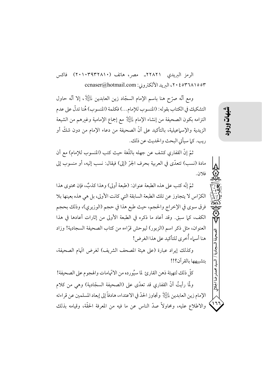الرمز البريدي ٢٢٨٢١ـ مصر، هاتف (٢٠١٠٣٩٣٢٨١٠) فاكس ٢٠٤٥٣٦٨١٥٥٣، البريد الألكتروني: ccnaser@hotmail.com

ومع أنَّه صرَّح هنا باسم الإمام السجَّاد زين العابدين لِلثِّلِإ ، إلا أنَّه حاول التشكيك في الكتاب بقوله: (المنسوب للإمام...) فكلمة (المنسوب) هُنا تدلُّ على عدم التزامه بكون الصحيفة من إنشاء الإمام لِلْتِلِلْا مع إجماع الإمامية وغيرهم من الشيعة الزيدية والإسماعيلية، بالتأكيد على أنَّ الصحيفة من دعاء الإمام من دون شكَّ أو ريب. كما سيأتي البحث والحديث عن ذلك.

ثمّ إنّ القفاري كشف عن جهله باللّغة حيث كتب (المنسوب للإمام) مع أن مادة (نسب) تتعدَّى في العربية بحرف الجرِّ (إلى) فيقال: نسب إليه، أو منسوب إلى فلان.

ثمّ إنّه كتب على هذه الطبعة عنوان: (طبعة أولى) وهذا كذبٌ، فإن محتوى هذا الكرَّاس لا يتجاوز عن تلك الطبعة السابقة التي كانت الأولى، بل هي هذه بعينها بلا فرق سوى في الإخراج والحجم، حيث طبع هذا في حجم (الوزيري)، وذلك بحجم الكف، كما سبقٍ. وقد أعاد ما ذكره في الطبعة الأولى من إثارات أعادها في هذا العنوان، مثل ذكر اسم (الزبور) ليوحش قرَّاءه من كتاب الصحيفة السجادية! وزاد هنا أسماء أُخرى للتأكيد على هذا الغرض!

وكذلك إيراد عبارة (على هيئة المصحف الشريف) لغرض اتَّهام الصحيفة، بتشبيهها بالقرآن؟!!

كلِّ ذلك لتهيئة ذهن القارئ لما سيُورده من الاتَّهامات والهجوم على الصحيفة! ولَّما رأيتُ أنَّ القفاري قد تعدَّى على (الصحيفة السجَّادية) وهي من كلام الإمام زين العابدين لِلتِّالِ ۖ وتجاوز الحدّ في الاعتداء، هادفاً إلى إبعاد المسلمين عن قراءته والاطلاع عليه، ومحاولاً صدَّ الناس عن ما فيه من المعرفة الحقَّة، وقيامه بذلك

شهات

الصحيفة السحادية

السسد محمدرضا الجلالى

1٦.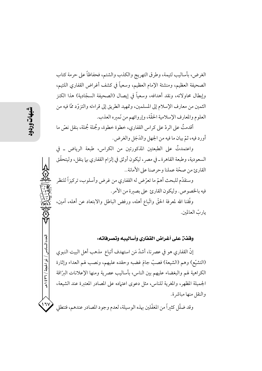الغرض، بأساليب لئيمة، وطرق التهريج والكذب والشتم، فحفاظاً على حرمة كتاب الصحيفة العظيم، ومنشئة الإمام العظيم، وسعياً في كشف أغراض القفاري اللئيم، وإبطال محاولاته، ونقد أهدافه، وسعياً في إيصال (الصحيفة السجّادية) هذا الكنز الثمين من معارف الإسلام إلى المسلمين، وتمهيد الطريق إلى قراءته والتزوّد ممّا فيه من العلوم والمعارف الإسلامية الحقَّة، وإروائهم من نَميره العذب.

أقدمتُ على الردِّ على كراس القفاري، خطوة خطوة، وجُملة جُملة، بنقل نصَّ ما أورد فيه، ثمّ بيان ما فيه من الجهل والدَجَل والغرض.

واعتمدتُ على الطبعتين المذكورتين من الكراس، طبعة الرياض ـ في السعودية، وطبعة القاهرة ـ في مصر، ليكون أوثق في إلزام القفاري بما ينقل، وليتحقَّق القارئ من صحّة عملنا وحرصنا على الأمانة..

وسنقدّم للبحث أهمّ ما تعرّض له القفاري من غرض وأسلوب، تركيزاً للنظر فيه بالخصوص. وليكون القارئ على بصيرة من الأمر .

وفَّقنا الله لمعرفة الحقَّ واتَّباع أهله، ورفض الباطل والابتعاد عن أهله، آمين، يار بّ العالمين.

وقفن على أغراض القفاري وأساليبه وتصرفاته:

إنَّ القفاري هو في عصرنا، أشدَّ مَن استهدف أتباع ۖ مذهب أهل البيت النبوي (التشيُّع) وهم (الشيعة) فصبٌّ جامَ غضبه وحقده عليهم، ونصب لهم العداء وإثارة الكراهية لهم والبغضاء عليهم بين الناس، بأساليب عصرية ومنها الإعلانات الىرّاقة الجميلة المظهر، والمغرية للناس، مثل دعوى اعتياده على المصادر المعتبرة عند الشيعة، والنقل منها مباشرة.

وقد ضلَّل كثيراً من المغفَّلين بهذه الوسيلة، لعدم وجود المصادر عندهم، فتنطلي

لعدد السادس / ذو الحجة / ٣٦٦ ه

 $\frac{1}{2}$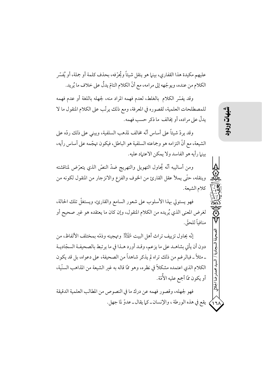عليهم مكيدة هذا القفاري، بينها هو ينقل شيئاً ويُحِرِّفه، بحذف كلمة أو جملة، أو يُفسِّر الكلام من عنده، ويوجِّهه إلى مرامه، مع أنَّ الكلام التامِّ يدلُّ على خلاف ما يُريد.

وقد يفسِّر الكلام بالغلط، لعدم فهمه المراد منه، لجهله باللغة أو عدم فهمه للمصطلحات العلمية، لقصوره في المعرفة، ومع ذلك يرتَّب على الكلام المنقول ما لا يدلُّ على مراده، أو يُخالف ما ذكر حسب فهمه.

وقد يردّ شيئاً على أساس أنَّه مخالف لمذهب السلفية، ويبني على ذلك ردِّه على الشيعة، مع أنَّ التزامه هو وجماعته السلفية هو الباطل، فيكون تهجَّمه على أساس رأيه، بينها رأيه هو الفاسد ولا يمكن الاعتماد عليه.

ومن أساليبه أنّه يُحاول التهويل والتهريج ضدّ النصّ الذي يتعرّض لمناقشته وينقله، حتَّى يملأ عقل القارئ من الخوف والفزع والانزجار من المنقول لكونه من كلام الشيعة.

فهو يستولي بهذا الأسلوب على شعور السامع والقارئ، ويستغلُّ تلك الحالة، لغرض المعنى الذي يُريده من الكلام المنقول، وإن كان ما يعتقده هو غير صحيح أو منافياً للحقّ.

إنَّه يحاول تزييف تراث أهل البيت لِلْهَيْلِمْ وتهجينه وذمَّه بمختلف الألفاظ، من دون أن يأتي بشاهـد على ما يزعم، وقـد أورد هـذا في ما يرتبط بالصحيفـة السجّاديـة ـ مثلاً ــ فبالرغم من ذلك تراه لم يذكر شاهداً من الصحيفة، على دعواه، بل قد يكون الكلام الذي اعتمده مشكلاً في نظره، وهو ممّا قاله به غير الشيعة من المذاهب السنّية، أو يكون ممّا أجمع عليه الأُمّة.

فهو لجهله، وقصور فهمه عن درك ما في النصوص من المطالب العلمية الدقيقة يقع في هذه الورطة ، والإنسان\_كما يقال\_عدوّ لما جهل. محمدرضا الجلالي

 $\lambda$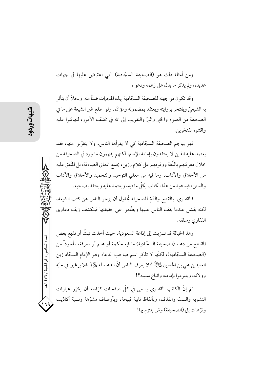ومن أمثلة ذلك هو (الصحيفة السجّادية) التي اعترض عليها في جهات عديدة، ولم يذكر ما يدلُّ على زعمه ودعواه.

وقد تكون مواجهته للصحيفة السجّادية بهذه الهجمات ضنّاً منه وبخلاً أن يتأثر به الشيعيِّ ويفتخر بروايته ويعتقد بمضمونه ومؤادَّه. ولو اطلع غبر الشيعة على ما في الصحيفة من العلوم والحير والبرّ والتقريب إلى الله في مختلف الأمور، لتهافتوا عليه واقتنوه مفتخرين.

فهو يهاجم الصحيفة السجّادية كي لا يقرأها الناس، ولا يتقرَّبوا منها، فقد يعتمد عليه الذين لا يعتقدون بإمامة الإمام، لكنهم يفهمون ما ورد في الصحيفة من خلال معرفتهم باللُّغة ووقوفهم على كلام رزين، يجمع المعاني الصادقة، بل المُّفق عليه من الأخلاق والآداب، وما فيه من معاني التوحيد والتحميد والأخلاق والآداب والسنن، فيستفيد من هذا الكتاب بكلِّ ما فيه، ويعتمد عليه ويعتقد بصاحبه.

فالقفاري بالقدح والذمّ للصحيفة يُحاول أن يزجر الناس عن كتب الشيعة، لكنه يفشل عندما يقف الناس عليها ويطَّلعوا على حقيقتها فينكشف زيف دعاوى القفاري وسلفه.

وهذ الخباثة قد تسرَّبت إلى إذاعة السعودية، حيث أخذت تبثَّ أو تذيع بعض المقاطع من دعاء (الصحيفة السجّادية) ما فيه حكمة أو علم أو معرفة، مأخوذاً من (الصحيفة السجّادية)، لكنّها لا تذكر اسم صاحب الدعاء وهو الإمام السجّاد زين العابدين علي بن الحسين لِمَائِيَالٍا لئلا يعرف الناس أنَّ الدعاء له لِمَائِيَالٍا فلا يرغبوا في حبِّه وولائه، ويلتزموا بإمامته واتباع سبيله؟!

ثمّ إنّ الكاتب القفاري يسعى في كلّ صفحات كرّاسه أن يكرّر عبارات التشويه والسبّ والقذف، وبألفاظ نابية قبيحة، وبأوصاف مشوّهة ونسبة أكاذيب وترِّهات إلى (الصحيفة) ومَن يلتزم بها!

العدد السادس / ذو الحبجة / ٣٦ / ٤٣٩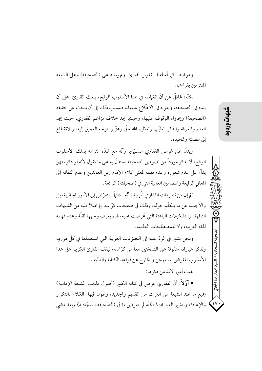وغرضه ـ كما أسلفنا ـ تغرير القارئ وتهويشه على (الصحيفة) وعلى الشيعة الملتزمين بقراءتها.

لكنَّه؛ غافلٌ عن أنَّ انغماسه في هذا الأسلوب الوقح، يبعث القارئ على أن ينتبه إلى الصحيفة، ويغريه إلى الاطِّلاع عليها،، فيتسبَّب ذلك إلى أن يبحث عن حقيقة (الصحيفة) ويحاول الوقوف عليها، وحينئذٍ يجد خلاف مزاعم القفاري، حيث يجد العلم والمعرفة والذكر الطيّب وتعظيم الله جلّ وعزّ والتوجه العميق إليه، والانقطاع إلى عظمته وتمجيده.

ويدلُّ على غرض القفاري السَـيِّئ، وأنَّه مع شدَّة التزامه بذلك الأسلوب الوقح، لا يذكر مورداً من نصوص الصحيفة يستدلَّ به على ما يقول لأنه لو ذكر، فهو يدلُّ على عدم شعوره وعدم فهمه لمعنى كلام الإمام زين العابدين وعدم التفاته إلى المعاني الرفيعة والمضامين العالية التي في (صحيفته) الرائعة.

ثمّ إن من تصرّ فات القفاري الْمريبة ؛ أنّه ـ دائماً ـ يتعرّض إلى الأمو ر الجانبية، بل والأجنبية عن ما يتكلَّم حوله، وذلك في صفحات كرَّاسه بـما امتلأ قلبه من الشبهات التافهة، والتشكيلات الباهتة التي عُرضت عليه، فلم يعرف وجهها لقلَّة وعدم فهمه للغة العربية، ولا للمصطلحات العلمية.

ونحن نشير في الردِّ عليه إلى التصرُّ فات الغريبة التي استعملها في كلِّ موردٍ، ونذكر عباراته منقولة عن النسختين معاً من كرّاسه، ليقف القارئ الكريم على هذا الأسلوب المغرض المستهجن والخارج عن قواعد الكتابة والتأليف.

بقيت أمور لابدّ من ذكر ها:

• أَوَّلاً: أنَّ القفاري عرض في كتابه الكبير (أصول مذهب الشيعة الإمامية) جميع ما عند الشيعة من التراث من القديم والجديد، وطوّل فيها. الكلام بالتكرار والإعادة، وبتغيير العبارات! لكنَّه لم يتعرَّض لما في (الصحيفة السجَّادية) وبعد مضي شهات

長

 $\mathsf{N}$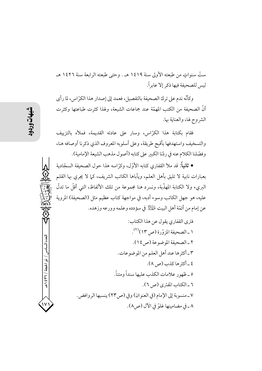ستِّ سنواتٍ من طبعته الأولى سنة ١٤١٩ هـ . وحتى طبعته الرابعة سنة ١٤٢٦ هـ ليس للصحيفة فيها ذكر إلا عابراً.

وكأنَّه ندم على ترك الصحيفة بالتفصيل، فعمد إلى إصدار هذا الكرَّ اس، لما رأى أنَّ الصحيفة من الكتب المهمَّة عند جماعات الشيعة، ولهذا كثرت طباعتها وكثرت الشروح لها، والعناية بها.

فقام بكتابة هذا الكرّاس، وسار على عادته القديمة، فملأه بالتزييف والتسخيف واستهدفها بأقبح طريقة، وعلى أسلوبه المعروف الذي ذكرنا أوصافه هنا، وفصَّلنا الكلام عنه في ردّنا الكبير على كتابه (أصول مذهب الشيعة الإمامية).

● ثانياً: قد ملأ القفاري كتابه الأوّل، وكرّاسه هذا حول الصحيفة السجّادية بعبارات نابية لا تليق بأهل العلم، ويأباها الكاتب الشريف، كما لا يجرى بها القلم البريء ولا الكتابة المهذَّبة، ونسرد هنا مجموعة من تلك الألفاظ، التي أقلَّ ما تدلَّ عليه، هو جهل الكاتب وسوء أدبه، في مواجهة كتاب عظيم مثل (الصحيفة) المروية عن إمام من أئمّة أهل البيت لِلْمَجَلَّ في سؤدده وعلمه وورعه وزهده.

العدد السادس

/ ذو الحجة / ٣٦٪ ١ هـ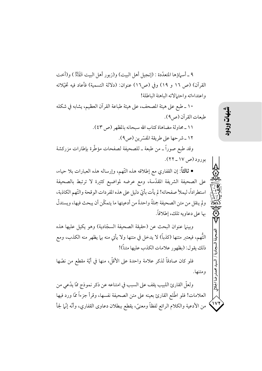٩ ـ أسماؤها المتعدَّدة : (إنجيل أهل البيت) و(زبو ر أهل البيت لِلْهَيْلِيُّ) و(أخت القرآن) (ص ١٦ و ١٩) وفي (ص١٦) عنوان: (دلالة التسمية) فأعاد فيه تخيّلاته واعتداءاته واحتمالاته الباهتة الباطلة!

١٠ ـ طبع على هيئة المصحف، على هيئة طباعة القرآن العظيم، يشابه في شكله طبعات القرآن (ص٩).

١١ \_ محاولة مضاهاة كتاب الله سبحانه بالمظهر (ص ٤٣). ١٢ ـ شر حها على طريقة المفسّرين (ص٩). وقد طبع صوراً ــ من طبعة ــ للصحيفة لصفحات مؤطَّرة بإطارات مزركشة بورود (ص ١٧ ـ ٢٢).

• ثالثاً: إن القفاري مع إطلاقه هذه التَّهم، وإرساله هذه العبارات بلا حياء، على الصحيفة الشريفة المقدّسة، ومع عرضه لمواضيع كثيرة لا ترتبط بالصحيفة استطراداً، ليملأ صفحاته! لم يأت بأيِّ دليلٍ على هذه المفردات الوقحة والتَّهم الكاذبة، ولم ينقل من متن الصحيفة جملةً واحدةً من أدعيتها ما يتمكّن أن يبحث فيها، ويستدلّ بها على دعاويه تلك، إطلاقاً.

وبينها عنوان البحث عن (حقيقة الصحيفة السجّادية) وهو يكيل عليها هذه التُّهم، فيعتبر متنها (كذباً) لا يدخل في متنها ولا يأتي منه بها يظهر منه الكذب، ومع ذلك يقول: (بظهور علامات الكذب عليها متناً)!

فلو كان صادقاً لذكر علامة واحدة على الأقلِّ، منها في أيَّة مقطع من نصُّها ومتنها.

ولعلِّ القارئ اللبيب يقف على السبب في امتناعه عن ذكر نموذج ممَّا يدَّعي من العلامات! فلو اطَّلع القارئ بعينه على متن الصحيفة نفسها، وقرأ جزءاً ممَّا ورد فيها من الأدعية والكلام الرائع لفظاً ومعنىً، يقطع ببطلان دعاوى القفاري، وأنَّه إنَّما لجأ دضا الجلالى

 $\mathsf{v}$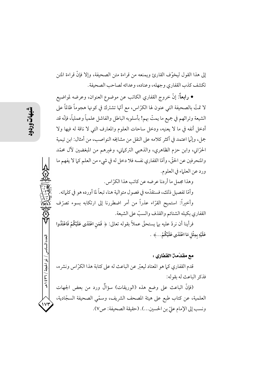إلى هذا القول ليخوّف القارئ ويمنعه من قراءة متن الصحيفة، وإلا فإنَّ قراءة المتن تكشف كذب القفاري وجهله، وعناده، وعدائه لصاحب الصحيفة.

• رابعاً: إنَّ خروج القفاري الكاتب عن موضوع العنوان، وعرضه لمواضيع لا تمتُّ بالصحيفة التي عنون لها الكرَّاس، مع أنَّها تشترك في كونها هجوماً ظالماً على الشيعة وتراثهم في جميع ما يمتّ بهم! بأسلوبه الباطل والفاشل علمياً وعملياً، فإنّه قد أدخل أنفه في ما لا يعنيه، ودخل ساحات العلوم والمعارف التبي لا ناقة له فيها ولا جمل، وإنَّما اعتمد في أكثر كلامه على النقل من مشايخه النواصب، من أمثال: ابن تيمية الحرَّاني، وابن حزم الظاهري، والذهبي التركماني، وغيرهم من المبغضين لآل محمَّد والمنحرفين عن الحقّ، وأمّا القفاري نفسه فلا دخل له في شيء من العلم كما لا يفهم ما ورد عن العلماء في العلوم.

وهذا مجمل ما أردنا عرضه عن كاتب هذا الكرّاس. وأمَّا تفصيل ذلك، فسنقدَّمه في فصول متوالية هنا، تبعاً لما أورده هو في كلماته. وأخيراً: استميح القرّاء عذراً من أمر اضطررنا إلى ارتكابه بسوء تصرّف القفاري بكيله الشتائم والقذف والسبّ على الشيعة.

فرأينا أن نردّ عليه بلميستحقّ عملاً بقوله تعالى: ﴿ فَمَنِ اعْتَدَى عَلَيْكُمْ فَاعْتَدُوا عَلَيْهِ بِمِثْلِ مَا اعْتَدَى عَلَيْكُمْ...﴾ .

## مع مقدّمت القفاري :

قدم القفاري كما هو المعتاد ليعبّر عن الباعث له على كتابة هذا الكرّاس ونشره، فذكر الباعث له بقوله:

(فإنَّ الباعث على وضع هذه (الوريقات) سؤالٌ ورد من بعض الجهات العلمية، عن كتاب طبع على هيئة المصحف الشريف، وسمّي الصحيفة السجّادية، ونسب إلى الإمام عليّ بن الحسين...). (حقيقة الصحيفة: ص٧).

العدد السادس

/ ذو الحجة / ٣٦٪ ١ هـ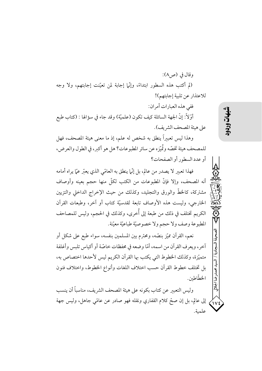وقال في (ص٨): (لم أكتب هذه السطور ابتداءً، وإنَّما إجابة لمن تعيَّنت إجابتهم، ولا وجه للاعتذار عن تلبية إجابتهم)! ففي هذه العبارات أمران: أَوَّلاً: إنَّ الجهة السائلة كيف تكون (علميّة) وقد جاء في سؤالها : (كتاب طبع على هيئة المصحف الشريف). وهذا ليس تعبيراً ينطق به شخص له علم، إذ ما معنى هيئة المصحف، فهل للمصحف هيئة تخصّه وتُميّزه عن سائر المطبوعات؟ هل هو أكبر، في الطول والعرض، أو عدد السطور أو الصفحات؟ فهذا تعبير لا يصدر من عالم، بل إنَّما ينطق به العامّي الذي يعبّر عمّا يراه أمامه أنه المصحف، وإلا فإنَّ المطبوعات من الكتب لكلَّ منها حجم بعينه وأوصاف مشتركة، كالخطّ والورق والتجليد، وكذلك من حيث الإخراج الداخلي والتزيين الخارجي، وليست هذه الأوصاف تابعة لقدسيّة كتاب أو آخر، وطبعات القرآن الكريم تختلف في ذلك من طبعة إلى أُخرى، وكذلك في الحجم، وليس للمصاحف

المطبوعة وصف ولا حجم ولا خصوصيّة طباعيّة معيّنة. نعم، القرآن مميّز بنصّه، ومحترم بين المسلمين بنفسه، سواء طبع على شكل أو آخر، ويعرف القرآن من اسمه، أمّا وضعه في محفظات خاصّة أو أكياس تلبس وأغلفة متميِّزة، وكذلك الخطوط التي يكتب بها القرآن الكريم ليس لأحدها اختصاص به، بل تختلف خطوط القرآن حسب اختلاف اللغات وأنواع الخطوط، واختلاف فنون الخطّاطين.

医 وليس التعبير عن كتاب بكونه على هيئة المصحف الشريف، مناسباً أن ينسب إلى عالِم، بل إن صحَّ كلام القفاري ونقله فهو صادرٍ عن عامَّى جاهل، وليس جهة  $\mathcal{N}$ علمية.

شبهات

محمدرضا ا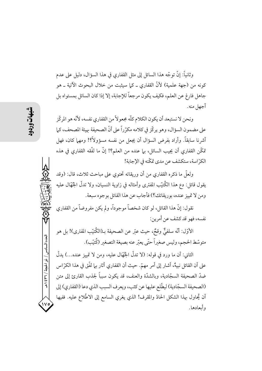وثانياً: إنَّ توجُّه هذا السائل إلى مثل القفاري في هذا السؤال، دليل على عدم كونه من (جهة علمية) لأنَّ القفاري ـ كما سيثبت من خلال البحوث الآتية ـ هو جاهل فارغ عن العلم، فكيف يكون مرجعاً للإجابة، إلا إذا كان السائل بمستواه بل أجهل منه.

ونحن لا نستبعد أن يكون الكلام كلَّه مجعو لاً من القفاري نفسه، لأنَّه هو المركِّز على مضمون السؤال، وهو يركَّز في كلامه مكرِّراً على أنَّ الصحيفة بهيئة المصحف، كما أشرنا سابقاً. وأراد بفرض السؤال أن يجعل من نفسه مسؤولاً؟! ومهما كان، فهل تمكَّن القفاري أن يجيب السائل، بما عنده من العلم؟! إنَّ ما لفَّقه القفاري في هذه الكرِّ اسة، ستكشف عن مدى تمكّنه في الإجابة!

ولعلَّ ما ذكره القفاري من أن وريقاته تحتوي على مباحث ثلاث، قال: (وقد يقول قائل: دع هذا الكُتيّب المفترى وأمثاله في زاوية النسيان، ولا تدلُّ الجُهّال عليه ومن لا تمييز عنده، بوريقاتك؟) فأجاب عن هذا القائل بوجوه سبعة.

نقول: إنَّ هذا القائل، لو كان شخصاً موجوداً، ولم يكن مفروضاً من القفاري نفسه، فهو قد كشف عن أمرين:

الأوّل: أنّه سلفيٌّ وقحٌ، حيث عبّر عن الصحيفة بـ(الكُتيّب المفترى)! بل هو متوسّط الحجم، وليس صغيراً حتّى يعبّر عنه بصيغة التصغير (كُتيّب).

الثاني: أن ما ورد في قوله: (لا تدلَّ الجُهَّال عليه، ومن لا تمييز عنده...) يدلُّ على أن القائل نبيهٌ، أشار إلى أمر مهمّ. حيث أن القفاري أثار بيا لفّق في هذا الكرّ اس ضدَّ الصحيفة السجَّادية، وبالشدَّة والعنف، قد يكون سبباً لجذب القارئ إلى متن (الصحيفة السجّادية) ليطّلع عليها عن كثب، ويعرف السبب الذي دعا (القفاري) إلى أن يُحاول بهذا الشكل الحادّ والمقرف! الذي يغري السامع إلى الاطَّلاع عليه. ففيها وأبعادها.

العدد السادس / ذو الحجة / ٣٦ / ٤٣٩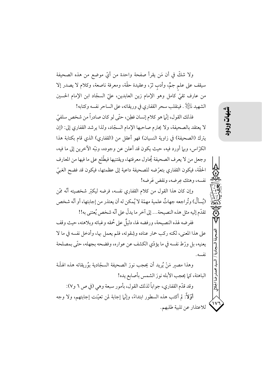ولا شكَّ في أن مَن يقرأ صفحة واحدة من أيِّ موضع من هذه الصحيفة سيقف على علم جمٌّ، وأدبٍ ثرٌّ، وعقيدة حقَّة، ومعرفة ناصعة، وكلام لا يصدر إلا من عارف تقيّ كامل وهو الإمام زين العابدين، عليّ السجّاد ابن الإمام الحسين الشهيد ﷺ. فينقلب سحر القفاري في وريقاته، على الساحر نفسه وكتابه!

فذلك القول، إنَّما هو كلام إنسان فطِن، حتَّى لو كان صادراً من شخص سلفيِّ لا يعتقد بالصحيفة، ولا يحترم صاحبها الإمام السجّاد، ولذا يرشد القفاري إلى: (إن يترك (الصحيفة) في زاوية النسيان) فهو أعقل من (القفاري) الذي قام بكتابة هذا الكرَّاس، وبها أورد فيه، حيث يكون قد أعلن عن وجوده، ونبَّه الآخرين إلى ما فيه، وجعل من لا يعرف الصحيفة يُحاول معرفتها، ويقتنيها فيطَّلع على ما فيها من المعارف الحقَّة، فيكون القفاري بتعرَّضه للصحيفة داعية إلى عظمتها، فيكون قد فضح الغبيّ نفسه، وهتك عرضه، ونقض عَرضه!

وإن كان هذا القول من كلام القفاري نفسه، فرضه ليكتر شخصيته أنَّه ممَّن (يُسألُ) وتُراجعه جهاتٌ علمية مهمّة لا يُمكن له أن يعتذر من إجابتها، أو أنّه شخص تقدّم إليه مثل هذه النصيحة... إلى آخر ما يدلّ على أنّه شخص يُعتني به!!

ففرضه لهذه النصيحة، ورفضه لها، دليلٌ على حُمقه وغبائه وبلاهته، حيث وقف على هذا المعنى، لكنه ركب حمار عناده وشِقوته، فلم يعمل بها، وأدخل نفسه في ما لا يعنيه، بل ورِّط نفسه في ما يؤدِّي الكشف عن عواره، وفضحه بجهله، حتَّى بمصلحة نفسه

وهذا مصبر مَنْ يُرِيد أن يحجب نورَ الصحيفة السجّادية بوُريقاته هذه الهشّة الباهتة، كما يحجب الأبله نورَ الشمس بأصابع يده! وقد قدَّم القفاري، جواباً لذلك القول، بأمور سبعة وهي (في ص ٦ و٧):

أَوَّلاً: لم أكتب هذه السطور ابتداءً، وإنَّما إجابة لمن تعيَّنت إجابتهم، ولا وجه للاعتذار عن تلبية طلبهم. محمدرضا الجلال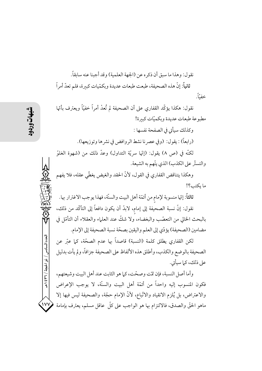نقول: وهذا ما سبق أن ذكره عن (الجهة العلمية) وقد أجبنا عنه سابقاً. ثانياً: إنَّ هذه الصحيفة، طبعت طبعات عديدة وبكمّيات كبيرة، فلم تعدّ أمراً خفياً.

نقول: هكذا يؤكِّد القفاري على أن الصحيفة لم تُعدْ أمراً خفيّاً ويعترف بأنَّها مطبوعة طبعات عديدة وبكميّات كبيرة! وكذلك سيأتي في الصفحة نفسها : (رابعاً) : يقول: (وفي عصر نا نشط الروافض في نشر ها وتوزيعها). لكنَّه في (ص ٨) يقول: (إنَّها سريَّة التداول) وعدَّ ذلك من (شهوة الغلوِّ والتستَّر على الكذب) الذي يتَّهم به الشيعة.

وهكذا يتناقض القفاري في القول، لأنَّ الحقد والغيض يغطَّى عقله، فلا يفهم ما يكتب؟!

ثالثاً: إنّها منسوبة لإمام من أئمّة أهل البيت والسنّة، فهذا يوجب الاغترار بها. نقول: إنَّ نسبة الصحيفة إلى إمام، لابدَّ أن يكون دافعاً إلى التأكُّد من ذلك، بالبحث الخالي من التعصَّب والبغضاء، ولا شكٍّ عند العلماء والعقلاء أن التأمَّل في مضامين (الصحيفة) يؤدّي إلى العلم واليقين بصحّة نسبة الصحيفة إلى الإمام.

لكن القفاري يطلق كلمة (النسبة) قاصداً بها عدم الصحَّة، كما عبَّر عن الصحيفة بالوضع والكذب، وأطلق هذه الألفاظ على الصحيفة جزافاً، ولم يأت بدليل على ذلك، كما سيأتي.

وأما أصل النسبة، فإن تمّت وصحّت، كما هو الثابت عند أهل البيت وشيعتهم، فكون المنسوب إليه واحداً من أئمّة أهل البيت والسنّة، لا يوجب الإعراض والاعتراض، بل يُلزم الانقياد والاتّباع، لأنّ الإمام حجّة، والصحيفة ليس فيها إلا  $\sqrt{v}$ ماهو الحقَّ والصدق، فالالتزام بها هو الواجب على كلَّ عاقل مسلم، يعترف بإمامة

العدد السادس / ذو الحجة / ٣٦ ٤ ٩ هـ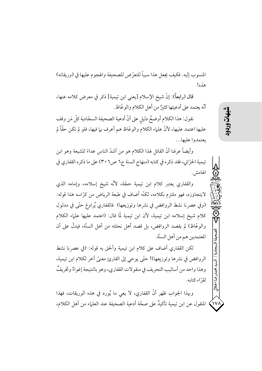المنسوب إليه. فكيف يجعل هذا سبباً للتعرِّض للصحيفة والهجوم عليها في (وريقاته) هذه!

قال (رابعاً): إنَّ شيخ الإسلام [يعني ابن تيمية] ذكر في معرض كلامه عنها، أنَّه يعتمد على أدعيتها كثئرٌ من أهل الكلام والو عَّاظ.

نقول: هذا الكلام أوضحُ دليلٍ على أنَّ أدعية الصحيفة السجّادية كلَّ مَن وقف عليها اعتمد عليها، لأنَّ علياء الكلام والوعَّاظ هم أعرف بيا فيها، فلو لم تكن حقًّا لم يعتمدوا عليها...

وأيضاً عرفنا أنَّ القائل لهذا الكلام هو من أشدَّ الناس عداءً للشيعة وهو ابن تيمية الحرّاني، فقد ذكره في كتابه (منهاج السنة ج٦ ص٣٠٦) على ما ذكره القفاري في الهامش.

والقفاري يعتبر كلام ابن تيمية حجّة، لأنّه شيخ إسلامه، وإمامه الذي لايتجاوزه، فهو ملتزم بكلامه، لكنَّه أضاف في طبعة الرياض من كرَّاسه هذا قوله: (وفي عصرنا نشط الروافض في نشرها وتوزيعها) فالقفاري يُراوغ حتَّى في مدلول كلام شيخ إسلامه ابن تيمية، لأن ابن تيمية لَّما قال: (اعتمد عليها علماء الكلام والوعَّاظ) لم يقصد الروافض، بل قصد أهل نحلته من أهل السنَّة، فيدلُّ على أن المعتمدين هم من أهل السنّة.

لكن القفاري أضاف على كلام ابن تيمية وألحق به قوله: (في عصرنا نشط الروافض في نشرها وتوزيعها)! حتّى يوحي إلى القارئ معنيَّ آخر لكلام ابن تيمية، وهذا واحد من أساليب التحريف في منقولات القفاري، وهو بالنتيجة إغواءٌ وتخريفٌ لقرَّاء كتابه.

دضا ابللال وبهذا الجواب ظهر أنَّ القفاري، لا يعي ما يُورد في هذه الوريقات، فهذا المنقول عن ابن تيمية تأكيدٌ على صحَّة أدعية الصحيفة عند العلماء من أهل الكلام،  $\left\langle \mathrm{v} \right\rangle$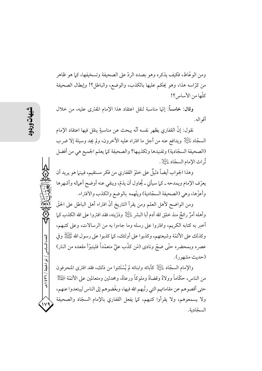ومن الوعَّاظ، فكيف يذكره وهو بصدد الردِّ على الصحيفة وتسخيفها، كيا هو ظاهر من كرّاسه هذا، وهو يحكم عليها بالكذب، والوضع، والباطل؟! وإبطال الصحيفة كلَّها من الأساس؟!

وقال: خامساً: إنَّها مناسبة لنقل اعتقاد هذا الإمام المفترى عليه، من خلال أقو اله.

نقول: إنَّ القفاري يظهر نفسه أنَّه يبحث عن مناسبةٍ ينقل فيها اعتقاد الإمام السجَّاد ﷺ ويدافع عنه من أجل ما افتراه عليه الآخرون، ولم يجد وسيلة إلا ضرب (الصحيفة السجّادية) وتفنيدها وتكذيبها؟ والصحيفة كما يعلم الجميع هي من أفضل ثُو اث الإمام السجّاد عليَّانِي.

وهذا الجواب أيضاً دليلٌ على خلوّ القفاري من فكر مستقيم، فبينها هو يريد أن يعرّف الإمام ويمدحه ــ كما سيأتي ــ يُحاول أن يذمّ، وينفي عنه أوضح أعماله وأشهرها وأعزَّها، وهي (الصحيفة السجَّادية) ويتَّهمه بالوضع والكذب والافتراء.

ومن الواضح لأهل العلم ومن يقرأ التاريخ أنَّ افتراء أهل الباطل على الحقَّ وأهله أمرٌ رائجٌ منذ خلق الله آدم أبا البشر عليَّ لِإِي وذرِّيته، فقد افتروا على الله الكذب كما أخبر به كتابه الكريم، وافتروا على رسله وما جاءوا به من الرسالات، وعلى كتبهم، وكذلك على الأئمَّة وشيعتهم، وكذبوا على أولئك، كيا كذبوا على رسول الله ﷺ وفي عصره وبمحضره حتَّى ضجَّ ونادى (مَن كذَّب عليَّ متعمَّداً فليتبوَّأ مقعده من النار) (حديث مشهور).

والإمام السجَّاد ﷺ كآبائه وابنائه لم يُسْتَثنوا من ذلك، فقد افترى المنحرفون من الناس، حكَّاماً وولاةً وقضاةً وملوكاً ورعاةً، ومحدثين ومتعالمين على الأئمَّة لِلْمَيِّلِٱ حتى أقصوهم عن مقاماتهم التي رتَّبهم الله فيها، وبغَّضوهم إلى الناس ليبتعدوا عنهم، ولا يسمعوهم، ولا يقرأوا كتبهم، كما يفعل القفاري بالإمام السجّاد والصحيفة السجّادية.

العدد السادس / ذو الحجة / ٣٦٦ هـ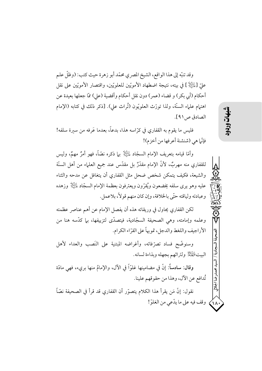وقد تنبّه إلى هذا الواقع، الشيخ المصري محمّد أبو زهرة حيث كتب: (وظلّ علم عليّ [عٰلَيْكِ ] في بيته، نتيجة اضطهاد الأمويّين للعلويّين، واقتصار الأمويّين على نقل أحكام (أبي بكر) و قضاء (عمر) دون نقل أحكام وأقضية (على) ممّا جعلها بعيدة عن اهتهام علماء السنَّة، ولذا تورَّث العلويُّون (تُراث علي). [ذكر ذلك في كتابه (الإمام الصادق ص١٩١].

فليس ما يقوم به القفاري في كرَّاسه هذا، بدعاً، بعدما عَرفه من سيرة سلفه! فإنَّما هي (شنشنة أعرفها من أخزم)!

وأمَّا قيامه بتعريف الإمام السجَّاد ﷺ بيا ذكره نصَّاً، فهو أمرٌ مهمٌ، وليس للقفاري منه مهربٌ، لأنَّ الإمام مقدَّرٌ بل مقدَّس عند جميع العلماء من أهل السنَّة والشيعة، فكيف يتمكن شخص ضحل مثل القفاري أن يتغافل عن مدحه والثناء عليه وهو يرى سلفه يخضعون ويُقرِّون ويعترفون بعظمة الإمام السجَّاد ﷺ وزهده وعبادته ولياقته حتّى بالخلافة، وإن كان منهم قولاً، بلاعمل.

لكن القفاري يحاول في وريقاته هذه أن يفصل الإمام عن أهم عناصر عظمته وعلمه وإمامته، وهي الصحيفة السجّادية، فيتصدّى لتزييفها، بها كدّسه هنا من الأراجيف واللغط والدجل، تمويهاً على القرّاء الكرام.

وسنوضَّح فساد تصرَّفاته، وأغراضه المبتنية على النَصب والعداء لأهل البيت التَّخِلُّ ولتراثهم بجهله وبذاءة لسانه.

وقال: سادساً: إنَّ في مضامينها غلوّاً في الآل، والإمامُ منها بريء، فهي مادّة تُدافع عن الآل، وهذا من حقوقهم علينا. نقول: إنَّ مَن يقرأ هذا الكلام يتصوَّر أن القفاري قد قرأ في الصحيفة نصّاً وقف فيه على ما يدَّعي من الغلوِّ!

حمدرضا الجلالي

 $\bigwedge$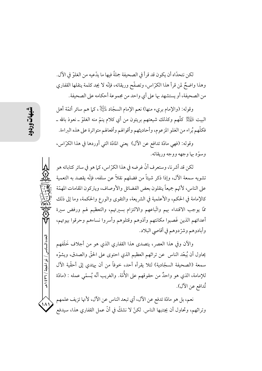لكن نتحدّاه أن يكون قد قرأ في الصحيفة جملةً فيها ما يدّعيه من الغلوّ في الآل. وهذا واضحٌ لمن قرأ هذا الكرّاس، وتصفّح وريقاته، فإنّه لا يجد كلمة ينقلها القفاري من الصحيفة، أو يستشهد بها على أي واحد من مجموعة أحكامه على الصحيفة.

وقوله: (والإمام بريء منها) نعم الإمام السجّاد لِلْتِلْلِا ، كما هم سائر أئمّة أهل البيت لِلْهَيْلِ كُلُّهُمْ وكذلك شيعتهم بريئون من أي كلام ينمُّ منه الغلوَّ ـ نعوذ بالله ـ فكلُّهم بُراء من الغلو المزعوم، وأحاديثهم وأقوالهم وأفعالهم متواترة على هذه البراءة.

وقوله: (فهي مادَّة تدافع عن الآل) يعني المادَّة التي أوردها في هذا الكرَّاس، وسوَّد بها وجهه ووجه وريقاته.

لكن قد أشر نا، وستعرف أنَّ غرضه في هذا الكرِّ اس، كـما هو في سائر كتاباته هو تشويه سمعة الآل، وإذا ذكر شيئاً من فضلهم نقلاً عن سلفه، فإنّه يقصد به التعمية على الناس، لأتَّهم جميعاً ينقلون بعض الفضائل والأوصاف، ويتركون المقامات المهمَّة كالإمامة في الحكم، والأعلمية في الشريعة، والتقوى والورع والحكمة، وما إلى ذلك ممَّا يوجب الاقتداء بهم واتَّباعهم والالتزام بسيرتهم، والتعظيم لهم ورفض سيرة أعدائهم الذين غَصبوا مكانتهم وآذوهم وقتلوهم وأسروا نساءهم وحرقوا بيوتهم، وأبادوهم وشرِّدوهم في أقاصي البلاد.

والآن وفي هذا العصر، يتصدى هذا القفارى الذي هو من أجلاف خَلَفهم يحاول أن يُبعّد الناس عن تراثهم العظيم الذي احتوى على الحقّ والصدق، ويشوّه سمعة (الصحيفة السجّادية) لئلا يقرأه أحد، خوفاً من أن يهتدي إلى أحقّية الآل للإمامة، الذي هو واحدٌ من حقوقهم على الأُمّة. والغريب أنّه يُسمّى عمله : (مادّة تُدافع عن الآل).

نعم، بل هو مادّة تدفع عن الآل، أي تبعد الناس عن الآل، لأنها تزيف علمهم وتراثهم، وتحاول أن يجتنبها الناس. لكنَّ لا نشكَّ في أنَّ عمل القفاري هذا، سيدفع

العدد السادس / ذو الحجة / ٣٦٦ / ه

 $\mathcal{N}^{\prime}$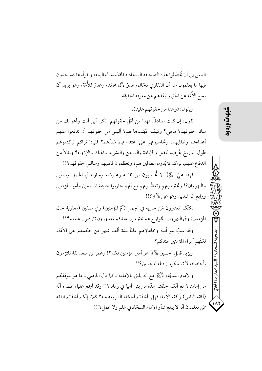الناس إلى أن يُحصّلوا هذه الصحيفة السجّادية المقدّسة العظيمة، ويقرأوها فسيجدون فيها ما يعلمون منه أنَّ القفاري دجَّال، عدوٍّ لأل محمَّد، وعدوٍّ للأُمَّة، وهو يريد أن يمنع الأُمّة عن الحق ويبعّدهم عن معرفة الحقيقة.

ويقول: (وهذا من حقوقهم علينا).

نقول: إن كنت صادقاً، فهذا من أقلَّ حقوقهم! لكن أين أنت وأعوانك من سائر حقوقهم؟ ماهي؟ وكيف ادّيتموها لهم؟ أليس من حقوقهم أن تدفعوا عنهم أعداءهم وظالميهم، وتحاسبونهم على اعتداءاتهم ضدَّهم؟ فلماذا نراكم تركتموهم طول التاريخ عُرضة للقتل والإبادة والسجن والتشريد والهتك والإزواء؟ وبدلاً من الدفاع عنهم، نراكم تؤيّدون الظالمين لهم؟ وتعظّمون قاتليهم وسالبي حقوقهم؟!!

فهذا عليّ ﷺ لا تُحاسبون من ظلمه وعارضه وحاربه في الجمل وصفّين والنهروان؟! وتحترمونهم وتعظّمونهم مع أتّهم حاربوا خليفة المسلمين وأمير المؤمنين ورابع الراشدين وهو عليّ لِلتِّلِلْإِ؟!!

لكنَّكم تعتبرون مَن حاربه في الجمل (أمِّ المؤمنين) وفي صفَّين (معاوية خال المؤمنين) وفي النهروان الخوارج هم محترمون عندكم معذورون تترحّمون عليهم؟!!

وقد سبٍّ بنو أمية وخلفاؤهم عليّاً مدّة ألف شهر من حكمهم على الأمّة، لكنّهم أمراء المؤمنين عندكم؟

ويزيد قاتل الحسين ﷺ هو أمبر المؤمنين لكم؟! وعمر بن سعد ثقة تلتزمون بأحاديثه، لا تستنكرون قتله للحسين؟!!

والإمام السجّاد لِمَائِيَالٍا مع أنه يليق بالإمامة ــ كما قال الذهبي ــ ما هو موقفكم من إمامته؟ مع أنَّكم خلَّفتم عدَّة من بني أمية في زمانه؟!! وقد أجمع علماء عصره أنَّه (أفقه الناس) وأفقه الأُمّة، فهل أخذتم أحكام الشريعة منه؟ كلا، إنّكم أخذتم الفقه مّن تعلمون أنّه لا يبلغ شأو الإمام السجّاد في علم ولا عمل؟!!!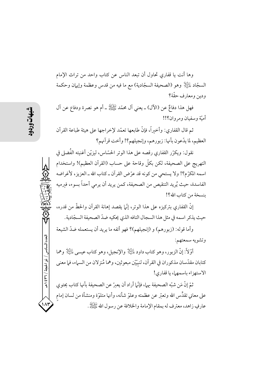وها أنت يا قفاري تحاول أن تبعد الناس عن كتاب واحد من تراث الإمام السجّاد لِلتِّيلْإ وهو (الصحيفة السجّادية) مع ما فيه من قدس وعظمة وإيهان وحكمة ودين ومعارف حقّة؟

فهل هذا دفاعٌ عن (الآل) ــ يعني آل محمَّد ﷺ ـ أم هو نصرة ودفاع عن آل أميّة وسفيان ومروان؟!!

ثم قال القفاري: وأخبراً، فإنَّ طابعها تعمَّد لإخراجها على هيئة طباعة القرآن العظيم، لما يدَّعون بأنها: زبورهم، وإنجيلهم؟! وأخت قرآنهم؟

نقول: ويكرِّر القفاري رقصه على هذا الوتر الحسّاس، ليزيِّن أغنيته الفُضلي في التهريج على الصحيفة، لكن بكلِّ وقاحة على حساب (القرآن العظيم)! واستخدام اسمه المكرَّم؟! ولا يستحي من كونه قد عرَّض القرآن ـ كتاب الله ـ العزيز، لأغراضه الفاسدة، حيث يُريد التنقيص من الصحيفة، كمن يريد أن يرمى أحداً بسوء، فيرميه بنسخة من كتاب الله؟!

إنَّ القفاري بتركيزِه على هذا الوترِ، إنَّما يقصد إهانة القرآن والحطِّ من قدرِه، حيث يذكر اسمه في مثل هذا السجال التافه الذي يحكيه ضدّ الصحيفة السجّادية.

وأما قوله: (زبورهم) و (إنجيلهم)؟ فهو أتفه ما يريد أن يستعمله ضدّ الشيعة وتشويه سمعتهم:

أَوَّلاً: إنَّ الزبور، وهو كتاب داود لِمَائِيَالٍا والإنجيل، وهو كتاب عيسى لِمَائِيَالٍا وهما كتابان مقدَّسان مذكوران في القرآن، لنبيَّيْن مبعو ثين، وهما مُنزِ لان من السياء، في معنى الاستهزاء باسمها، با قفادي!

ثمّ إنَّ مَن شبِّه الصحيفة بها، فإنَّما أراد أن يعبرّ عن الصحيفة بأنها كتاب يحتوي على معاني تقدِّس الله وتعبَّر عن عظمته وعلوَّ شأنه، وأنها متلوَّة ومنشأة من لسان إمام عارفٍ زاهد، معترف له بمقام الإمامة والخلافة عن رسول الله ﷺ.

العدد السادس / ذو الحجة / ٣٦ / ٤٣٩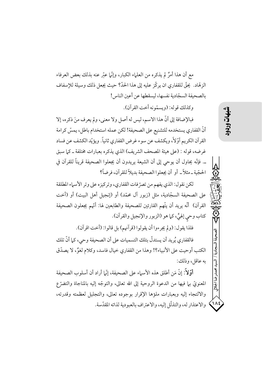مع أن هذا أمرٌ لم يذكره من العلماء الكبار، وإنَّما عبَّر عنه بذلك بعض العرفاء الزهّاد. يحقُّ للقفاري ان يركَّز عليه إلى هذا الحدَّ؟ حيث يجعل ذلك وسيلة للإسفاف بالصحيفة السجّادية نفسها، ليسقطها عن أعين الناس!

وكذلك قوله: (ويسمّونه أخت القرآن).

فبالإضافة إلى أنَّ هذا الاسم، ليس له أصل ولا معنى، ولم يعرف منَ ذكره، إلا أنّ القفاري يستخدمه للتشنيع على الصحيفة! لكن عمله استخدام باطل، يمسّ كرامة القرآن الكريم أوّلاً، ويكشف عن سوء غرض القفاري ثانياً. ويؤيّد الكشف عن فساد غرضه، قوله : (على هيئة المصحف الشريف) الذي يذكره بعبارات مختلفة ـ كما سبق ــ. فإنَّه يحاول أن يوحى إلى أن الشيعة يريدون أن يجعلوا الصحيفة قريناً للقرآن في الحجّية \_ مثلاً \_ أو أن يجعلوا الصحيفة بديلاً للقرآن، فرضاً؟

لكن نقول: الذي يفهم من تصرّفات القفاري، وتركيزه على وتر الأسماء المطلقة على الصحيفة السجّادية، مثل (زبور آل محمّد) أو (إنجيل أهل البيت) أو (أخت القرآن) أنَّه يريد أن يتَّهم القارئين للصحيفة والطابعين لها: أنَّهم يجعلون الصحيفة كتاب وحي إلهيٍّ، كما هو (الزبور والإنجيل والقرآن).

فلذا يقول: (ولم يجرءوا أن يقولوا (قرآنهم) بل قالوا: (أخت اقرآن).

فالقفاري يُريد أن يستدلّ بتلك التسميات على أن الصحيفة وحي، كما أنّ تلك الكتب أوحيت على الأنبياء؟! وهذا من القفاري خيال فاسد، وكلام لغوٌ، لا يصدّق به عاقل، وذلك:

أَوَّلاً: إنَّ مَن أطلق هذه الأسماء على الصحيفة، إنَّما أراد أن أسلوب الصحيفة المعنويِّ بيا فيها من الدعوة الروحية إلى الله تعالى، والتوجّه إليه بالمناجاة والتضرّع والالتجاء إليه وبعبارات ملؤها الإقرار بوجوده تعالى، والتجليل لعظمته وقدرته، والاعتذار له، والتذلَّل إليه، والاعتراف بالعبودية لذاته المقدَّسة.

 $\Lambda$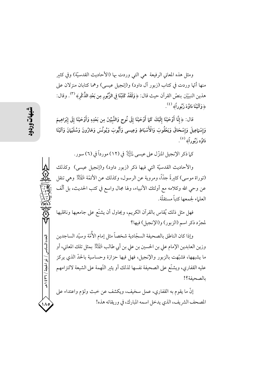ومثل هذه المعاني الرفيعة ً هي التي وردت بها (الأحاديث القدسيّة) وفي كثير منها أُمِّها وردت في كتاب (زبور آل داود) و(إنجيل عيسى) وهما كتابان منزلان على هذين النبيَيْن بنصِّ القرآن حيث قال: ﴿ وَلَقَدْ كَتَبْنَا فِي الزَّبُورِ مِن بَعْدِ الذِّكْرِ﴾ <sup>(٣)</sup>. وقال: ﴿ وَآتَيْنَا دَاوُدَ زَبُوراً﴾  $\left(\begin{array}{c} \lambda \end{array}\right)$ 

قال: ﴿إِنَّا أَوْحَيْنَا إِلَيْكَ كَمَا أَوْحَيْنَا إِلَى نُوحٍ وَالنَّبِيِّينَ مِن بَعْدِهِ وَأَوْحَيْنَا إِلَى إِبْرَاهِيمَ وَإِسْهَاعِيلَ وَإِسْحَاقَ وَيَعْقُوبَ وَالْأَسْبَاطِ وَعِيسى وَأَيُّوبَ وَيُونُسَ وَهَارُونَ وَسُلَيْهانَ وَآتَيْنَا دَاوُد زَبُوراً﴾  $\overset{\circ}{.}$ .

كما ذكر الإنجيل المنزّل على عيسى لِمَائِيَالٍ في (١٢) مورداً في (٦) سور .

والأحاديث القدسيَّة التي فيها ذكر (زبور داود) و(إنجيل عيسى) وكذلك (توراة موسى) كثيرةً جدًّا، ومروية عن الرسول، وكذلك عن الأئمَّة  $\mathbb{R}^2$  وهي تنقل عن وحي الله وكلامه مع أولئك الأنبياء، ولها مجال واسع في كتب الحديث، بل ألَّف العلياء لجمعها كتباً مستقلّة.

فهل مثل ذلك يُقاس بالقرآن الكريم، ويحاول أن يشنّع على جامعيها وناقليها لمجرِّد ذكر اسم (الزبور) و(الإنجيل) فيها؟

وإذا كان الناطق بالصحيفة السجّادية شخصاً مثل إمام الأُمّة وسيّد الساجدين وزين العابدين الإمام علي بن الحسين بن علي بن أبي طالب لِلْمَجَلِ لِمُ بعثل تلك المعاني، أو ما يشبهها، فشبَّهت بالزبور والإنجيل، فهل فيها حزازة وحساسية بالحدَّ الذي يركز عليه القفاري، ويشنَّع على الصحيفة نفسها لذلك أو يثبر التَّهمة على الشيعة لالتزامهم بالصحفة؟!

إنَّ ما يقوم به القفاري، عمل سخيف، ويكشف عن خبث ولؤم واعتداء على المصحف الشريف، الذي يدخل اسمه المبارك، في وريقاته هذه!

العدد السادس / ذو الحجة / ٣٦ ٤ ٩ هـ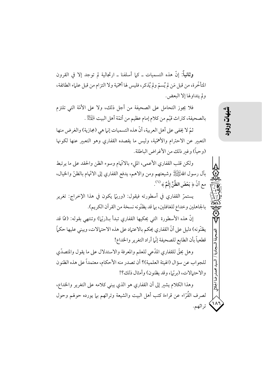وثانياً: إنَّ هذه التسميات ـ كيا أسلفنا ـ ارتجالية لم توجد إلا في القرون المتأخَّرة، من قبل مَن لم يُسمَّ ولم يُذكر، فليس لها أهمَّية ولا التزام من قبل علماء الطائفة، ولم يتداولها إلا البعض.

فلا يجوز التحامل على الصحيفة من أجل ذلك، ولا على الأمّة التي تلتزم بالصحيفة، كتراث قيّم من كلام إمام عظيم من أئمّة أهل البيت للصَّلَّةِ .

ثمّ لا يخفى على أهل العربية، أنَّ هذه التسميات إنها هي (مجازية) والغرض منها التعبير عن الاحترام والأهمّية، وليس ما يقصده القفارى وهو التعبير عنها لكونها (وحياً) وغير ذلك من الأغراض الباطلة.

ولكن قلب القفاري الأعمى، المليء بالاتَّهام وسوء الظن والحقد على ما يرتبط بآل رسول اللهُﷺ وشيعتهم ومن والاهم، يدفع القفاري إلى الاتَّهام بالظنِّ والخيال، مع أنَّ ﴿ بَعْضَ الظَّنِّ إِثْمٌ ﴾  $^{(7)}$  .

يستمرّ القفاري في أسطورته فيقول: (وربَّل يكون في هذا الإخراج: تغرير بالجاهلين وخداع للغافلين، بما قد يظنّونه نسخة من القرآن الكريم).

إنَّ هذه الأسطورة التي يحكيها القفاري تبدأ بــ(ربَّل) وتنتهي بقوله: (ممَّا قد يظنُّونه) دليل على أنَّ القفاري يحكم بالاعتياد على هذه الاحتيالات، ويبني عليها حكياً قطعياً بأن الطابع للصحيفة إنّها أراد التغرير والخداع!

وهل يحقُّ للقفاري المدَّعي للعلم والمعرفة والاستدلال على ما يقول والمتصدِّي للجواب عن سؤال (الهيئة العلمية)؟ أن تصدر منه الأحكام، معتمداً على هذه الظنو ن والاحتمالات، (بربّما، وقد يظنون) وأمثال ذلك؟!

وهذا الكلام يشير إلى أن القفاري هو الذي يبنى كلامه على التغرير والخداع، لصرف القُرّاء عن قراءة كتب أهل البيت والشيعة وتراثهم بها يورده حولهم وحول تراثهم. محمد ضا الجلالى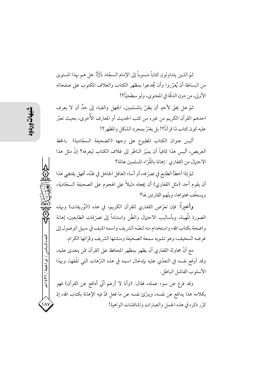ثمّ الذين يتداولون كتاباً منسوباً إلى الإمام السجّاد لِلنَّيْلِ هل هم بهذا المستوى من البساطة أن يُغرِّروا وأن يُخدعوا بمظهر الكتاب والغلاف المكتوب على صفحاته الأولى، من دون الدقَّة في المحتوى، ولو سطحيًّا؟!

ثمَّ هل يحقَ لأحدٍ أن يظنُّ بالمسلمين، الجهل والغباء إلى حدٍّ أن لا يعرف احدهم القرآن الكريم من غيره من كتب الحديث أو المعارف الأُخرى، بحيث تعبُر عليه كون كتاب مّا قرآناً؟! بل يغترّ بمجرد الشكل والمظهر؟!

أليس عنوان الكتاب المطبوع على وجهه (الصحيفة السجّادية) بالخط العريض، أليس هذا كافياً أن يميّز الناظر إلى غلاف الكتاب ليعرفه؟ إنّ مثل هذا الاحتمال من القفاري : إهانة بالقُرّ اء المسلمين عامّة؟

ثمّ إذا أخطأ الطابع في تصرّفه، أو أساء الغافل الجاهل في ظنّه، أفهل يقتضي هذا أن يقوم أحد (مثل القفاري) أن يجعله دليلاً على الهجوم على الصحيفة السجّادية، ويسخّف محتواها، ويتّهم القارئين لها؟

وأخيراً: فإن تعرَّض القفاري للقرآن الكريم، في هذه (الوُريقات) وبهذه الصورة الْمهينة، وبأساليب الاحتهال والظّن واستناداً إلى تصرّفات الطابعين، إهانة واضحة بكتاب الله، واستخدام منه لنصّه الشريف واسمه المنيف في سبيل الوصول إلى غرضه السخيف، وهو تشويه سمعة الصحيفة ومنشئها الشريف وقرَّائها الكرام.

مع أنَّ محاولة القفاري أن يظهر بمظهر المحافظ على القرآن ممَّن يتعدى عليه، وقد أوقع نفسه في التعدّي عليه بإدخال اسمه في هذه الترّهات التي لفّقها، وبهذا الأسلوب الفاشل الباطل.

وقد فزع عن سوء عمله، فقال: (وأنا لا أزعم أنّي أدافع عن القرآن) فهو بكلامه هذا يدافع عن نفسه، ويبرِّئ نفسه عن ما فعل ممَّا فيه الإهانة بكتاب الله، إذ كرّر ذكره في هذه الجمل والعبارات والمناقشات الواهية!

العدد السادس / ذو الحجة / ٣٦ / ه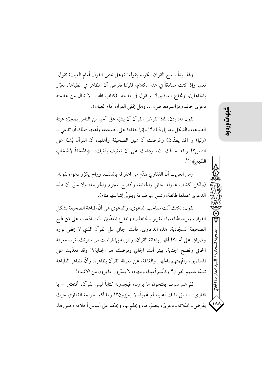ولهذا بدأ يمدح القرآن الكريم بقوله: (وهل يخفي القرآن أمام العيان) نقول: نعم، وإذا كنت صادقاً في هذا الكلام، فلماذا تفرض أن المظاهر في الطباعة، تغرّر بالجاهلين، وتخدع الغافلين؟! ويقول في مدحه: (كتاب الله... لا تنال من عظمته دعوى حاقد ومزاعم مغرض، … وهل يخفي القرآن أمام العيان).

نقول له: إذن، لماذا تفرض القرآن أن يشبَّه على أحدٍ من الناس بمجرَّد هيئة الطباعة، والشكل وما إلى ذلك؟! وإنَّما حقدك على الصحيفة وأهلها حملك أن تَّدعى بـ (ربِّها) و (قد يظنُّون) وغرضك أن تهين الصحيفة وأهلها، أن القرآن يُشبُّه على الناس؟! ولقد خذلك الله، ودفعك على أن تعترف بذنبك، ﴿فَسُحْقاً لِأَصْحَابِ السَّعِيرِ﴾ (٧).

ومن الغريب أنَّ القفاري تندَّم من اعترافه بالذنب، وراح يكرِّر دعواه بقوله: (ولكن أكشف محاولة الجاني والجناية، وأفضح المجرم والجريمة، ولا سيّما أن هذه الدعوى تحملها طائفة، وتسبر بها طباعة ويتولَّى إشاعتها فئام).

نقو ل: لكنك أنت صاحب الدعو ي، والدعو ي هي أنَّ طباعة الصحيفة بشكل القرآن، ويريد طباعتها التغرير بالجاهلين، وخداع المغفَّلين. أنت ادَّعيت على مَن طبع الصحيفة السجّادية، هذه الدعاوى. فأنت الجاني على القرآن الذي لا يخفي نوره وضياؤه على أحد؟! أفهل بإهانة القرآن، وتنزيله بها فرضت من ظنونك، تريد معرفة الجاني وفضح الجناية، بينها أنت الجاني وفرضك هو الجناية؟! وقد تعدّيت على المسلمين، واتَّهمتهم بالجهل والغفلة، عن معرفة القرآن بظاهره، وأنَّ مظاهر الطباعة تشبَّه عليهم القرآن؟ وكأنَّهم أغبياء وبلهاء، لا يميَّزون ما يرون من الأشياء!

ثمَّ هم سوف يفتحون ما يرون، فيجدونه كتاباً ليس بقرآن، أفتعتبر – يا قفاري– الناسَ مثلك أغبياء أو عُمياً، لا يميّزون؟! وما أكبر جريمة القفاري حيث يفرض \_ تخيّلاته \_ دعويّ، يتصوّرها، ويحلم بها، ويحكم على أساس أحلامه وصورها، محمدرضا الجلالي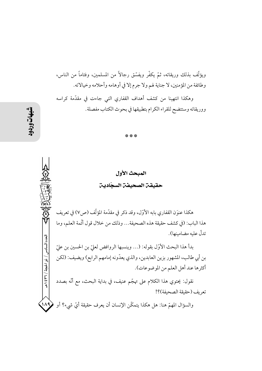ويؤلِّف بذلك وريقاته، ثمّ يكفَّر ويفسَّق رجالاً من المسلمين، وفئاماً من الناس، وطائفة من المؤمنين، لا جناية لهم ولا جرم إلا في أوهامه وأحلامه وخيالاته. وهكذا انتهينا من كشف أهداف القفاري التي جاءت في مقدَّمة كراسه ووريقاته وستتضح للقراء الكرام بتطبيقها في بحوث الكتاب مفصلة.

\* \* \*

المبحث الأول حقيقن الصحيفن السجّادين

هكذا عنوَن القفاري بابه الأوّل، وقد ذكر في مقدّمة المؤلّف (ص٧) في تعريف هذا الباب: (في كشف حقيقة هذه الصحيفة... وذلك من خلال قول أنَّمة العلم، وما تدلُّ عليه مضامينها).

بدأ هذا البحث الأوَّل بقوله: (... وينسبها الروافض لعليّ بن الحسين بن عليّ بن أبي طالب، المشهور بزين العابدين، والذي يعدّونه إمامهم الرابع) ويضيف: (لكن أكثرها عند أهل العلم من الموضوعات).

نقول: يحتوي هذا الكلام على تهجّم عنيف، في بداية البحث، مع أنّه بصدد تعريف (حقيقة الصحيفة)؟!

والسؤال المهمّ هنا: هل هكذا يتمكَّن الإنسان أن يعرف حقيقة أيّ شيء؟ أو ﴿  $\binom{1}{4}$ 

العدد السادس / ذو الحجة / ٣٦٦ هـ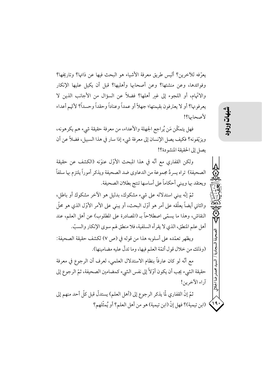يعرُّفه للآخرين؟ أليس طريق معرفة الأشياء هو البحث فيها عن ذاتها؟ وتاريخها؟ وفوائدها، وعن منشئها؟ وعن أصحابها وأهليها؟ قبل أن يكيل عليها الإنكار والاتِّهام، أو اللجوء إلى غير أهلها؟ فضلاً عن السؤال من الأجانب الذين لا يعرفونها؟ أو لا يعترفون بقيمتها؛ جهلاً أو عمداً وعناداً وحقداً وحسداً؟ لأنّهم أعداء لأصحابها؟!

فهل يتمكَّن مَن يُراجع الجهلة والأعداء، من معرفة حقيقة شيء هم يكرهونه، ويزيّفونه؟ فكيف يصل الإنسان إلى معرفة شيء إذا سار في هذا السبيل، فضلاً عن أن يصل إلى الحقيقة المنشو دة؟!

ولكن القفاري مع أنَّه في هذا المبحث الأوَّل عنوَنه (الكشف عن حقيقة الصحيفة) تراه يسردُ مجموعة من الدعاوي ضد الصحيفة ويذكر أموراً يلتزم بها سلفاً ويعتقد بها ويبني أحكاماً على أساسها تنتج بطلان الصحيفة.

ثمَّ إنَّه يبني استدلاله على شيء مشكوك، بدليل هو الآخر مشكوك أو باطل، والثاني أيضاً يعلَّقه على أمرٍ هو أوَّل البحث، أو يبني على الأمر الأوَّل الذي هو محلَّ النقاش، وهذا ما يسمَّى اصطلاحاً بـ (المصادرة على المطلوب) عن أهل العلم، عند أهل علم المنطق، الذي لا يقرأه السلفية، فلا منطق لهم سوى الإنكار والسبّ.

ويظهر تعمّده على أسلوبه هذا من قوله في (ص ٧) لكشف حقيقة الصحيفة: (وذلك من خلال قول أئمّة العلم فيها، وما تدلّ عليه مضامينها).

مع أنَّه لو كان عارفاً بنظام الاستدلال العلمي، لعرف أن الرجوع في معرفة حقيقة الشيء يجب أن يكون أوّلاً إلى نفس الشيء كمضامين الصحيفة، ثمّ الرجوع إلى آراء الآخرين!

ثمّ إنّ القفاري لّما يذكر الرجوع إلى (أهل العلم) يستدلّ قبل كلّ أحد منهم إلى (ابن تيمية)؟ فهل إنّ (ابن تيمية) هو من أهل العلم؟ أو يُمثّلهم؟ دضا الجلال

 $\bigwedge$  19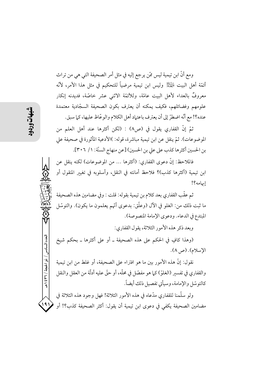ومع أنَّ ابن تيمية ليس ممَّن يرجع إليه في مثل أمر الصحيفة التي هي من تراث أَئمَّة أهل البيت لِمُهْتِكِمٌ وليس ابن تيمية مرضياً للتحكيم في مثل هذا الأمر، لأنَّه معروفٌ بالعداء لأهل البيت عامَّة، وللأئمَّة الاثني عشر خاصَّة، فديدنه إنكار علومهم وفضائلهم، فكيف يمكنه أن يعترف بكون الصحيفة السجّادية معتمدة عنده؟! مع أنَّه اضطرَّ إلى أن يعترف باعتهاد أهل الكلام والوعَّاظ عليها، كما سبق.

ثمّ إنّ القفاري يقول في (ص٨) : (لكن أكثرها عند أهل العلم من الموضوعات). ثمّ ينقل عن ابن تيمية مباشرة، قوله: )الأدعية المأثورة في صحيفة على بن الحسين أكثرها كذب على علي بن الحسين) [عن منهاج السنّة: ١/ ٣٠٦].

فالملاحظ: إنَّ دعوى القفاري: (أكثرها … من الموضوعات) لكنه ينقل عن ابن تيمية (أكثرها كذب)؟ فلاحظ أمانته في النقل، وأسلوبه في تغيير المنقول أو إبهامه؟!

ثم عقَّب القفاري بعد كلام بن تيمية بقوله: قلت : وفي مضامين هذه الصحيفة ما ثبت ذلك من: الغلو في الآل (وعلَّق: بدعوى أُمِّم يعلمون ما يكون). والتوسَّل المبتدع في الدعاء. ودعوى الإمامة المنصوصة).

وبعد ذكر هذه الأمور الثلاثة، يقول القفاري:

(وهذا كافٍ في الحكم على هذه الصحيفة ـ أو على أكثرها ـ بحكم شيخ الإسلام). (ص ٨).

نقول: إنَّ هذه الأمور بين ما هو افتراء على الصحيفة، أو غلط من ابن تيمية والقفاري في تفسير (الغلوّ) كيا هو مفصّل في محلّه، أو حقّ عليه أدلّة من العقل والنقل كالتوسّل والإمامة، وسيأتي تفصيل ذلك أيضاً.

ولو سلَّمنا للقفاري مدَّعاه في هذه الأمور الثلاثة! فهل وجود هذه الثلاثة في  $191$ مضامين الصحيفة يكفى في دعوى ابن تيمية أن يقول: أكثر الصحيفة كذب؟! أو

العدد السادس / ذو الحجة / ٣٦٦ هـ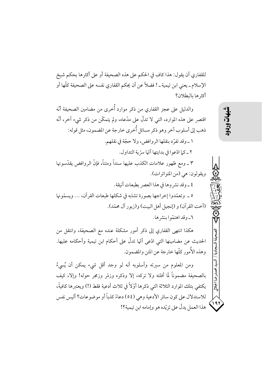للقفاري أن يقول: هذا كاف في الحكم على هذه الصحيفة أو على أكثرها بحكم شيخ الإسلام ــ يعني ابن تيمية ـ ! فضلاً عن أن يحكم القفاري نفسه على الصحيفة كلَّها أو أكثرها بالبطلان؟

والدليل على عجز القفاري من ذكر موارد أُخرى من مضامين الصحيفة أنّه اقتصر على هذه الموارد، التبي لا تدلُّ على مدَّعاه، ولم يتمكَّن من ذكر شيء آخر، أنَّه ذهب إلى أسلوب آخر وهو ذكر مسائل أُخرى خارجة عن المضمون، مثل قوله: ١ \_ وقد تفرِّد بنقلها الروافض، ولا حجَّة في نقلهم. ٢ \_ كيا ادَّعوا في بدايتها أنَّها سرَّ ية التداو ل. ٣ ـ ومع ظهور علامات الكذب عليها سنداً ومتناً، فإنَّ الروافض يقدَّسونها ويقولون: هي (من المتواترات). ٤ \_وقد نشر وها في هذا العصر بطبعات أنيقة. ٥ \_ وتعمَّدوا إخراجها يصورة تشابه في شكلها طبعات القرآن، ... ويسمَّونها (أخت القرآن) و (إنجبل أهل البيت) و (زيور آل محمّد). ٦ـ وقد اهتمّوا بنشر ها. هكذا انتهى القفاري إلى ذكر أمور مشكلة عنده مع الصحيفة، وانتقل من

الحديث عن مضامينها التي ادّعي أنّها تدلّ على أحكام ابن تيمية وأحكامه عليها. وهذه الأُمور كلّها خارجة عن المتن والمضمون.

ومن المعلوم من سيرته وأسلوبه أنه لو وجد أقل شيء يمكن أن يُسي، ُ بالصحيفة مضموناً لَما أفلته ولا تركه، إلا وذكره وزمّر وزمجر حوله! وإلا، كيف يكتفي بتلك الموارد الثلاثة التي ذكرها أوّلاً في ثلاث أدعية فقط (!) ويعتبرها كافيةً، للاستدلال على كون سائر الأدعية وهي (٥٤) دعاءً كذباً أو موضوعات؟ أليس نفس هذا العمل يدلُّ على تزيَّده هو وإمامه ابن تيمية؟!

197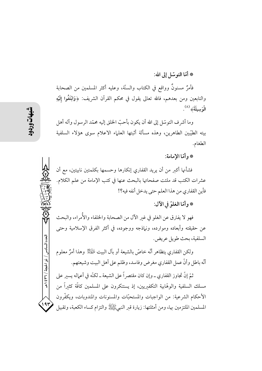\* أمّا التوسّل إلى الله:

فأمرٌ مسنونٌ وواقع في الكتاب والسنّة، وعليه أكثر المسلمين من الصحابة والتابعين ومن بعدهم، فالله تعالى يقول في محكم القرآن الشريف: ﴿وَابْتَغُوا إِلَيْهِ الْوَسِيلَةَ﴾ (^).

وما أشر ف التوسّل إلى الله أن يكون بأحبّ الحلق إليه محمّد الرسول وآله أهل بيته الطيّبين الطاهرين، وهذه مسألة أثبتها العلماء الاعلام سوى هؤلاء السلفية الطغام.

## \* وأمَّا الإمامة:

فشأنها أكبر من أن يريد القفاري إنكارها وحسمها بكلمتين نابيتين، مع أن عشرات الكتب قد ملئت صفحاتها بالبحث عنها في كتب الإمامة من علم الكلام. فأين القفاري من هذا العلم حتى يدخل أنفه فيه؟!

## \* وأمّا الغلوّ في الآل:

فهو لا يفترق عن الغلو في غير الآل من الصحابة والخلفاء والأُمراء، والبحث عن حقيقته وأبعاده وموارده، ونهاذجه ووجوده، في أكثر الفرق الإسلامية وحتى السلفية، بحث طويل عريض.

ولكن القفاري يتظاهر أنَّه خاصٌّ بالشيعة أو بآل البيت لِلْهَيِّلْأ وهذا أمرٌ معلوم أنَّه باطلٍ وأنَّ عملٍ القفاري مغرضٍ وفاسدٍ، وظلم على أهل البيت وشيعتهم.

ثمّ إنَّ تجاوز القفاري ــ وإن كان مقتصراً على الشيعة ــ لكنَّه في أعماله يسير على مسلك السلفية والوهّابية التكفيريين، إذ يستنكرون على المسلمين كافّة كثيراً من الأحكام الشرعية: من الواجبات والمستحبَّات والمسنونات والمندوبات، ويكفَّرون المسلمين الملتزمين بها، ومن أمثلتها: زيارة قبر النبيﷺ والتزام كساء الكعبة، وتقبيل

العدد السادس / ذو الحجة / ٣٦٦ / هـ

 $195$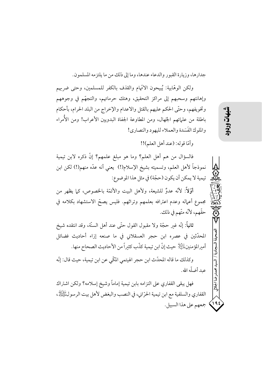جدارها، وزيارة القبور والدعاء عندها، وما إلى ذلك من ما يلتز مه المسلمون.

ولكن الوهّابية: يُبيحون الاتّهام والقذف بالكفر للمسلمين، وحتى ضربهم وإهانتهم وسحبهم إلى مراكز التحقيق، وهتك حرماتهم، والتجهُّم في وجوههم وتخويفهم، وحتَّى الحكم عليهم بالقتل والاعدام والإخراج من البلد الحرام، بأحكام باطلة من علمائهم الجِّهال، ومن المطاوعة الجفاة البدويين الأعراب! ومن الأُمراء والملوك الفَسَدة والعملاء لليهود والنصارى!

وأمَّا قوله: (عند أهل العلم)!!

فالسؤال من هم أهل العلم؟ وما هو مبلغ علمهم؟ إنَّ ذكره لابن تيمية نموذجاً لأهل العلم، وتسميته بشيخ الإسلام(!) يعني أنه عدَّه منهم(!) لكن ابن تيمية لا يمكن أن يكون (حجّة) في مثل هذا الموضوع:

أَوَّلاً: لأنَّه عدوٌ للشيعة، ولأهل البيت والأئمَّة بالخصوص، كما يظهر من مجموع أعماله وعدم اعترافه بعلمهم وتراثهم. فليس يصحّ الاستشهاد بكلامه في حقَّهم، لأنَّه متَّهم في ذلك.

ثانياً: إنَّه غير حجَّة ولا مقبول القول حتَّى عند أهل السنَّة، وقد انتقده شيخ المحدِّثين في عصره ابن حجر العسقلاني في ما صنعه إزاء أحاديث فضائل أميرالمؤمنين|الِخَالِا حيث إنّ ابن تيمية كذّب كثيراً من الأحاديث الصحاح منها.

وكذلك ما قاله المحدّث ابن حجر الهيتمي المكّي عن ابن تيمية، حيث قال: إنّه عبد أضلَّه الله.

فهل يبقى القفاري على التزامه بابن تيمية إماماً وشيخ إسلامه؟ ولكن اشتراك القفاري والسلفية مع ابن تيمية الحرّاني، في النصب والبغض لأهل بيت الرسولﷺ، 195) جمعهم على هذا السبيل.

شهات **aces** 

長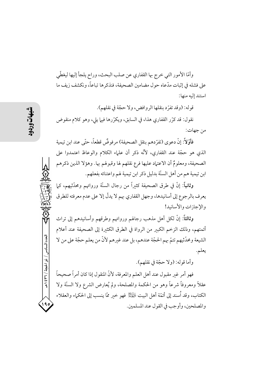وأمَّا الأمور التي خرج بها القفاري عن صلب البحث، وراح يلجأ إليها ليغطَّى على فشله في إثبات مدّعاه حول مضامين الصحيفة، فنذكرها تباعاً، ونكشف زيف ما استند إليه منها:

قوله: (وقد تفرَّد بنقلها الروافض، ولا حجَّة في نقلهم). نقول: قد كرِّر القفاري هذا، في السابق، ويكرِّرها فيها يلي، وهو كلام منقوض من جهات:

فأوِّلاً: إنَّ دعوى (تفرِّ دهم بنقل الصحيفة) مرفوضٌ قطعاً، حتَّى عند ابن تيمية الذي هو حجَّة عند القفاري، لأنَّه ذكرٍ أن عليهء الكلام والوعاظ اعتمدوا على الصحيفة، ومعلومٌ أن الاعتياد عليها فرع نقلهم لها وقبولهم بها. وهؤلا الذين ذكرهم ابن تيمية هم من أهل السنَّة بدليل ذكر ابن تيمية لهم واعتنائه بفعلهم.

وثانياً: إنَّ في طرق الصحيفة كثيراً من رجال السنَّة ورواتهم ومحدَّثيهم، كما يعرف بالرجوع إلى أسانيدها، وجهل القفاري بهم لا يدلّ إلا على عدم معرفته للطرق والإجازات والأسانيد!

وثالثاً: إنَّ لكل أهل مذهب رجالهم ورواتهم وطرقهم وأسانيدهم إلى تراث أئمتهم، وذلك الزخم الكبير من الرواة في الطرق الكثيرة إلى الصحيفة عند أعلام الشيعة ومحدِّثيهم تتمَّ بهم الحجَّة عندهم، بل عند غبرهم لأنَّ من يعلم حجَّة على من لا يعلم.

وأما قوله: (ولا حجَّة في نقلهم).

فهو أمر غير مقبول عند أهل العلم والمعرفة، لأنّ المنقول إذا كان أمراً صحيحاً عقلاً ومعروفاً شرعاً وهو من الحكمة والمصلحة، ولم يُعارض الشرع ولا السنَّة ولا الكتاب، وقد ٱسند إلى أئمَّة أهل البيت ﷺ فهو خير ممَّا ينسب إلى الحكماء والعقلاء والمصلحين، وأوجب في القول عند المسلمين.

العدد السادس / ذو الحجة / ٣٦ / ٤٣٩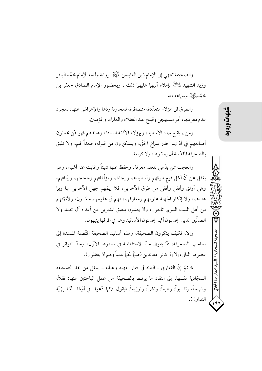والصحيفة تنتهي إلى الإمام زين العابدين لِلتِّلِلَّا برواية ولديه الإمام محمّد الباقر وزيد الشهيد لِمَلِيَّالٍا بإملاء أبيهما عليهما ذلك ، وبحضور الإمام الصادق جعفر بن محمَّدْ الثَّلَاثِرِ وسياعه منه.

والطرق الى هؤ لاء متعدَّدة، متضافرة، فمحاولة ردَّها والإعراض عنها، بمجرد عدم معرفتها، أمر مستهجن وقبيح عند العقلاء والعلماء، والمؤمنين.

ومن لم يقنع بهذه الأسانيد، وبهؤلاء الأئمّة السادة، وعاندهم فهو ممّن يجعلون أصابعهم في آذانهم حذر سماع الحقّ، ويستكبرون من قبوله، فبعداً لهم، ولا تليق بالصحيفة المقدّسة أن يمسّوها، ولا كرامة.

والعجب ممَّن يدَّعي للعلم معرفة، وحفظ عنها شيئاً وغابت عنه أشياء، وهو يغفل عن أنَّ لكل قوم طرقهم وأسانيدهم ورجالهم ومؤلَّفاتهم وحججهم وبيّناتهم، وهي أوثق وأتقن وأنقى من طرق الآخرين، فلا يهمَّهم جهل الآخرين بها وبها عندهم، ولا إنكار الجهلة علومهم ومعارفهم، فهم في علومهم منعَّمون، ولأئمَّتهم من أهل البيت النبوي تابعون، ولا يعتنون بنعيق المدبرين من أعداء آل محمَّد ولا الضالّين الذين يحسبون أنّهم يحسنون الأسانيد وهم في طرقها يتيهون.

وإلا، فكيف ينكرون الصحيفة، وهذه أسانيد الصحيفة المتَّصلة المسندة إلى صاحب الصحيفة، ممَّا يفوق حدَّ الاستفاضة في صدرها الأوَّل، وحدَّ التواتر في عصرها التالي، إلا إذا كانوا معاندين (صمَّأ بكماً عمياً وهم لا يعقلون).

\* ثمَّ إنَّ القفاري ــ التائه في قفار جهله وغبائه ــ ينتقل من نقد الصحيفة السجّادية نفسها، إلى انتقاد ما يرتبط بالصحيفة من عمل الباحثين عنها: نقلاً، وشرحاً، وتفسيراً، وطبعاً، ونشراً، وتوزيعاً، فيقول: (كما ادّعوا ـ في أوّلها ـ أنّها سِرّيّة التداول).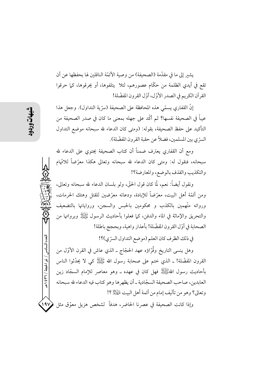يشير إلى ما في مقدَّمة (الصحيفة) من وصية الأئمَّة الناقلين لها بحفظها عن أن تقع في أيدي الظلمة من حكَّام عصورهم، لئلا يتلفوها، أو يحرقوها، كما حرقوا القرآن الكريم في الصدر الأوّل، أوّل القرون المفضّلة!

إنَّ القفاري يسمَّى هذه المحافظة على الصحيفة (سرِّية التداول). وجعل هذا عيباً في الصحيفة نفسها؟ ثم أكَّد على جهله بمعنى ما كان في صدر الصحيفة من التأكيد على حفظ الصحيفة، بقوله: (ومتى كان الدعاء لله سبحانه موضع التداول السرِّ ي بين المسلمين، فضلاً عن حقبة القرون المفضّلة).

ومع أن القفاري يعترف ضمناً أن كتاب الصحيفة يحتوي على الدعاء لله سبحانه، فنقول له: ومتى كان الدعاء لله سبحانه وتعالى هكذا معرِّضاً للاتِّهام والتكذيب والقذف بالوضع، والمعارضة؟!

ونقول أيضاً: نعم، لمَّا كان قول الحقَّ، ولو بلسان الدعاء لله سبحانه وتعالى، ومن أئمَّة أهل البيت، معرَّضاً للإبادة، ودعاته معرَّضين للقتل وهتك الحرمات، ورواته متّهمين بالكذب و محكومين بالحبس والسجن، ورواياتها بالتضعيف والتحريق والإماثة في الماء والدفن، كما فعلوا بأحاديث الرسول ﷺ وبرواتها من الصحابة في أوّل القرون المفضّلة! بأعذار واهية، وبحجج باطلة!

في ذلك الظرف كان العلم (موضع التداول السرّي)؟!

وهل ينسى التاريخ وقُرَّاؤه عهد الحجَّاج ــ الذي عاش في القرن الأوَّل من القرون المفضَّلة! ـ الذي ختم على صحابة رسول الله ﷺ كي لا يحدَّثوا الناس بِأَحَادِيثِ رَسُولُ اللَّهُﷺ فَهَلِ كَانَ فِي عَهْدُهُ \_ وَهُوَ مَعَاصِرِ للإِمَامِ السَّجَّادِ زِين العابدين، صاحب الصحيفة السجّادية ـ أن يظهرها وهو كتاب فيه الدعاء لله سبحانه وتعالى؟ وهو من تأليف إمام من أئمة أهل البيت لِمَبَلِّهُمْ ؟!

 $19V$ وإذا كانت الصحيفة في عصرنا الحاضر، هدفاً كشخص هزيل معوّق مثل

العدد السادس / ذو الحجة / ٣٦٦ ه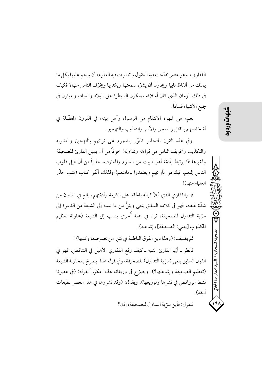القفاري، وهو عصر تفتَّحت فيه العقول وانتشرت فيه العلوم، أن يهجم عليها بكل ما يملك من ألفاظ نابية ويحاول أن يشوّه سمعتها ويكذبها ويخوّف الناس منها؟ فكيف في ذلك الزمان الذي كان أسلافه يملكون السيطرة على البلاد والعباد، ويعيثون في جميع الأشياء فساداً.

نعم، هي شهوة الانتقام من الرسول وأهل بيته، في القرون المفضَّلة في أشخاصهم بالقتل والسجن والأسر والتعذيب والتهجير.

وفي هذه القرن المتحضَّر المنوَّر بالهجوم على تراثهم بالتهجين والتشويه والتكذيب وتخويف الناس من قراءته وتداوله! خوفاً من أن يميل القارئ للصحيفة ولغبرها ممَّا يرتبط بأئمَّة أهل البيت من العلوم والمعارف، حذراً من أن تميل قلوب الناس إليهم، فيلتزموا بآرائهم ويعتقدوا بإمامتهم! ولذلك ألَّفوا كتاب (كتب حذَّر العلياء منها)!

\* والقفاري الذي مُلأ كيانه بالحقد على الشيعة وأئمّتهم، بالغ في الهذيان من شدَّة غيظه، فهو في كلامه السابق ينعي ويئنُّ من ما نسبه إلى الشيعة من الدعوة إلى سرّية التداول للصحيفة، نراه في جملة أُخرى ينسب إلى الشيعة (محاولة تعظيم المكذوب [يعني: الصحيفة] وإشاعته).

ثمّ يضيف: (وهذا دين الفرق الباطنية في كثير من نصوصها وكتبها)!

فانظرٍ \_ أيِّها القارئ النبيه \_ كيف وقع القفاري الأهبل في التناقض، فهو في القول السابق ينعي (سرِّية التداول) للصحيفة، وفي قوله هذا: يصرخ بمحاولة الشيعة (تعظيم الصحيفة وإشاعتها؟). ويصرَّح في وريقاته هذه: مكرَّراً بقوله: (في عصرنا نشط الروافض في نشرها وتوزيعها). ويقول: (وقد نشروها في هذا العصر بطبعات أنىقة).

حمد ضا الجلالي

فنقول: فأين سرِّية التداول للصحيفة، إذن؟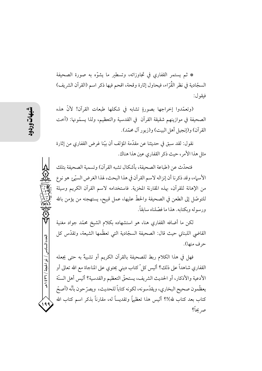\* ثم يستمر القفاري في تجاوزاته، وتسطير ما يشوِّه به صورة الصحيفة السجّادية في نظر القُرّاء، فيحاول إثارة وقحة، اقحم فيها ذكر اسم (القرآن الشريف) فيقو ل:

(وتعمَّدوا إخراجها بصورةٍ تشابه في شكلها طبعات القرآن! لأنَّ هذه الصحيفة في موازينهم شقيقة القرآن في القدسية والتعظيم، ولذا يسمَّونها: (أخت القرآن) و(إنجيل أهل البيت) و(زبور آل محمّد).

نقو ل: لقد سبق في حديثنا عن مقدَّمة المؤلف أن بيِّنا غرض القفاري من إثارة مثل هذا الأمر، حيث ذكر القفاري عين هذا هناك.

فتحدَّث عن (طباعة الصحيفة، بأشكال تشبه القرآن) وتسمية الصحيفة بتلك الأسهاء، وقد ذكرنا أن إنزاله لاسم القرآن في هذا البحث، لهذا الغرض السيّئ هو نوع من الإهانة للقرآن، بهذه المقارنة المخزية. فاستخدامه لاسم القرآن الكريم وسيلة للتوصَّل إلى الطعن في الصحيفة والحطُّ عليها، عمل قبيح، يستهجنه من يؤمن بالله و د سوله و یکتابه. هذا ما فصّلناه سابقاً.

لكن ما أضافه القفاري هنا، هو استشهاده بكلام الشيخ محمّد جواد مغنية القاضي اللبناني حيث قال: الصحيفة السجّادية التي تعظّمها الشيعة، وتقدّس كل حرف منها).

فهل في هذا الكلام ربط للصحيفة بالقرآن الكريم أو تشبيهٌ به حتى يجعله القفاري شاهداً على ذلك؟ أليس كلِّ كتابٍ ديني يحتوي على المناجاة مع الله تعالى أو الأدعية والأذكار، أو الحديث الشريف، يستحقُّ التعظيم والقدسية؟ أليس أهل السنَّة يعظّمون صحيح البخاري، ويقدّسونه، لكونه كتاباً للحديث، ويصرّحون بأنّه (أصحّ كتاب بعد كتاب لله)!؟ أليس هذا تعظيماً وتقديساً له، مقارناً بذكر اسم كتاب الله صر يحاً؟

العدد السادس / ذو الحجة / ٣٦٦ هـ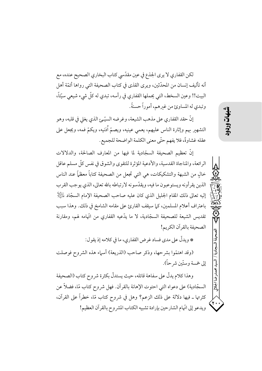لكن القفاري لا يرى الجذع في عين مقدّسي كتاب البخاري الصحيح عنده، مع أنه تأليف إنسان من المحدّثين، ويرى القذى في كتاب الصحيفة التي رواها أئمّة أهل البيت!! وعين السخط، التي يحملها القفاري في رأسه، تبدي له كلٌّ شيء شيعي سيِّئاً، وتبدي له المساوئ من غيرهم، أموراً حسنةً.

إنَّ حقد القفاري على مذهب الشيعة، وغرضه السيَّـئِ الذي يغلي في قلبه، وهو التشهير بهم وإثارة الناس عليهم، يعمى عينيه، ويصمّ أُذنيه، ويكمّ فمه، ويجعل على عقله غشاوةً، فلا يفهم حتَّى معنى الكلمة الواضحة للجميع.

إنَّ تعظيم الصحيفة السجّادية لما فيها من المعارف الصالحة، والدلالات الرائعة، والمناجاة القدسية، والأدعية المؤثرة للتقوى والشوق في نفس كلِّ مسلم عاقل خالٍ من الشبهة والتشكيكات، هي التي تجعل من الصحيفة كتاباً معظماً عند الناس الذين يقرأونه ويستوعبون ما فيه، ويقدِّسونه لارتباطه بالله تعالى، الذي يوجب القرب إليه تعالى ذلك المقام الجليل الذي كان عليه صاحب الصحيفة الإمام السجّاد لِمَائِلِلْإِ باعتراف أعلام المسلمين، كما سيقف القارئ على مقامه الشامخ في ذلك. وهذا سبب تقديس الشيعة للصحيفة السجّادية، لا ما يدّعيه القفاري من اتّهامه لهم، ومقارنة الصحيفة بالقرآن الكريم!

\* ويدلُّ على مدى فساد غرض القفاري، ما في كلامه إذ يقول: (وقد اهتمّوا بشرحها، وذكر صاحب (الذريعة) أسماء هذه الشروح فوصلت

وهذا كلام يدلُّ على سفاهة قائله، حيث يستدلُّ بكثرة شروح كتاب (الصحيفة السجّادية) على دعواه التي احتوت الإهانة بالقرآن. فهل شروح كتاب مّا، فضلاً عن كثرتها ـ فيها دلالة على ذلك الزعم؟ وهل في شروح كتاب مّا، خطراً على القرآن، ويدعو إلى اتَّهام الشارحين بإرادة تشبيه الكتاب المشر وح بالقرآن العظيم!

إلى خمسة و ستّين شر حاً).

医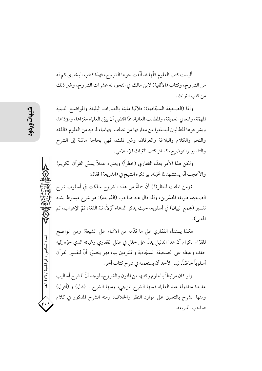أليست كتب العلوم كلَّها قد ألَّفت حولها الشر وح، فهذا كتاب البخاري كم له من الشروح، وكتاب (الألفية) لابن مالك في النحو، له عشرات الشروح، وغير ذلك من كتب التراث.

وأمَّا (الصحيفة السجَّادية): فلأُمَّها مليئة بالعبارات البليغة والمواضيع الدينية المهمَّة، والمعاني العميقة، والمطالب العالية، ممَّا اقتضى أن يبيِّن العلياء مغز اها، ومؤدَّاها، ويشر حوها للطالبين ليتمتَعوا من معارفها من مختلف جهاتها، لما فيه من العلوم كاللغة والنحو والكلام والبلاغة والعرفان، وغير ذلك، فهي بحاجة ماسّة إلى الشرح والتفسير والتوضيح، كسائر كتب التراث الإسلامي.

ولكن هذا الأمر يعدُّه القفاري (خطراً) ويعتبره عملاً يمسُّ القرآن الكريم! والأعجب أنَّه يستشهد لما تخيِّله، بما ذكره الشيخ في (الذريعة) فقال:

(ومن الملفت للنظر(!) أنَّ جملةً من هذه الشروح سلكت في أسلوب شرح الصحيفة طريقة المفسِّرين، ولذا قال عنه صاحب (الذريعة): هو شرح مبسوط يشبه تفسير (مجمع البيان) في أسلوبه، حيث يذكر الدعاء أوّلاً، ثمّ اللغة، ثمّ الإعراب، ثم المعنى).

هكذا يستدلُّ القفاري على ما قدَّمه من الاتَّهام على الشيعة! ومن الواضح للقرَّاء الكرام أن هذا الدليل يدلُّ على خلل في عقل القفاري وغبائه الذي جرَّه إليه حقده وغيظه على الصحيفة السجّادية والملتزمين بها، فهو يتصوَّر أنَّ لتفسير القرآن أسلوباً خاصّاً، ليس لأحد أن يستعمله في شرح كتاب آخر.

ولو كان مرتبطاً بالعلوم وكتبها من المتون والشروح، لوجد أنَّ للشرح أساليب عديدة متداولة عند العلماء فمنها الشرح المزجي، ومنها الشرح بـ (قال) و (أقول) ومنها الشرح بالتعليق على موارد النظر والخلاف، ومنه الشرح المذكور في كلام صاحب الذريعة.

العدد السادس / ذو الحجة / ٣٦٦ هـ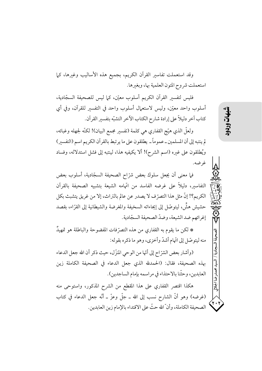وقد استعملت تفاسير القرآن الكريم، بجميع هذه الأساليب وغيرها، كما استعملت شروح المتون العلمية بها، وبغيرها.

فليس لتفسير القرآن الكريم أسلوب معيّن، كما ليس للصحيفة السجّادية، أسلوب واحد معيّن، وليس لاستعمال أسلوب واحد في التفسير للقرآن، وفي أي كتاب آخر دليلاً على إرادة شارح الكتاب الآخر التشبّه بتفسير القرآن.

ولعلَّ الذي هيَّج القفاري هي كلمة (تفسير مجمع البيان)! لكنَّه لجهله وغبائه، لم ينتبه إلى أن المسلمين ــ عمو ماً ــ يطلقو ن على ما ير تبط بالقر آن الكر يم اسم (التفسير) ويُطلقون على غيره (اسم الشرح)! ألا يكيفيه هذا، لينتبه إلى فشل استدلاله، وفساد غرضه.

فيا معنى أن يجعل سلوك بعض شرّاح الصحيفة السجّادية، أسلوب بعض التفاسير، دليلاً على غرضه الفاسد من اتّهامه الشيعة بتشبيه الصحيفة بالقرآن الكريم؟! إنَّ مثل هذا التصرِّ ف لا يصدر عن عالم بالتراث، إلا من غريق يتشبث بكل حشيش هشٍّ، ليتوصَّل إلى إيحاءاته السخيفة والمغرضة والشيطانية إلى القرَّاء، بقصد إغرائهم ضد الشيعة، وضدّ الصحيفة السجّادية.

\* لكن ما يقوم به القفاري من هذه التصرّفات المفضوحة والباطلة هو تمهيدٌ منه ليتوصّل إلى اتّهام أشدّ وأخزى، وهو ما ذكره بقوله:

(وأشار بعض الشرّ اح إلى أنّها من الوحي المنزّ ل، حيث ذكر أن الله جعل الدعاء بهذه الصحيفة، فقال: (الحمدلله الذي جعل الدعاء في الصحيفة الكاملة زين العابدين، وحثَّنا بالاحتذاء في مراسمه بإمام الساجدين).

هكذا اقتصر القفاري على هذا المقطع من الشرح المذكور، واستوحى منه (غرضه) وهو أنَّ الشارح نسب إلى الله ـ جلَّ وعزَّ ـ أنَّه جعل الدعاء في كتاب الصحيفة الكاملة، وأنَّ الله حثَّ على الاقتداء بالإمام زين العابدين.

## شهات

محمدر ضا الجلالي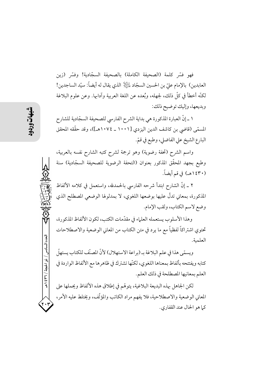فهو فسَّر كلمة (الصحيفة الكاملة) بالصحيفة السجّادية! وفسَّر (زين العابدين) بالإمام عليّ بن الحسين السجّاد لِمَائِلِلا الذي يقال له أيضاً: سيّد الساجدين! لكنَّه أخطأ في كلِّ ذلك، لجهله، وبُعده عن اللغة العربية وآدابها. وعن علوم البلاغة وبديعها، وإليك توضيح ذلك:

١ ـ إنَّ العبارة المذكورة هي بداية الشرح الفارسي للصحيفة السجّادية للشارح المسمَّى (قاضي بن كاشف الدين اليزدي [١٠٠١ \_ ١٠٧٤هـ])، وقد حقَّقه المحقق البارع الشيخ علي الفاضلي، وطبع في قمّ.

واسم الشرح (تحفة رضوية) وهو ترجمة لشرح كتبه الشارح نفسه بالعربية، وطبع بجهد المحقَّق المذكور بعنوان (التحفة الرضوية للصحيفة السجّادية) سنة (١٤٣٠هـ) في قم أيضاً.

٢ ـ إنَّ الشارح ابتدأ شرحه الفارسي بالحمدلله، واستعمل في كلامه الألفاظ المذكورة، بمعاني تدلُّ عليها بوضعها اللغوي، لا بمدلولها الوضعي المصطلح الذي وضع لاسم الكتاب، ولقب الإمام.

وهذا الأسلوب يستعمله العلماء في مقدَّمات الكتب، لكون الألفاظ المذكورة، تحتوي اشتراكاً لفظياً مع ما يرد في متن الكتاب من المعاني الوضعية والاصطلاحات العلمية.

ويسمَّى هذا في علم البلاغة بـ (براعة الاستهلال) لأنَّ المصنَّف للكتاب يستهلَّ إ كتابه ويفتتحه بألفاظ بمعناها اللغوي، لكنّها تشترك في ظاهرها مع الألفاظ الواردة في العلم بمعانيها المصطلحة في ذلك العلم.

لكن الجاهل بهذه البديعة البلاغية، يتوهَّم في إطلاق هذه الألفاظ ويحملها على المعاني الوضعية والاصطلاحية، فلا يفهم مراد الكاتب والمؤلَّف، ويختلط عليه الأمر، كما هو الحال عند القفاري.

العدد السادس / ذو الحجة / ٣٦٦ ه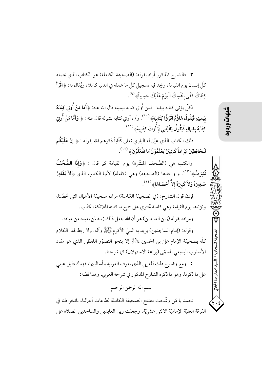٣ ـ فالشارح المذكور أراد بقوله: (الصحيفة الكاملة) هو الكتاب الذي يحمله كلِّ إنسان يوم القيامة، ويجد فيه تسجيل كلِّ ما عمله في الدنيا كاملا، ويُقال له: ﴿اقْرَأْ كِتَابَكَ كَفَى بِنَفْسِكَ الْيَوْمَ عَلَيْكَ حَسِيباً﴾ <sup>(٩)</sup>.

فكلِّ يؤتى كتابه بيده: فمن أُوتي كتابه بيمينه قال الله عنه: ﴿أَمَّا مَنْ أُوتِيَ كِتَابَهُ بِيَمينِهِ فَيَقُولُ هَاؤُمُ اقْرَؤُا كِتَابِيَهْ﴾  $^{(+)}.$  و/ ، أوتي كتابه بشماله قال عنه : ﴿ وَأَمَّا مَنْ أُوتِيَ كِتَابَهُ بِشِهالِهِ فَيَقُولُ يَالَيْتَنِي لَمْ أُوتَ كِتَابِيهْ﴾ (١١١).

ذلك الكتاب الذي عيّن له الباري تعالى كُتّاباً ذكرهم الله بقوله : ﴿ إِنَّ عَلَيْكُم لَحَافِظِيْنَ كِرَاماً كَاتِبِيْنَ يَعْلَمُوْنَ مَا تَفْعَلُوْنَ ﴾ (١٢).

والكتب هي (الصُحف المنشَّرة) يوم القيامة كما قال : ﴿وَإِذَا الصُّحُفُ نُشِرَتْ﴾ (١٣). و واحدها (الصحيفة) وهي (كاملة) لأنّها الكتاب الذي ﴿لاَ يُغَادِرُ صَغِيرَةً وَلاَ كَبِيرَةً إِلاَّ أَحْصَاهَا﴾  $^{(31)}$ .

فإذن قول الشارح: (في الصحيفة الكاملة) مراده صحيفة الأعمال التي تخصّنا، ونؤتاها يوم القيامة وهي كاملة تحتوي على جميع ما كتبته الملائكة الكتّاب.

ومراده بقوله (زين العابدين) هو أن الله جعل ذلك زينة لمن يعبده من عباده. وقوله: (إمام الساجدين) يريد به النبيِّ الأكرم ﷺ وآله. ولا ربط لهذا الكلام كلَّه بصحيفة الإمام عليّ بن الحسين لِلتِّلِلَّا إِلا بنحو التصوّر اللفظي الذي هو مفاد الأسلوب البديعي المسمّى (براعة الاستهلال) كما شرحنا.

٤ \_ ومع وضوح ذلك للعربي الذي يعرف العربية وأساليبها، فهناك دليل عيني على ما ذكرنا، وهو ما ذكره الشارح المذكور في شرحه العربي، وهذا نصّه:

## بسم الله الرحمن الرحيم

نحمد يا مَن وشَّحت مفتتح الصحيفة الكاملة لطاعات أعمالنا، بانخراطنا في الفرقة العليّة الإماميّة الاثني عشريّة. وجعلت زين العابدين والساجدين الصلاة على شهات

يحمدرضا الجلالى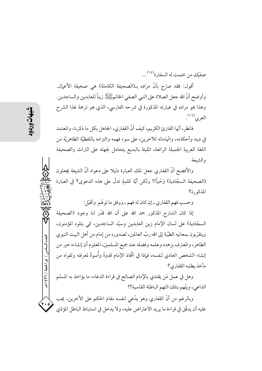صفيّك من ختمت له السفارة<sup>(١٥)</sup>...

أقول: فقد صرَّح بأنَّ مراده بـ(الصحيفة الكاملة) هي صحيفة الأعمال. وأوضح أنَّ الله جعل الصلاة على النبي الصفي الخاتمﷺ زيناً للعابدين والساجدين. وهذا هو مراده في عبارته المذكورة في شرحه الفارسي، الذي هو ترجمة لهذا الشرح العربي<sup>(١٦)</sup>.

فانظر ، أيِّها القارئ الكريم، كيف أنَّ القفاري، الجاهل بكل ما ذكر نا، والمعتمد في دينه وأحكامه، واتَّهاماته للآخرين، على سوء فهمه والتزامه باللفظيَّة الظاهريَّة من اللغة العربية الجميلة الرائعة، المليئة بالبديع يتحامل لجهله على التراث والصحيفة والشبعة.

والأفضح أنَّ القفاري جعل تلك العبارة دليلا على دعواه أنَّ الشيعة يجعلون (الصحيفة السجّادية) وَحْياً!! ولكن أيّة كلمةٍ تدلّ على هذه الدعوى؟ في العبارة المذكورة؟

وحسب فهم القفاري\_ إن كان له فهم\_ووفق ما توهّم وتخيّل:

إذا كان الشارح المذكور حمد الله على أن الله قدَّر لنا وجود (الصحيفة السجّادية) على لسان الإمام زين العابدين وسيّد الساجدين، كي يتلوه المؤمنون، ويتقرَّبون بمعانيه الطيِّبة إلى الله ربِّ العالمين، لصدوره من إمام من أهل البيت النبوي الطاهر، والمعترف بزهده وعلمه وفضله عند جميع المسلمين، المعلوم أن إنشاءه خير من إنشاء الشخص العادي لنفسه، فماذا في اتَّخاذ الإمام قدوةً وأسوةً لمعرفته وتقواه من مأخذ يطلبه القفاري؟

وهل في عمل مَن يقتدي بالإمام الصالح في قراءة الدعاء، ما يؤاخذ به المسلم الداعي، ويتَّهم بتلك التهم الباطلة القاسية؟!

وبالرغم من أنَّ القفاري وهو يدَّعي لنفسه مقام الحكم على الآخرين، يجب عليه أن يدقِّق في قراءة ما يريد الاعتراض عليه، ولا يدخل في استنباط الباطل المؤدِّي

العدد السادس / ذو الحجة / ٣٦ ٤ هـ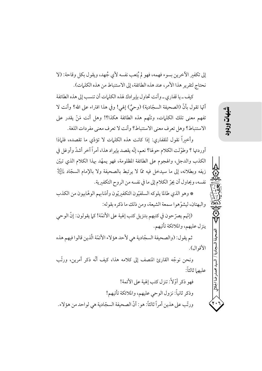إلى تكفير الأخرين بسوء فهمه، فهو لم يُتعب نفسه لأي جُهد، ويقول بكل وقاحة: (لا نحتاج لتقرير هذا الأمر، عند هذه الطائفة، إلى الاستنباط من هذه الكلمات).

كيف ـ يا قفاري ـ و أنت تجاو ل بإير ادك هذه الكليات أن تنسب إلى هذه الطائفة أنَّها تقول بأنَّ (الصحيفة السجَّادية) (وحيٌّ) إلهي! وفي هذا افتراء على الله؟ وأنت لا تفهم معنى تلك الكلمات، وتتَّهم هذه الطائفة هكذا؟! وهل أنت مَنْ يقدر على الاستنباط؟ وهل تعرف معنى الاستنباط؟ وأنت لا تعرف معنى مفردات اللغة.

وأخبراً نقول للقفاري: إذا كانت هذه الكليات لا تؤدّي ما تقصده، فلياذا أوردتها ؟ وطوَّلت الكلام حولها؟ نعم، إنَّه يقصد بإيراد هذا، أمراً آخر أشدَّ وأوغل في الكذب والدجل، والهجوم على الطائفة المظلومة، فهو يمهّد بهذا الكلام الذي تبيّن زيفه وبطلانه، إلى ما سيدخل فيه ممَّا لا يرتبط بالصحيفة ولا بالإمام السجّاد لِلتِّلِلْإ نفسه، ويحاول أن يجرِّ الكلام إلى ما في نفسه من الروح التكفيرية.

\* وهو الذي طالما يلوكه السلفيّون التكفيريّون وأذنابهم الوهّابيون من الكذب والبهتان، ليشوِّهوا سمعة الشيعة، ومن ذلك ما ذكره بقوله:

(إنّهم يصرّ حون في كتبهم بتنزيل كتب إلهية على الأئمّة! كيا يقولون: إنّ الوحي ينزل عليهم، والملائكة تأتيهم.

ثم يقول: (والصحيفة السجّادية هي لأحد هؤ لاء الأئمّة الّذين قالوا فيهم هذه الأقوال).

ونحن نوجِّه القارئ المنصف إلى كلامه هذا، كيف أنَّه ذكر أمرين، ورتَّب عليهما ثالثاً:

فهو ذكر أوِّلاً: تنزل كتب إلهية على الأئمة! وذكر ثانياً: نزول الوحي عليهم، والملائكة تأتيهم! ورتَّب على هذين أمراً ثالثاً: هو: أنَّ الصحيفة السجّادية هي لواحد من هؤلاء.

شهات

سيد محمدر ضا الجلال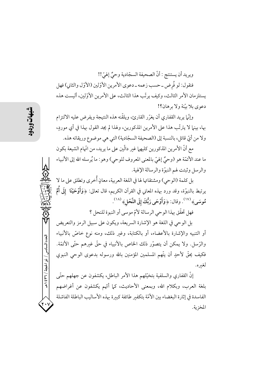ويريد أن يستنتج : أنَّ الصحيفة السجّادية وحيٌّ إلهيِّ!!

فنقول: لو فُرض ــ حسب زعمه ــ دعوى الأمرين الأوّلين (الأوّل والثاني) فهل يستلزمان الأمر الثالث، وكيف يرتَّب هذا الثالث، على الأمرين الأوِّلين، أليست هذه دعوى بلا بيّنة ولا بر هان؟!

وإنَّما يريد القفاري أن يغرِّر القارئ، ويلقَّنه هذه النتيجة ويفرض عليه الالتزام بها، بينها لا يترتَّب هذا على الأمرين المذكورين، ولهذا لم يجد القول بهذا في أي موردٍ، ولا من أيِّ قائل، بالنسبة إلى (الصحيفة السجّادية) التي هي موضوع وريقاته هذه.

مع أنَّ الأمرين المذكورين كليهها غير دالّين على ما يريد، من اتّهام الشيعة بكون ما عند الأئمّة هو (وحيٌّ إلهيّ بالمعنى المعروف للوحي) وهو: ما يُرسله الله إلى الأنبياء والرسل وثبتت لهم النبوّة والرسالة الإلهية.

بل كلمة (الوحي) ومشتقاتها لها في اللغة العربية، معانٍ أُخرى وتطلق على ما لا يرتبط بالنبوّة، وقد ورد بهذه المعاني في القرآن الكريم، قال تعالى: ﴿وَأَوْحَيْنَا ۖ إِلَى أُمِّ مُوسَى﴾ (١٧). وقال: ﴿وَأَوْحَى رَبُّكَ إِلَى النَّحْلِ﴾ (١٨).

فهل تحقَّق بهذا الوحي الرسالة لأمِّ موسى أو النبوة للنحل ؟

بل الوحي في اللغة هو الإشارة السريعة، ويكون على سبيل الرمز والتعريض أو التنبيه والإشارة بالأعضاء، أو بالكتابة، وغبر ذلك، ومنه نوع خاصٍّ بالأنبياء والرِّسلِ. ولا يمكن أن يتصوَّر ذلك الخاص بالأنبياء في حقٍّ غيرِهم حتَّى الأئمَّة. فكيف يحقُّ لأحدٍ أن يتَّهم المسلمين المؤمنين بالله ورسوله بدعوى الوحى النبوي لغىره.

إنَّ القفاري والسلفية بتخيَّلهم هذا الأمر الباطل، يكشفون عن جهلهم حتَّى بلغة العرب، وبكلام الله، وبمعنى الأحاديث، كما أنَّهم يكشفون عن أغراضهم الفاسدة في إثارة البغضاء بين الأمّة بتكفير طائفة كبيرة بهذه الأساليب الباطلة الفاشلة المخزية.

العدد السادس / ذو الحجة / ٣٦٦ هـ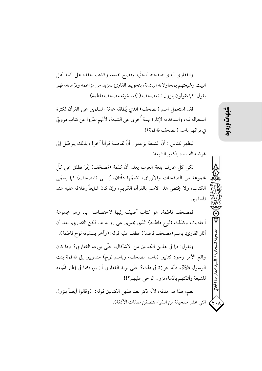والقفاري أبدي صفحته للحقّ، وفضح نفسه، وكشف حقده على أئمّة أهل البيت وشيعتهم بمحاولاته اليائسة، بتحويط القارئ بمزيد من مزاعمه وترّهاته، فهو يقول: كما يقولون بنزول : (مصحف (!) يسمَّونه مصحف فاطمة).

فقد استعمل اسم (مصحف) الذي يُطلقه عامّة المسلمين على القرآن لكثرة استعماله فيه، واستخدمه لإثارة تهمة أُخرى على الشيعة، لأنّهم عبّروا عن كتاب مرويّ في تراثهم باسم (مصحف فاطمة)!

ليظهر للناس : أنَّ الشيعة يزعمون أنَّ لفاطمة قرآناً آخر! وبذلك يتوصَّل إلى غرضه الفاسد، بتكفير الشبعة!

لكن كلِّ عارفٍ بلغة العرب يعلم أنَّ كلمة (مُصحَفٍ) إنَّما تطلق على كلِّ مجموعة من الصفحات والأوراق، تضمّها دفّتان، يُسمّى (المصحف) كما يسمّى الكتاب، ولا يختص هذا الاسم بالقرآن الكريم، وإن كان شايعاً إطلاقه عليه عند المسلمين.

فمصحف فاطمة، هو كتاب أضيف إليها لاختصاصه بها، وهو مجموعة أحاديث، وكذلك (لوح فاطمة) الذي يحتوي على رواية لها. لكن القفاري، بعد أن أثار القارئ، باسم (مصحف فاطمة) عطف عليه قوله: (وآخر يسمُّونه لوح فاطمة).

ونقول: فما في هذين الكتابين من الإشكال، حتّى يورده القفاري؟ فإذا كان واقع الأمر وجود كتابين (باسم مصحف، وباسم لوح) منسوبين إلى فاطمة بنت الرسول ﴾ﷺ، فأيَّة حزازة في ذلك؟ حتَّى يريد القفاري أن يوردهما في إطار اتَّهامه للشيعة وأئمّتهم بادّعاء نزول الوحى عليهم؟!!

نعم، هذا هو هدفه، لأنَّه ذكر بعد هذين الكتابين قوله: (وقالوا أيضاً بنزول اثني عشر صحيفة من السّماء تتضمّن صفات الأئمّة). حمدرضا الجلالي

 $\langle \mathbf{y} \rangle$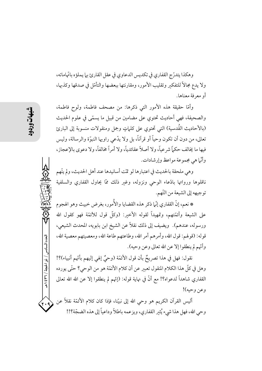وهكذا يتدرَّج القفاري في تكديس الدعاوي في عقل القارئ بها يملؤه باتَّهاماته، ولا يدع مجالاً للتفكير وتقليب الأمور، ومقارنتها ببعضها والتأمّل في صدقها وكذبها، أو معرفة معناها.

وأمَّا حقيقة هذه الأمور التي ذكرها: من مصحف فاطمة، ولوح فاطمة، والصحيفة، فهي أحاديث تحتوي على مضامين من قبيل ما يسمَّى في علوم الحديث (بالأحاديث القُدسية) التي تحتوي على كلماتٍ وجملٍ ومنقولات منسوبة إلى البارئ تعالى، من دون أن تكون وحياً أو قرآناً، بل ولا يدَّعي راويها النبوّة والرسالة، وليس فيها ما يُخالف حكياً شرعياً، ولا أصلاً عقائدياً، ولا أمراً مخالفاً، ولا دعوى بالإعجاز ، وأنَّما هي مجموعة مواعظ وإرشادات.

وهي ملحقة بالحديث في اعتبارها لو تمّت أسانيدها عند أهل الحديث، ولم يتّهم ناقلوها ورواتها بادّعاء الوحى ونزوله، وغير ذلك ممّا يحاول القفاري والسلفية توجيهه إلى الشيعة من التّهم.

\* نعم، إنَّ القفاري إنَّما ذكر هذه القضايا والأُمور، بغرض خبيث وهو الهجوم على الشيعة وأئمّتهم، وتمهيداً لقوله الأخير: (وكلّ قول للأئمّة فهو كقول الله ورسوله، عندهم). ويضيف إلى ذلك نقلاً عن الشيخ ابن بابويه، المحدث الشيعي، قوله: (قولهم: قول الله، وأمرهم أمر الله، وطاعتهم طاعة الله، ومعصيتهم معصية الله، وأُنَّهم لم ينطقوا إلا عن الله تعالى وعن وحيه).

نقول: فهل في هذا تصريحٌ بأن قول الأئمّة (وحيٌ إلهي إليهم بأنّهم أنبياء)؟! وهل في كلِّ هذا الكلام المنقول تعبير عن أن كلام الأئمَّة هو من الوحي؟ حتَّى يورده القفاري شاهداً لدعواه؟! مع أنَّ في نهاية قوله: (إنَّهم لم ينطقوا إلا عن الله الله تعالى وعن وحيه)!

أليس القرآن الكريم هو وحي الله إلى نبيّنا، فإذا كان كلام الأئمّة نقلاً عن وحي الله، فهل هذا شيء يُثير القفاري، ويزعمه باطلاً وداعياً إلى هذه الضجّة؟!!

العدد السادس / ذو الحجة / ٣٦٦ هـ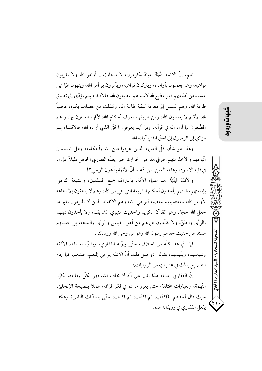نعم، إنَّ الأئمة لِمُهْتِلِكُمْ عبادٌ مكرمون، لا يتجاوزون أوامر الله ولا يقربون نواهيه، وهم يعملون بأوامره، ويتركون نواهيه، ويأمرون بها أمر الله، وينهون عمَّا نهي عنه، ومن أطاعهم فهو مطيع لله لأتَّهم هم المطيعون لله، فالاقتداء بهم يؤدِّي إلى تطبيق طاعة الله، وهم السبيل إلى معرفة كيفية طاعة الله، وكذلك من عصاهم يكون عاصياً ۖ لله، لأنَّهم لا يعصون الله، ومن طريقهم تعرف أحكام الله، لأنَّهم العالمون بها، و هم المطَّلعون بها أراد الله في قرآنه، وبها أنَّهم يعرفون الحقَّ الذي أراده الله؛ فالاقتداء بهم مؤدّى إلى الو صول إلى الحقّ الذي أراده الله.

وهذا هو شأن كلِّ العلياء الذين عرفوا دين الله وأحكامه، وعلى المسلمين اتّباعهم والأخذ منهم. فما في هذا من الحزازة، حتى يعدّه القفاري الجاهل دليلاً على ما في قلبه الأسود، وعقله العفن، من ادّعاء أنّ الأئمّة يدّعون الوحي؟!

والأئمَّة لِمُهْتِكِمْ هم علياء الأمَّة، باعتراف جميع المسلمين، والشيعة التزموا بإمامتهم، فمنهم يأخذون أحكام الشريعة التي هي من الله، وهم لا ينطقون إلا اطاعة لأوامر الله، ومعصيتهم معصية لنواهي الله، وهم الأتقياء الذين لا يلتزمون بغير ما جعل الله حجَّة، وهو القرآن الكريم والحديث النبوي الشريف، ولا يأخذون دينهم بالرأي والظنّ، ولا يقلّدون غيرهم من أهل القياس والرأي والبدعة، بل حديثهم مسند عن حديث جدّهم رسول الله وهو من وحي الله ورسالته.

فيه في هذا كلُّه من الخلاف، حتَّى يهوَّله القفاري، ويشوَّه به مقام الأئمَّة وشيعتهم، ويتَّهمهم، بقوله: (وأصل ذلك أنَّ الأئمَّة يوحي إليهم، عندهم، كما جاء التصريح بذلك في عشراتٍ من الروايات).

إنَّ القفاري بعمله هذا يدل على أنَّه لا يُخاف الله، فهو بكلَّ وقاحة، يكرَّر التَّهمة، وبعبارات مختلفة، حتى يغرز مراده في فكر قرَّائه، عملاً بنصيحة الإنجليز، حيث قال أحدهم: (اكذب، ثمّ اكذب، ثمّ اكذب، حتّى يصدّقك الناس) وهكذا يفعل القفاري في وريقاته هذه. سيد محمدرضا الجلالى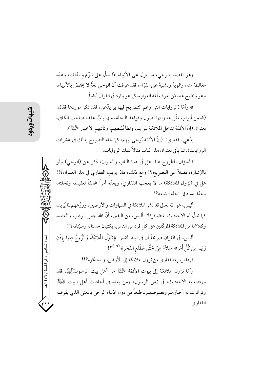وهو يقصد بالوحي، ما ينزل على الأنبياء ممّا يدلّ على نبوّتهم بذلك، وهذه مغالطة منه، وتمويهٌ وتشبيهٌ على القرّاء، فقد عرفت أنَّ الوحى لغةً لا يختصُّ بالأنبياء، وهو واضح عند مَن يعرف لغة العرب، كما هو وارد في القرآن أيضاً.

\* وأمَّا (الروايات التي زعم التصريح فيها بها يدَّعي، فقد ذكر موردها فقال: (ضمن أبواب تمثّل عناوينها أصول وقواعد النحلة، منها بابٌ عقده صاحب الكافي، بعنوان (إنَّ الأئمَّة تدخل الملائكة بيوتهم، وتطأ بُسُطهم، وتأتيهم الأخبار الصَّلِمْ ).

يدَّعي القفاري: (إنَّ الأئمَّة يُوحي ليهم، كما جاء التصريح بذلك في عشرات الروايات). ثمّ يأتي بعنوان هذا الباب مثالاً لتلك الروايات.

فالسؤال المطروح هنا: هل في هذا الباب والعنوان، ذكر عن (الوحى) ولو بالإشارة، فضلاً عن التصريح؟! ومع ذلك، ماذا يريب القفاري في هذا العنوان؟!! هل في (نزول الملائكة) ما لا يعجب القفاري، ويعدُّه أمراً مخالفاً لعقيدته ونحلته، ولهذا ينسبه إلى نحلة الشيعة؟!

أليس، هو الله تعالى قد نشر الملائكة في السماوات والأرضين، ووزَّعهم لما يُريد، كيا تدلَّ له الأحاديث المتضافرة؟! أليس، من البقين، أنَّ الله جعل الرقيب والعتبد، وكلاهما من الملائكة الموكَّلين على كلِّ فرد من الناس، يكتبان حسناته وسيِّئاته؟!!

أليس، في القرآن صريحاً أن في ليلة القدر: ﴿تَنَزَّلُ الْمَلاَئِكَةُ وَالرُّوحُ فِيهَا بِإِذْنِ رَبِّهم مِن كُلِّ أَمْرِ\* سَلاَمٌ هِيَ حَتَّى مَطْلَعِ الْفَجْرِ﴾ (٢١٩)؟!

فإذا يريب القفاري من نزول الملائكة إلى الأرض، ويستنكره؟!!

وأمَّا نزول الملائكة إلى بيوت الأئمَّة لِمُهْتِلِكُ من أهل بيت الرسولﷺ، فقد وردت به الأحاديث، في زمن الرسول، ومن بعده في أحاديث أهل البيت لِلْمَيِّلِيُّ وتواترت به أخبارهم ونصوصهم ــ طبعاً من دون ادّعاء الوحي بالمعنى الذي يفرضه القفاري ــ .

العدد السادس / ذو الحجة / ٣٦٦ هـ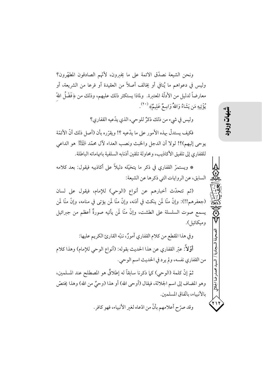ونحن الشيعة نصدَّق الائمة على ما يخبرون، لأنَّهم الصادقون المطهَّرون؟ وليس في دعواهم ما يُنافي أو يُخالف أصلاً من العقيدة أو فرعا من الشريعة، أو معارضاً لدليل من الأدلَّة المعتبرة. ۖ ولماذا يستكثر ذلك عليهم، وذلك من ﴿فَضْلُ اللَّهّ يُؤْتِيهِ مَن يَشَاءُ وَاللهُ وَاسِعٌ عَلِيمٌ» (٢٠).

وليس في شيء من ذلك ذكرٌ للوحي، الذي يدّعيه القفاري؟

فكيف يستدلُّ مهذه الأمور على ما يدَّعيه ؟! ويقرِّره بأن (أصل ذلك أنَّ الأئمَّة يوحي إليهم)؟! لولا أن الدجل والخبث ونصب العداء لآل محمَّد لِلْهَيِّلْأُ هو الداعي للقفاري إلى تلفيق الأكاذيب، ومحاولة تلقين أذنابه السلفية باتهاماته الباطلة.

\* ويستمرّ القفاري في ذكر ما يتخيّله دليلاً على أكاذيبه فيقول: بعد كلامه السابق، عن الروايات التي ذكرها عن الشيعة:

(ثم تتحدّث أخبارهم عن أنواع (الوحي) للإمام، فيقول على لسان (جعفرهم!!): وإنَّ منَّا لَمن ينكث في أذنه، وإنَّ منَّا لَمن يؤتي في منامه، وإنَّ منَّا لَمن يسمع صوت السلسلة على الطشت، وإنَّ منَّا لَمن يأتيه صورةٌ أعظم من جبرائيل وميكائيل).

وفي هذا المقطع من كلام القفاري أمورٌ، ننبّه القارئ الكريم عليها: أَوَّلاً: عبّر القفاري عن هذا الحديث بقوله: (أنواع الوحي للإمام) وهذا كلام من القفاري نفسه، ولم يرد في الحديث اسم الوحي.

ثمّ إنَّ كلمة (الوحى) كما ذكرنا سابقاً له إطلاقٌ هو المصطلح عند المسلمين، وهو المضاف إلى اسم الجلالة، فيقال (أوحى الله) أو هذا (وحيٌ من الله) وهذا يختصَّ بالأنبياء، باتّفاق المسلمين. وقد صرّح أعلامهم بأنّ من ادّعاه لغير الأنبياء، فهو كافر.

انسان<br>آلتا

محمدرضا الجلال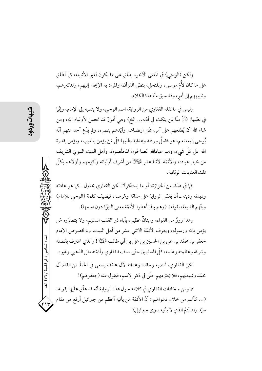ولكن (الوحى) في المعنى الآخر، يطلق على ما يكون لغير الأنبياء، كيا أطلق على ما كان لأُمّ موسى، وللنحل، بنصّ القرآن، والمراد به الإيحاء إليهم، وتذكيرهم، وتنبيههم إلى أمر، وقد سبق منّا هذا الكلام.

وليس في ما نقله القفاري من الرواية، اسم الوحي، ولا ينسبه إلى الإمام، وإنَّها في نصّها: (أنَّ منّا لمن ينكث في أذنه… الخ) وهي أمورٌ قد تحصل لأولياء الله، ومن شاء الله أن يُطلعهم على أمر، ممَّن ارتضاهم وأيّدهم بنصره، ولم يدّع أحد منهم أنّه يُوحى إليه، نعم، هو فضلٌ ورحمة وهداية يطلبها كلُّ مَن يؤمن بالغيب، ويؤمن بقدرة الله على كلُّ شيء، وهم عبادالله الصالحون المخلَصون، وأهل البيت النبوى الشريف من خيار عباده، والأئمّة الاثنا عشر لِلْهَيْلِ من أشرف أوليائه وأكرمهم وأولاهم بكلّ تلك العنايات المتانية.

فيا في هذا، من الحزازة، أو ما يستنكر؟! لكن القفاري يحاول ــ كيا هو عادته وديدنه ودينه \_ أن يفسَّر الرواية على مذاقه وغرضه، فيضيف كلمة (الوحى للإمام) ويتَّهم الشيعة، بقوله: (وهم بهذا أعطوا الأئمَّة معنى النبوَّة دون اسمها).

وهذا زورٌ من القول، وبهتانٌ عظيم، يأباه ذو القلب السليم، ولا يتصوَّره مَن يؤمن بالله ورسوله، ويعرف الأئمَّة الاثني عشر من أهل البيت، وبالخصوص الإمام جعفر بن محمّد بن علي بن الحسين بن علي بن أبي طالب لهيمنيلاً ! والذي اعترف بفضله وشرفه وعظمته وعلمه، كلَّ المسلمين حتَّى سلف القفاري وأئمَّته مثل الذهبي وغيره.

لكن القفاري، لنصبه وحقده وعدائه لآل محمّد، يسعى في الحطّ من مقام آل محمّد وشيعتهم، فلا يحترمهم حتّى في ذكر الاسم، فيقول عنه (جعفرهم)!

\* ومن سخافات القفاري في كلامه حول هذه الرواية أنّه قد علّق عليها بقوله: (… كأنّهم من خلال دعواهم : أنّ الأئمّة مَن يأتيه أعظم من جبرائيل أرفع من مقام سيّد ولد آدمُ الذي لا يأتيه سوى جبرئيل)!

العدد السادس / ذو الحبجة / ٣٦ / ٤٣٩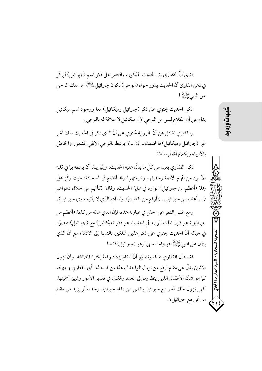فترى أنَّ القفاري بتر الحديث المذكور، واقتصر على ذكر اسم (جبرائيل) لبركِّز في ذهن القارئ أنَّ الحديث يدور حول (الوحي) لكون جبرائيل لِلنَّالِ هو ملك الوحي على النبيءَ الله الله !

لکن الحديث يحتوي على ذكر (جىرائيل وميكائيل) معا.ووجود اسم ميكائيل يدل على أن الكلام ليس من الوحي لأن ميكائيل لا علاقة له بالوحي.

والقفاري تغافل عن أنَّ الرواية تحتوي على أنَّ الذي ذكر في الحديث ملك آخر غير (جبرائيل وميكائيل) فالحديث ـ إذن ـ لا يرتبط بالوحي الإلهي المشهور والخاصّ بالأنبياء ويكلام الله لرسله!!

لكن القفاري بعيد عن كلَّ ما يدلُّ عليه الحديث، وإنَّـا يهمَّه أن يربطه بـا في قلبه الأسود من اتَّهام الأئمة وحديثهم وشيعتهم! وقد أفضع في السخافة، حيث ركَّز على جملة (أعظم من جبرائيل) الوارد في نهاية الحديث، وقال: (كأنَّهم من خلال دعواهم (... أعظم من جبرائيل...) أرفع من مقام سيّد ولد آدم الذي لا يأتيه سوى جبرائيل).

ومع غض النظر عن الخلل في عبارته هذه، فإنَّ الذي هاله من كلمة (أعظم من جبرائيل) هو كون الملك الوارد في الحديث هو ذكر (ميكائيل) مع (جبرائيل) فتصوّر في خياله أنَّ الحديث يحتوي على ذكر هذين الملكين بالنسبة إلى الأئمَّة، مع أنَّ الذي ينزل على النبيﷺ هو واحد منهما وهو (جبرائيل) فقط!

فقد هال القفاري هذا، وتصوّر أنّ المقام يزداد رفعةً بكثرة الملائكة، وأنّ نزول الإثنين يدلُّ على مقام أرفع من نزول الواحد! وهذا من ضحالة رأي القفاري وجهله، كما هو شأن الأطفال الذين ينظرون إلى العدد والكمّ، في تقدير الأمور وتمييز أهمّيتها. أفهل نزول ملك آخر مع جبرائيل ينقص من مقام جبرائيل وحده، أو يزيد من مقام من أتى مع جبرائيل؟.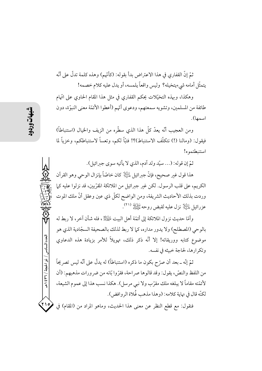ثمّ إنَّ القفاري في هذا الاعتراض بدأ بقو له: (كأنَّهم) وهذه كلمة تدلَّ على أنَّه يتمثَّل أمامه شيءيتخيله؟ وليس واقعاً يلمسه، أو يدل عليه كلام خصمه!

وهكذا، وبهذه التخيّلات يحكم القفاري في مثل هذا المقام الحاوي على اتّهام طائفة من المسلمين، وتشويه سمعتهم، ودعوى أُنّهم (أعطوا الأئمّة معنى النبوّة، دون اسمها).

ومن العجيب أنَّه يعدُّ كلَّ هذا الذي سطَّرِه من الزيف والخيال (استنباطاً) فيقول: (ومالنا (!) نتكلَّف الاستنباط)؟! فتبَّا لكم، وتعساً لاستنباطكم، وخزياً لما استنبطتموه!

ثمّ إن قوله: (... سيّد ولد آدم، الذي لا يأتيه سوى جبرائيل).

هذا قول غير صحيح، فإنَّ جبرائيل لِمَلِيُّلاٍ كان خاصّاً بإنزال الوحي وهو القرآن الكريم، على قلب الرسول. لكن غير جيرائيل من الملائكة المقرِّبين، قد نزلوا عليه كما وردت بذلك الأحاديث الشريفة، ومن الواضح لكلَّ ذي عين وعقل أنَّ ملك الموت عزرائيل الطِّيلَا ۖ نزل عليه لقبض روحه مَّيَّلِيلاً (٢١)

وأمَّا حديث نزول الملائكة إلى أئمَّة أهل البيت لِلْمَجَلَّةِ ، فله شأن آخر ، لا ربط له بالوحي (المصطلح) ولا يدور مداره، كما لا ربط لذلك بالصحيفة السجّادية الذي هو موضوع كتابه ووريقاته! إلا أنَّه ذكر ذلك، تهويلاً للأمر بزيادة هذه الدعاوي وتكرارها، لحاجة خبيثه في نفسه.

ثمّ إنّه ــ بعد أن صرّح بكون ما ذكره (استنباطاً) له يدلّ على أنّه ليس تصريحاً من اللفظ والنصِّ، يقول: وقد قالوها صر احة، فقرَّ وا بَّانه من ضر ورات مذهبهم: (أن لأئمّته مقاماً لا يبلغه ملك مقرّب ولا نبي مرسل). هكذا نسب هذا إلى عموم الشيعة، لكنَّه قال في نهاية كلامه: (وهذا مذهب غُلاة الروافض).

 $(Y \mid o)$ فنقول: مع قطع النظر عن معنى هذا الحديث، وماهو المراد من (المقام) في

العدد السادس / ذو الحجة / ٣٦ / ٤٣٩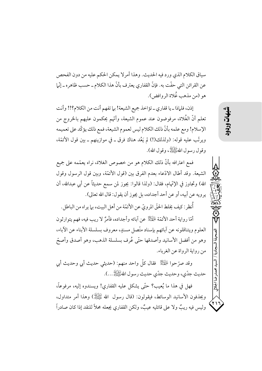سياق الكلام الذي ورد فيه الحديث. وهذا أمرلا يمكن الحكم عليه من دون الفحص عن القرائن التي حفّت به. فإنّ القفاري يعترف بأنّ هذا الكلام ـ حسب ظاهره ـ إنّها هو (من مذهب غُلاة الروافض).

إذن، فلماذا \_ يا قفاري \_ تؤاخذ جميع الشيعة! بيا تفهم أنت من الكلام؟!! وأنت تعلُّم أنَّ الغُلاة، مرفوضون عند عموم الشيعة، وأنَّهم يحكمون عليهم بالخروج من الإسلام! ومع علمه بأنَّ ذلك الكلام ليس لعموم الشيعة، فمع ذلك يؤكِّد على تعميمه ويرتَّب عليه قوله: (ولذلك(!) لم يَعُد هناك فرق ـ في موازينهم ـ بين قول الأئمَّة، وقو ل رسو ل اللهﷺ، وقو ل الله).

فمع اعترافه بأنَّ ذلك الكلام هو من خصوص الغلاة، نراه يعمُّمه على جميع الشيعة. وقد أطال الادّعاء بعدم الفرق بين (قول الأئمّة، وبين قول الرسول وقول الله) وتجاوز في الإتّهام، فقال: (ولذا قالوا: يجوز لمن سمع حديثاً عن أبي عبدالله، أن يرويه عن أبيه، أو عن أحد أجداده، بل يجوز أن يقول: قال الله تعالى).

أُنظر: كيف يخلط الحقّ المرويّ عن الأئمّة من أهل البيت، بما يراه من الباطل.

أمَّا رواية أحد الأئمَّة لِمَهْتِكِ عن آبائه وأجداده، فأمرٌ لا ريب فيه، فهم يتوارثون العلوم ويتناقلونه عن آبائهم بإسناد متّصل مسندٍ، معروف بسلسلة الأبناء عن الآباء، وهو من أفضل الأسانيد وأصدقها حتّى عُرف بسلسلة الذهب، وهو أصدق وأصتّ من رواية الرواة عن الغرباء.

وقد صرّ حوا الجَّيِّلْةُ ۖ فقال كلَّ واحد منهم: (حديثي حديث أبي وحديث أبي حديث جدّي، وحديث جدّي حديث رسو لِ اللهُ ﷺ...).

فهل في هذا ما يُعيب؟ حتَّى يشكل عليه القفاري! ويسندوه إليه، مرفوعاً، ويجذفون الأسانيد الوسائط، فيقولون: (قال رسول الله ﷺ) وهذا أمر متداول، وليس فيه ريبٌ ولا على قائليه عيبٌ، ولكن القفاري يجعله محلاً للنقد إذا كان صادراً شهات

محمدرضا الجلال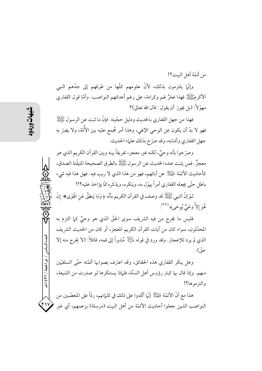من أئمّة أهل البيت؟!

وإنَّما يلتزمون بذلك، لأنَّ علومهم كلَّها من طرقهم إلى جدَّهم النبي الأكرمَّيَّةِ إِلَّهُ فَهَذَا فَخَرٌ لَهُمْ وكرامة، على رغم أعدائهم النواصب. وأمَّا قول القفاري مهوّلاً: (بل يجوز أن يقول : قال الله تعالى)؟

فهذا من جهل القفاري بالحديث ودليل حجّيته. فإنّ ما ثبت عن الرسول ﷺ فهو لا بدَّ أن يكون عن الوحي الإلهي، وهذا أمر مُجمع عليه بين الأُمَّة، ولا يضرّ به جهل القفاري وأذنابه، وقد صرّح بذلك علماء الحديث.

وصرَّ حوا بأنه وحيٌّ، لكنه غير معجز ، تفريقاً بينه وبين القر آن الكريم الذي هو معجزٌ. فمن يثبت عنده الحديث عن الرسول ﷺ بالطرق الصحيحة المتيقَّنة الصدق، كأحاديث الأئمَّة لِهَيِّلِنَّا عن آبائهم، فهو من هذا الذي لا ريب فيه. فهل هذا فيه شيء باطل حتّى يجعله القفاري أمراً يهوّل به، وينكره، ويذكره ممّا يؤاخذ عليه؟!!

ثمَّ إنَّ النبي ﷺ قد وصف في القرآن الكريم بأنَّه ﴿وَمَا يَنطِقُ عَنِ الْهَوَى۞ إِنْ هُوَ إِلاَّ وَحْيٌّ يُوحَى﴾ (٢٢).

فليس ما يُخرج من فيه الشريف سوى الحقّ الذي هو وحيٌّ كما التزم به المحدِّثون، سواء كان من آيات القرآن الكريم المعجز، أو كان من الحديث الشريف الذي لم يرد للإعجاز. وقد ورد في قوله لِمَالِئِيْلَ مُشْيَراً إلى فمه، قائلاً: (لا يخرج منه إلا حوٌّ) .

وهل ينكر القفاري هذه الحقائق، وقد اعترف بصوابها أئمّته حتّى السلفيّين منهم. وإذا قال بها كبار رؤوس أهل السنَّة، فلماذا يستنكرها لو صدرت من الشيعة، والتزموها؟!

هذا مع أنَّ الأئمَّة لِمُهْتِكِمْ ۚ إِنَّما أَكَّدوا على ذلك في كلَّماتهم، ردَّاً على المتعصِّبين من  $\overline{y}$ النواصب الذين جعلوا أحاديث الأئمّة من أهل البيت (مرسلة) بزعمهم، أي غير

العدد السادس / ذو الحجة / ٣٦٦ هـ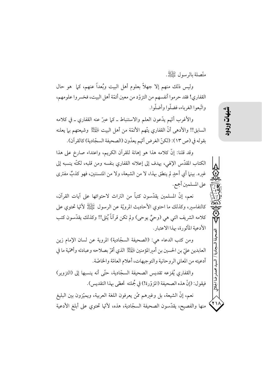متَّصِلة بالرسول ﷺ.

وليس ذلك منهم إلا جهلاً بعلوم أهل البيت وبُعداً عنهم، كما ً هو حال القفاري! فقد حرموا أنفسهم من التزوّد من معين أئمّة أهل البيت، فخسروا علومهم، واتَّبعوا الغرباء، فضلَّوا وأضلُّوا.

والأغرب أنَّهم يدَّعون العلم والاستنباط ـ كيا عبرٌ عنه القفاري ـ في كلامه السابق!! والأدهى أنَّ القفاري يتَّهم الأئمَّة من أهل البيت ﷺ وشيعتهم بها يعلنه بقوله في (ص ١٣): (لكنِّ الغرض أنَّهم يعدُّون (الصحيفة السجَّادية) كالقرآن).

وقد قلنا: إنَّ كلامه هذا هو إهانة للقرآن الكريم، واعتداء صارخ على هذا الكتاب المقدَّس الإلهي، يهدف إلى إعلانه القفاري بنفسه ومن قلبه، لكنَّه ينسبه إلى غيره. بينها أي أحدٍ لم ينطق بهذا، لا من الشيعة، ولا من المتسننين، فهو كذبٌ مفترى على المسلمين أجمع.

نعم، إنَّ المسلمين يقدَّسون كتباً من التراث لاحتوائها على آيات القرآن، كالتفاسير، وكذلك ما احتوى الأحاديث المرويّة عن الرسول ﷺ لأنّها تحتوي على كلامه الشريف التي هي (وحيٌ يوحي) ولم تكن قرآناً يُتلى!! وكذلك يقدّسون كتب الأدعية المأثورة، بهذا الاعتبار.

ومن كتب الدعاء هي: (الصحيفة السجَّادية) المروية عن لسان الإمام زين العابدين عليّ بن الحسين بن أميرالمؤمنين ﷺ الذي أقرّ بصلاحه وعبادته وأهمّية ما في أدعيته من المعاني الروحانية والتوجيهات، أعلام العامّة والخاصّة.

والقفاري يُفزعه تقديس الصحيفة السجّادية، حتّى أنه ينسبها إلى (التزوير) فيقول: (إنَّ هذه الصحيفة (المزوَّرة!) في جُملته تحظى بهذا التقديس).

نعم، إنَّ الشيعة، بل وغيرهم ممَّن يعرفون اللغة العربية، ويميّزون بين البليغ منها والفصيح، يقدَّسون الصحيفة السجَّادية، هذه، لأنَّها تحتوي على أبلغ الأدعية يشهان<br>آن

. ضابعلالی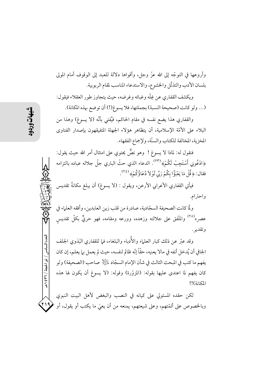وأروعها في التوجُّه إلى الله عزَّ وجلَّ، وأقواها دلالة للعبد إلى الوقوف أمام المولى بلسان الأدب والتذلّل والخشوع، والاستدعاء المناسب لمقام الربوبية.

ويكشف القفاري عن غِلَّه وغبائه وغرضه، حيث يتجاوز طور العقلاء فيقول: (... ولو كانت (صحيحة النسبة) بجملتها، فلا يسوغ(!) أن توضع بهذه المكانة).

والقفاري هذا يضع نفسه في مقام الحاكم، فيُفتى بأنَّه (لا يسوغ) وهذا من البلاء على الأمّة الإسلامية، أن يتظاهر هؤلاء الجهلة المتفيقهون بإصدار الفتاوى المخزية، المخالفة للكتاب والسنّة، ولإجماع الفقهاء.

فنقول له: لماذا لا يسوغ ! وهو نصٌّ يحتوي على امتثال أمر الله حيث يقول: ﴿ادْعُونِي أَسْتَجِبْ لَكُمْ﴾ (٢٣). الدعاء الذي حثّ الباري جلّ جلاله عباده بالتزامه فقال: ﴿ قُلْ مَا يَعْبَؤُا بِكُمْ رَبِّي لَوْلاَ دُعَاؤُكُمْ﴾ (٢٤).

فيأتي القفاري الأعرابي الأرعن، ويقول : (لا يسوغ) أن يبلغ مكانةً تقديس واحترام.

ولَّا كانت الصحيفة السجّادية، صادرة من قلب زين العابدين، وأفقه العلماء في عصره<sup>(٢٥</sup>) والمتَّفق على جلالته وزهده، وورعه ومقامه، فهو حريٌّ بكلَّ تقديس وتقدير .

وقد عبَّر عن ذلك كبار العلماء والأُدباء والبلغاء، فما للقفاري البَدَوي الجلف الجافي أن يُدخل أنفه في مالا يعنيه، حقًّا إنَّه ظالم لنفسه، حيث لم يعمل بيا يعلم، إن كان يفهم ما كتب في المبحث الثالث في شأن الإمام السجّاد لِلتِّلِ صاحب (الصحيفة) ولو كان يفهم لما اعتدى عليها بقوله: (المزوَّرة) وقوله: (لا يسوغ أن يكون لها هذه  $11(i)$ 

لكن حقده المستولي على كيانه في النصب والبغض لأهل البيت النبوي <u>۲۱۹</u> وبالخصوص على أئمّتهم، وعلى شيعتهم، يمنعه من أن يعيَ ما يكتب أو يقول، أو

العدد السادس / ذو الحجة / ٣٦٦ هـ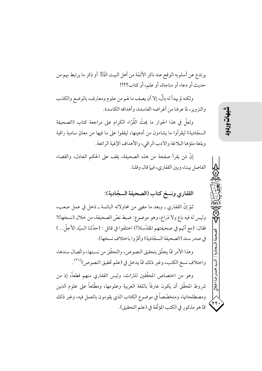يرتدع عن أسلوبه الوقح عند ذكر الأئمّة من أهل البيت لِمُهْلِّلاً أو ذكر ما يرتبط بهم من حديث أو دعاء أو مناجاة، أو علم، أو كتاب؟؟!!

ولكنه لم يهدأ له بالٌ، إلا أن يصف ما لهم من علوم ومعارف، بالوضع والكذب والتزوير، لما عرفنا من أغراضه الفاسدة، وأهدافه الكاسدة.

ولعلَّ في هذا الحوار ما يحثُّ القُرَّاء الكرام على مراجعة كتاب (الصحيفة السجّادية) ليقرأوا ما يشاءون من أدعيتها، ليقفوا على ما فيها من معانٍ سامية راقية وبلغة ملؤها البلاغة والادب الراقي، والأهداف الإلهية الرائعة.

إنَّ مَن يقرأ صفحة من هذه الصحيفة، يقف على الحكم العادل، والقضاء الفاصل بيننا، وبين القفاري، فيها قال وقلنا.

القفاري ونسخ كتاب (الصحيفة السجّادية):

ثمَّ إنَّ القفاري ـ وبعد ما مضي من محاولاته البائسة ـ دَخل في عملٍ صعبٍ، وليس له فيه باع ولا ذراع، وهو موضوع: ضبط نصِّ الصحيفة، من خلال (نسخها)! فقال: (مع أنَّهم في صحيفتهم المقدَّسة(!) اختلفوا في قائل : (حدَّثنا السيِّد الأجلِّ...) في صدر سند (الصحيفة السجّادية) وأقرِّ وا باختلاف نسخها).

وهذا الأمر ممَّا يتعلَّق بتحقيق النصوص، والتحقُّق من نسبتها، واتَّصال سندها، واختلاف نسخ الكتب، وغير ذلك ممّا يدخل في (علم تحقيق النصوص)(٢٦).

وهو من اختصاص المحقَّقين للتراث، وليس القفاري منهم قطعاً، إذ من شروط المحقَّق أن يكون عارفاً باللغة العربية وعلومها، ومطَّلعاً على علوم الدين ومصطلحاتها، ومتخصَّصاً في موضوع الكتاب الذي يقومون بالعمل فيه، وغير ذلك ممَّا هو مذكور في الكتب المؤلَّفة في (علم التحقيق).

区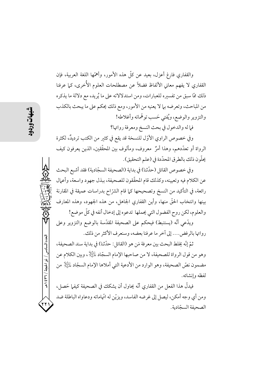والقفاري فارغ أعزل، بعيد عن كلَّ هذه الأمور، وأهمَّها اللغة العربية، فإن القفاري لا يفهم معاني الألفاظ فضلاً عن مصطلحات العلوم الأُخرى، كما عرفنا ذلك ممَّا سبقٍ من تفسيره للعبارات، ومن استدلالاته على ما يُريد، مع دلالة ما يذكره من المباحث، وتعرضه بيا لا يعنيه من الأمور، ومع ذلك يحكم على ما يبحث بالكذب والتزوير والوضع، ويُفتى حَسب توهَّماته وأغلاطه!

فيا له والدخول في بحث النسخ ومعرفة رواتها؟

وفي خصوص الراوي الأوَّل للنسخة قد يقع في كثير من الكتب ترديدٌ، لكثرة الرواة أو تعدَّدهم، وهذا أمرٌ ۖ معروف، ومألوف بين المحقَّقين، الذين يعرفون كيف يحلُّون ذلك بالطرق المحدَّدة في (علم التحقيق).

وفي خصوص القائل (حدّثنا) في بداية (الصحيفة السجّادية) فقد أشبع البحث عن الكلام فيه وتعيينه، وكذلك قام المحقِّقون للصحيفة، ببذل جهود واسعة، وأعمال رائعة، في التأكيد من النسخ وتصحيحها كما قام الشرّ اح بدراسات عميقة في المقارنة بينها وانتخاب الحقَّ منها، وأين القفاري الجاهل، من هذه الجهود، وهذه المعارف والعلوم، لكن روح الفضول التي يحملها تدعوه إلى إدخال أنفه في كلِّ موضع!

ويدَّعي أنَّه (يستنبط) فيحكم على الصحيفة المقدَّسة بالوضع والتزوير وعلى رواتها بالرفض.... إلى آخر ما عرفنا بعضه، وسنعرف الأكثر من ذلك.

ثمّ إنّه يخلط البحث بين معرفة مَن هو (القائل: حدّثنا) في بداية سند الصحيفة، وهو من قول الرواة للصحيفة، لا من صاحبها الإمام السجّاد لِمالِخَلاٍ، وبين الكلام عن مضمون نصِّ الصحيفة، وهو الوارد من الأدعية التي أملاها الإمام السجَّاد لِمليَّالٍا من لفظه وإنشائه.

فيدلُّ هذا الفعل من القفاري أنَّه يحاول أن يشكك في الصحيفة كيفيا حَصل، ومن أي وجه أمكن، ليصل إلى غرضه الفاسد، ويزيّن له اتّهاماته ودعاواه الباطلة ضد الصحيفة السجّادية.

العدد السادس / ذو الحيجة / ٣٦ / ٤٣٩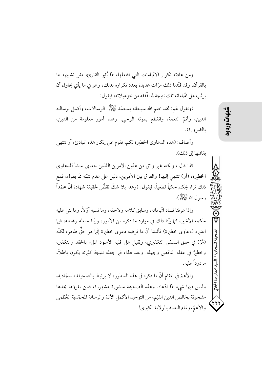ومن عادته تكرار الاتّهامات التي افتعلها، ممّا يُثير القارئ، مثل تشبيهه لها بالقرآن، وقد فنّدنا ذلك مرّات عديدة بعدد تكراره لذلك، وهو في ما يأتي يحاول أن ير تّب على اتّهاماته تلك نتيجة لما لفّفقه من خز عبلاته، فيقو ل:

(ونقول لهم: لقد ختم الله سبحانه بمحمَّد ﷺ الرسالات، وأكمل برسالته الدين، وأتمّ النعمة، وانقطع بموته الوحي. وهذه أمور معلومة من الدين، بالضرورة).

وأضاف: (هذه الدعاوي الخطيرة لكم، تقوم على إنكار هذه المبادئ، أو تنتهي ىقائلها إلى ذلك).

كذا قال ، ولكنه غير واثق من هذين الامرين اللذين جعلهما منشأ للدعاوي الخطيرة، (أو) تنتهي إليها! والفرق بين الأمرين، دليل على عدم تثبَّته ممَّا يقول، فمع ذلك تراه يحكم حكماً قطعياً، فيقول: (وهذا بلا شكِّ نقضٌ لحقيقة شهادة أنَّ محمّداً رسول الله ﷺ).

وإذا عرفنا فساد اتّهاماته، وسابق كلامه ولاحقه، وما نسبه أوَّلاً، وما بني عليه حكمه الأخير، كما بيّنا ذلك في موارد ما ذكره من الأمور، وبيّنا خلطه وغلطه، فيها اعتبره (دعاوى خطيرة) فأثبتنا أنَّ ما فرضه دعوى خطيرة إنَّما هو حقٌّ ظاهر، لكنَّه (مُرّ) في حلق السلفي التكفيري، وثقيل على قلبه الأسود المليء بالحقد والتكفير، وخطيرٌ في عقله الناقص وجهله. وبعد هذا، فيم جعله نتيجة كلماته يكون باطلاً، مر دو داً عليه.

والأهمِّ في المقام أنَّ ما ذكره في هذه السطور، لا يرتبط بالصحيفة السجّادية، وليس فيها شيء ممَّا ادَّعاه. وهذه الصحيفة منشورة مشهورة، فمن يقرؤها يجدها مشحونة بخالص الدين القيّم، من التوحيد الأكمل الأتمّ والرسالة المحمّدية العُظمى والأعمّ، وتمام النعمة بالولاية الكبرى!

医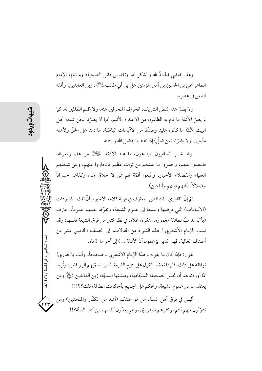وهذا يقتضي الحمدُ لله والشكر له، وتقديس قائل الصحيفة ومنشئها الإمام الطاهر عليّ بن الحسين بن أمير المؤمنين عليّ بن أبي طالب لِماثِيالٍ ، زين العابدين، وأفقه الناس في عصر ه.

ولا يضرِّ هذا النصِّ الشريف، انحراف المنحرفين عنه، ولا ظلم الظالمين له، كما لم يضرِّ الأئمَّة ما قام به الظالمون من الاعتداء الأثيم. كما لا يضرِّنا نحن شيعة أهل البيت لِلْهَيْلِ ما كالوه علينا وضدَّنا من الاتَّهامات الباطلة، ما دمنا على الحقَّ ولأهله متَّبعين. ولا يضرّ نا (من ضلّ) إذا اهتدينا بفضل الله ورحمته.

وقد خسر السلفيون المبتدعون، ما عند الأئمَّة ﷺ من علم ومعرفة، فابتعدوا عنهم، وخسروا ما عندهم من تراث عظيم فانحازوا عنهم، وعن شيعتهم العلماء والفضلاء الأخيار، واتَّبعوا أئمَّة لهم ممَّن لا خلاق لهم، وكفاهم خسراناً وضلالاً. (فلهم دينهم ولنا دين).

ثمّ إنّ القفاري ـ المتناقض ـ يعترف في نهاية كلامه الأخير، بأنّ تلك الشذوذات (الاتَّهامات) التي فرضها ونسبها إلى عموم الشيعة، وتقوَّلها عليهم عموماً، اعترف (بأنَّها مذهبٌ لطائفة مغمورة، منكرة، غلاه، في نظر كثير من فرق الشيعة نفسها: وقد نسب الإمام الأشعري ! هذه الشواذ من المقالات، إلى الصنف الخامس عشر من أصناف الغالية، فهم الذين يزعمون أنَّ الأئمَّة ...) إلى آخر ما ادِّعاه.

نقول: فإذا كان ما يقوله ــ هذا الإمام الأشعري ــ صحيحاً، وأنت يا قفاري! توافقه على ذلك، فلماذا تعمّم القول على جميع الشيعة الذين تسمّيهم الروافض، وتُريد ممَّا أوردته هنا أن تحشر الصحيفة السجّادية، ومنشئها السجّاد زين العابدين لِلْيَّالِا ومن يعتقد بها من عموم الشيعة، وتحكم على الجميع بأحكامك الظالمة، تلك؟؟!!!

أليس في فرق أهل السنَّة، مَن هو عندكم (أشدَّ من الكفَّار والملحدين) ومن تتبرَّأون منهم أنتم، وكفرهم ظاهر بيّن، وهم يعدّون أنفسهم من أهل السنّة؟!!

العدد السادس / ذو الحجة / ٣٦٦ / هـ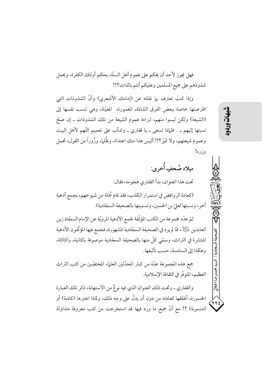فهل يجوز لأحد أن يحكم على عموم أهل السنّة، بحكم أولئك الكفرة، ويحمل شذوذهم على جميع المسلمين وعليكم أنتم بالذات؟!!

وإذا كنتَ تعترف بيا نقلته عن (إمامك الأشعري) وأنَّ الشذوذات التي افترضتها خاصة ببعض الفرق الشاذة، المغمورة، المعيّنة، وهي تنسب نفسها إلى (الشيعة) ولكن ليسوا منهم، لبراءة عموم الشيعة من تلك الشذوذات ـ إن صحّ نسبتها إليهم ـ . فلماذا تسعى ـ يا قفاري ـ وتدأب على تعميم التَّهم لأهل البيت وعموم شيعتهم، ولا تميّز؟!! أليس هذا منك اعتداءً، وظُلما، وزُوراً من القول، تحمل وزره!

ميلاد صُحفِ أُخرى: تحت هذا العنوان، بدأ القفاري هجو مه، فقال: (كعادة الروافض في استمرار الكذب، فقد قام جُملة من شيوخهم، بجمع أدعية

أخر، ونسبتها لعليِّ بن الحسين، وتسميتها بالصحيفة السجّادية).

ثمّ عدّد مجموعة من الكتب المؤلّفة لجمع الأدعية المرويّة عن الإمام السجّاد زين العابدين لِلتِّلِكْمِ، ممَّا لم يرد في الصحيفة السجّادية المشهورة، فجمع فيها المؤلَّفون الأدعية المنتشرة في التراث، وسمّى كلّ منها بالصحيفة السجّادية موصوفة بالثانية، والثالثة، وهكذا إلى السادسة، حسب تأليفها.

جمع هذه المجموعة عدَّة من كبار المحدِّثين العلماء المختصِّين من كتب التراث العظيم، المتوفَّر في الثقافة الإسلامية.

والقفاري ـ وتحت ذلك العنوان الذي فيه نوعٌ من الاستهانة، ذكر تلك العبارة الجسورة، أطلقها كعادته من دون أن يدلُّ على وجه ذلك، ولماذا اعتبرها (كاذبة) أو (منسوبة) ؟! مع أنَّ جميع ما ورد فيها قد استخرجت من كتب معروفة متداولة

 $\overline{H}$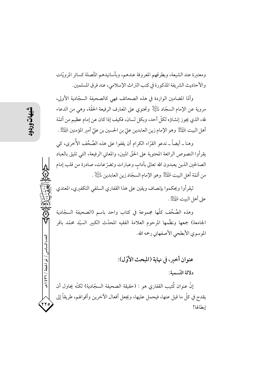ومعتبرة عند الشيعة، وبطرقهم المعروفة عندهم، وبأسانيدهم المتَّصلة كسائر المرويّات والأحاديث الشريفة المذكورة في كتب التراث الإسلامي، عند فرق المسلمين.

وأمَّا المضامين الواردة في هذه الصحائف فهي كالصحيفة السجَّادية الأولى، مروية عن الإمام السجَّاد ﷺ وتحتوي على المعارف الرفيعة الحقَّة، وهي من الدعاء لله، الذي يجوز إنشاؤه لكلّ أحد، وبكل لسان، فكيف إذا كان عن إمام عظيم من أئمّة أهل البيت لِلْمَجْلَ وهو الإمام زين العابدين عليّ بن الحسين بن عليّ أمير المؤمنين لِلْمَجْلاُ .

وهنا ـ أيضاً ـ ندعو القرَّاء الكرام أن يقفوا على هذه الصُخُف الأُخرى، كي يقرأوا النصوص الرائعة المحتوية على الحقّ المبين، والمعاني الرفيعة، التي تليق بالعباد الصالحين الذين يعبدون الله تعالى بآداب وعبارات وتضرّعات، صادرة من قلب إمام من أئمّة أهل البيت لِلْمَجِلّا وهو الإمام السجّاد زين العابدين لِلْيَلَلَا .

ليقرأوا ويحكموا بإنصاف ويقين على هذا القفاري السلفى التكفيري، المعتدي على أهل البيت عليه الآخر.

وهذه الصُخُف كلُّها مجموعة في كتاب واحد باسم (الصحيفة السجّادية الجامعة) جمعها ونظَّمها المرحوم العلامة الفقيه المحدَّث الكببر السيِّد محمَّد باقر الموسوى الأبطحي الأصفهاني رحمه الله.

عنوان أخير، في نهاية (المبحث الأوّل): دلالة التّسمية: إنَّ عنوان كُتيب القفاري هو : (حقيقة الصحيفة السجّادية) لكنَّه يحاول أن يقدح في كلِّ ما قيل عنها، فيحمل عليها، ويجعل أفعال الآخرين وأقوالهم، طريقاً إلى

إبطالها!

لعدد السادس

/ ذو الحجة / ٢٦٦ / هـ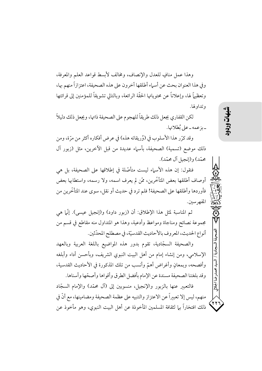وهذا عمل منافٍ للعدل والإنصاف، ومخالف لأبسط قواعد العلم والمعرفة، وفي هذا العنوان بحث عن أسماء أطلقها آخرون على هذه الصحيفة، اعتزازاً منهم بها، وتعظيماً لها، وإعلاناً عن محتوياتها الحقَّة الرائعة، وبالتالي تشويقاً للمؤمنين إلى قرائتها وتداولها.

لكن القفاري يجعل ذلك طريقاً للهجوم على الصحيفة ذاتها، ويجعل ذلك دليلاً - يزعمه - على نُطلانها.

وقد كرِّر هذا الأسلوب في (وُريقاته هذه) في عرض أفكاره أكثر من مرَّة، ومن ذلك موضع (تسمية) الصحيفة، بأسماء عديدة من قبل الآخرين، مثل (زبور آل محمّد) و(إنجيل آل محمّد).

فنقول: إن هذه الأسماء ليست متأصَّلة في إطلاقها على الصحيفة، بل هي أوصاف أطلقها بعض المتأخَّرين، ممَّن لم يعرف اسمه، ولا رسمه، واستطابها بعض فأوردها وأطلقها على الصحيفة! فلم ترد في حديث أو نقل، سوى عند المتأخَّرين من المفهرسين.

ثم المناسبة لمثل هذا الإطلاق: أن (زبور داود) و(إنجيل عيسى). إنَّها هي مجموعة نصائح ومناجاة ومواعظ وأدعية، وهذا هو المتداول منه مقاطع في قسم من أنواع الحديث، المعروف بالأحاديث القدسيّة، في مصطلح المحدّثين.

والصحيفة السجّادية، تقوم بدور هذه المواضيع باللغة العربية وبالعهد الإسلامي، ومن إنشاء إمام من أهل البيت النبوي الشريف، وبأحسن أداء وأبلغه وأفصحه، وبمعانٍ وأغراض أهمّ وأنسب من تلك المذكورة في الأحاديث القدسية، وقد بلغتنا الصحيفة مسندة عن الإمام بأفضل الطرق وأقواها وأصحّها وأسناها.

فالتعبير عنها بالزبور والإنجيل، منسوبين إلى (آل محمَّد) والإمام السجَّاد منهم، ليس إلا تعبيراً عن الاعتزاز والتنبيه على عظمة الصحيفة ومضامينها، مع أنَّ في ذلك افتخاراً بها لثقافة المسلمين المأخوذة عن أهل البيت النبوي، وهو مأخوذ عن محمدرضا الجلالي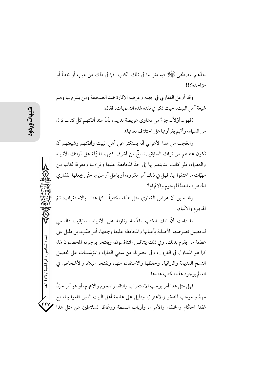جدَّهم المصطفى ﷺ فيه مثل ما في تلك الكتب. فيا في ذلك من عيب أو خطأ أو مؤاخذة ؟!!

وقد أوغل القفاري في جهله وغرضه الإثارة ضد الصحيفة ومن يلتزم بها وهم شيعة أهل البيت، حيث ذكر في نقده لهذه التسميات، فقال:

(فهو \_ أوِّلاً \_ جزءٌ من دعاوى عريضة لديهم، بأنَّ عند أئمَّتهم كلَّ كتابٍ نزل من السهاء، وأنَّهم يقرأونها على اختلاف لغاتها).

والعَجبِ من هذا الأعرابي أنَّه يستكثر على أهل البيت وأئمَّتهم وشيعتهم أن تكون عندهم من تراث السابقين نسخٌ من أشرف كتبهم المنزّلة على أولئك الأنبياء والعظماء، فلو كانت عنايتهم بها إلى حدَّ المحافظة عليها وقراءتها ومعرفة لغاتها من مهيَّات ما اهتمَّوا بها، فهل في ذلك أمرٍ مكروه، أو باطل أو سيَّع، حتَّى يجعلها القفاري الجاهل، مدعاةً للهجوم والاتَّهام؟

وقد سبق أن عرض القفاري مثل هذا، مكتفياً ــ كما هنا ــ بالاستغراب، ثمّ الهجوم والاتّهام.

ما دامت أنَّ تلك الكتب مقدَّسة ونازلة على الأنبياء السابقين، فالسعي لتحصيل نصوصها الأصلية بأعيانها والمحافظة عليها وجمعها، أمر طيّب، بل دليل على عظمة من يقوم بذلك، وفي ذلك يتنافس المتنافسون، ويفتخر بوجوده المحصلون لها، كما هو المتداول في القرون، وفي عصرنا، من سعى العلماء والمؤسَّسات على تحصيل النسخ القديمة والتراثية، وحفظها والاستفادة منها، وتفتخر البلاد والأشخاص في العالم بوجود هذه الكتب عندها.

فهل مثل هذا أمر يوجب الاستغراب والنقد والهجوم والاتّهام، أو هو أمر جيّلٌ مهمٌ و موجب للفخر والاعتزاز، ودليل على عظمة أهل البيت الذين قاموا بها، مع غفلة الحكَّام والخلفاء والأمراء، وأرباب السلطة ووعَّاظ السلاطين عن مثل هذا

العدد السادس / ذو الحجة / ٣٦ / ٤٣٩

17y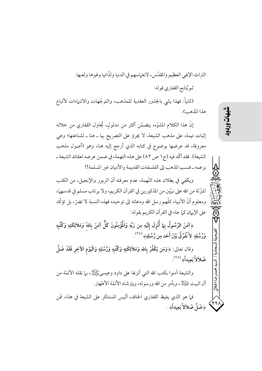التراث الإلهي العظيم والمقدّس، لانغماسهم في الدنيا ولذّاتها ولهوها ولعبها. ثم يُتابع القفاري قوله: (ثانياً: فهذا يشي بالجذور العقدية للمذهب، والتوجّهات والانتهاءات لأتباع

هذا المذهب).

إنَّ هذا الكلام المشوَّه، يتضمَّن أكثر من مدلولٍ، يُحاول القفاري من خلاله إثبات تهمة، على مذهب الشيعة، لا يجرؤ على التصريح بها ـ هنا ـ لشناعتها؛ وهي معروفة، قد عرضها بوضوح في كتابه الذي أرجع إليه هنا، وهو (أصول مذهب الشيعة). فقد أكَّد فيه (ج١ ص ٨٢) على هذه التهمة، في ضمن عرضه لعقائد الشيعة ـ بزعمه \_فنسب المذهب إلى الفلسفات القديمة والأديان غير المسلمة!!

ويكفي في بطلان هذه التَّهمة، عدم معرفته أن الزبور والإنجيل، من الكتب المنزِّلة من الله على نبيِّين من المذكورين في القرآن الكريم، ولا يرتاب مسلم في قدسهما، ومعلوم أنَّ الأنبياء كلَّهم رسل الله ودعاته إلى توحيده فهذه النسبة لا تضرَّ، بل تؤكَّد على الإيهان كما جاء في القرآن الكريم بقوله:

﴿آمَنَ الرَّسُولُ بِمَا أُنْزِلَ إِلَيْهِ مِن رَبِّهِ وَالْمُؤْمِنُونَ كَلٌّ آمَنَ بِاللهّ وَمَلاَئِكَتِهِ وَكُتُبهِ وَرُسُلِهِ ۖ لاَ نُفَرِّقُ بَيْنَ أَحَد مِن رُسُلِهِ ۞ ( ``` ).

وقال تعالى: ﴿وَمَن يَكْفُرْ بِالله وَمَلاَئِكَتِهِ وَكُتُبِهِ وَرُسُلِهِ وَالْيَوْمِ الآخِرِ فَقَدْ ضَلَّ ضَلاَلاً بَعِيداً﴾ (٢٨).

والشَّيعة آمنوا بكتب الله الَّتِي أنزلها على داود وعيسىﷺ، بيما نقله الأئمَّة من آل البيت لِلْمَجَلِّةُ ، وبأمر من الله ورسوله، وبإرشاد الأئمّة الأطهار.

فيا هو الذي يغيظ القفاري الحاقد، أليس المستنكر على الشيعة في هذا، ممَّن ﴿ضَلَّ ضَلاَلاً بَعِيداً﴾ .

- ضا الجلالي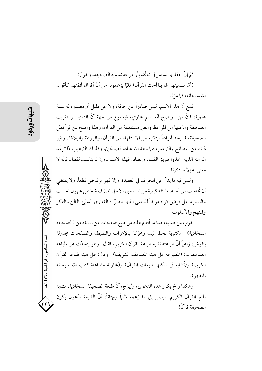ثمّ إنّ القفاري يستمرّ في تعلّقه بأرجو حة تسمية الصحيفة، ويقو ل: (أمَّا تسميتهم لها بـ(أخت القرآن) فلمَّا يزعمونه من أنَّ أقوال أئمَّتهم كأقوال الله سبحانه، كما مرّ).

فمع أنَّ هذا الاسم، ليس صادراً عن حجَّة، ولا عن دليل أو مصدر، له سمة علمية، فإنَّ من الواضح أنَّه اسم مجازي، فيه نوع من جهة أنَّ التمثيل والتقريب الصحيفة وما فيها من المواعظ والعبر مستلهمة من القرآن، وهذا واضح لمن قرأ نصَّ الصحيفة، فسيجد أنواعاً مبتكرة من الاستلهام من القرآن، والروعة والبلاغة، وغبر ذلك من النصائح والترغيب فيها وعد الله عباده الصالحين، وكذلك الترهيب ممَّا توعَّد الله منه الذين اتَّخذوا طريق الفساد والعناد. فهذا الاسم ــ وإن لم يناسب لفظاً ــ فإنَّه لا معنى له إلا ما ذكرنا.

وليس فيه ما يدلُّ على انحراف في العقيدة، وإلا فهو مرفوض قطعاً، ولا يقتضي أن يُحاسب من أجله، طائفة كبيرة من المسلمين، لأجل تصرّ ف شخص مجهول الحسب والنسب، على فرض كونه مريداً للمعنى الذي يتصوَّره القفاري السيِّئ الظن والفكر والمنهج والأسلوب.

يقرب من صنيعه هذا ما أقدم عليه من طبع صفحات من نسخة من (الصحيفة السجَّادية) . مكتوبة بخطُّ اليد، ومحرِّكة بالإعراب والضبط، والصفحات مجدولة بنقوش، زاعماً أنَّ طباعته تشبه طباعة القرآن الكريم، فقال ــ وهو يتحدَّث عن طباعة الصحيفة \_ : (المطبوعة على هيئة المصحف الشريف). وقال: على هيئة طباعة القرآن الكريم) و(تُشابه في شكلها طبعات القرآن) و(محاولة مضاهاة كتاب الله سبحانه بالمظهر).

وهكذا راحَ يكرر هذه الدعوى، ويُهرِّج، أنَّ طبعة الصحيفة السجَّادية، تشابه طبع القرآن الكريم، ليصل إلى ما زعمه ظلماً وبهتاناً، أنَّ الشيعة يدَّعون بكون الصحيفة قرآناً!

العدد السادس / ذو الحجة / ٣٦ / ٤٣٩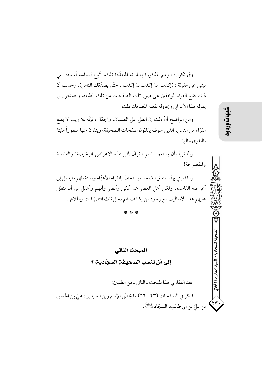وفي تكراره الزعم المذكورة بعباراته المتعدّدة تلك، اتّباع لسياسة أسياده التبي تبتني على مقولة : (إكذب ثمّ إكذب ثمّ إكذب.. حتّى يصدّقك الناس)، وحسب أن ذلك يقنع القرَّاء الواقفين على صور تلك الصفحات من تلك الطبعة، ويصدِّقون بها يقوله هذا الأعرابي ويحاوله بفعله المضحك ذلك.

ومن الواضح أنَّ ذلك إن انطلي على الصبيان، والجهَّال، فإنَّه بلا ريب لا يقنع القرَّاء من الناس، الذين سوف يقلبُّون صفحات الصحيفة، ويتلون منها سطوراً مليئة بالتقوى والبرَّ .

وإنَّا نربأ بأن يستعمل اسم القرآن لمثل هذه الأغراض الرخيصة! والفاسدة والمفضوحة!

والقفاري بهذا المنطق الضحل، يستخفّ بالقرّاء الأعزّاء ويستغفلهم، ليصل إلى أغراضه الفاسدة، ولكن أهل العصر هم أذكى وأبصر وأفهم وأعقل من أن تنطلي عليهم هذه الأساليب مع وجود من يكشف لهم دجل تلك التصرّفات وبطلانها.

المبحث الثاني

إلى مَن تنسب الصحيفة السجّادية ؟

عقد القفاري هذا المبحث ـ الثاني ـ من مطلبين:

فذكر في الصفحات (٢٣ ـ ٢٦) ما يخصّ الإمام زين العابدين، عليّ بن الحسين بن عليّ بن أبي طالب، السجّاد الطَّلاِّ . شهات

محمدرضا الجلالي

۲۳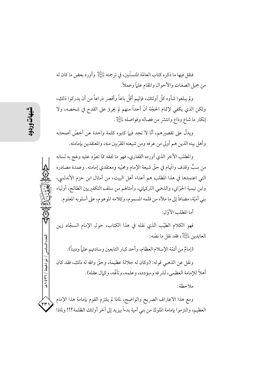فنقل فيها ما ذكر ه كتاب العامّة المتسنّنين، في ترجمته عليَّالٍ وأورد بعض ما كان له من جميل الصفات والأحوال والمقام علماً وعملاً.

ولِم يبلغوا شأوه كلَّ أولئك، فإنَّهم أقلَّ باعاً وأقصر ۖ ذراعاً من أن يدركوا ذلك، ولكن الذي يكفي لإتمام الحجَّة أنَّ أحداً منهم لم يجرؤ على القدح في شخصه، ولا إنكار ما شاع وذاع وانتشر من فضاله وفواضله للطِّيلا .

ويدلُّ على تقصيرهم، أنَّا لا نجد فيها كتبوه كلمة واحدة عن أخصَّ أصحابه وأهل بيته الذين هم أولى من عرفه ومن شيعته المقرِّبين منه، والمعتقدين بإمامته.

والمطلب الآخر الذي أورده القفاري، فهو ما لفقه ممَّا تعوَّد عليه ولهج به لسانه من سبٍّ وقذف واتَّهام في حقَّ شيعة الإمام ومحبِّيه ومعتقدي إمامته. وعمدة مصادره التي اعتمدها في هذا المطلب هم أعداء أهل البيت، من أمثال ابن حزم الأندلسي، وابن تيمية الحرّاني، والذهبي التركماني، وأمثالهم من سلف التكفيريين الطالح، أولياء بني أميَّة، مضافاً إلى ما ملأه من قلمه المسموم، وكلامه الموهوم، على أسلوبه المعلوم. أما المطلب الأوّل:

فهو الكلام الطيّب الذي نقله في هذا الكتاب، حول الإمام السجّاد زين العابدين ﷺ، فقد نقل ما نصَّه:

(إمامٌ من أئمّة الإسلام العظام، وأحد كبار التابعين وسادتهم علماً وديناً).

ونقل عن الذهبي قوله: (وكان له جلالة عظيمة، وحقَّ والله له ذلك، فقد كان أهلاً للإمامة العظمى، لشر فه وسؤدده، وعلمه، وتألَّمه، وكمال عقله).

ملاحظة:

ومع هذا الاعتراف الصريح والواضح، لماذا لم يلتزم القوم بإمامة هذا الإمام العظيم، والتزموا بإمامة الملوك من بني أمية بدءاً بيزيد إلى آخر أولئك الظلمة؟!! ولماذا

العدد السادس / ذو الحجة / ٣٦٦ هـ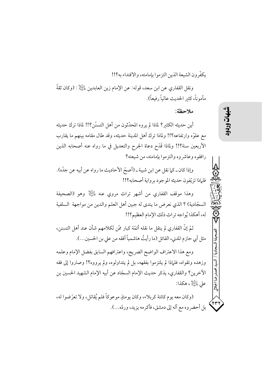يكفّرون الشيعة الذين التزموا بإمامته، والاقتداء به؟!!

ونقل القفاري عن ابن سعد، قوله: عن الإمام زين العابدين لِلتِّيلا : (وكان ثقةً مأموناً، كثير الحديث عالياً رفيعاً).

ملاحظة:

أين حديثه الكثير؟ لماذا لم يروه المحدِّثون من أهل التسنَّن؟!! لماذا ترك حديثه مع علوَّه وارتفاعه؟!! ولماذا ترك أهل المدينة حديثه، وقد طال مقامه بينهم ما يقارب الأربعين سنة؟!! ولماذا قَدَحٍ دعاة الجرح والتعديل في ما رواه عنه أصحابه الذين رافقوه وعاشر وه والتزموا بإمامته، من شيعته؟

وإذا كان ـ كما نقل عن ابن شيبة ـ (أصحّ الأحاديث ما رواه عن أبيه عن جدّه). فلماذا تزيّفون حديثه الموجود برواية أصحابه؟!!

وهذا موقف القفاري من أشهر تراث مروى عنه  $\mathbb{H}^{\mathbb{N}}$  وهو (الصحيفة السجّادية) ؟ الذي نعرض ما يندي له جبين أهل العلم والدين من مواجهة السلفية له، أهكذا يُواجه تراث ذلك الإمام العظيم؟!!

ثمّ إنَّ القفاري لم ينقل ما نقله أئمّة كبار ممّن لكلامهم شأن عند أهل التسنن، مثل أبي حازم المدني، القائل (ما رأيتُ هاشمياً أفقه من على بن الحسين...).

ومع هذا الاعتراف الواضح الصريح، واعترافهم السابق بفضل الإمام وعلمه وزهده وتقواه، فلماذا لم يلتزموا بفقهه، بل لم يتداولوه، ولم يرووه؟! وصاروا إلى فقه الآخرين؟ والقفاري، يذكر حديث الإمام السجّاد عن أبيه الإمام الشهيد الحسين بن على علَيْتِكُمْ ، هكذا:

(وكان معه يوم كائنة كربلاء، وكان يومئذٍ موعوكاً فلم يُقاتل، ولا تعرَّضوا له، بل أحضر وه مع آله إلى دمشق، فأكرمه يزيد، وردّه...). .. فذا الحلالي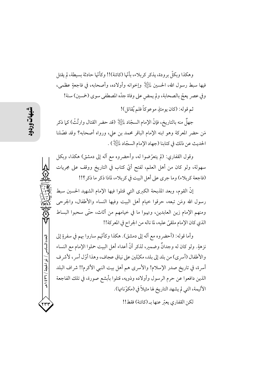وهكذا وبكلِّ برودة، يذكر كربلاء، بأنَّها (كائنة)!! وكأنَّها حادثة بسيطة، لم يقتل فيها سبط رسول الله، الحسين لِلتِّلِلَّ وإخوانه وأولاده، وأصحابه، في فاجعةٍ عظمى، وفي عصر يعجّ بالصحابة، ولم يمض على وفاة جدّه المصطفى سوى (خمسين) سنة!

ثم قوله: (كان يومئذٍ موعوكاً فلم يُقاتل)!

جهلٌ منه بالتاريخ، فإنَّ الإمام السجّاد لِمَائِلِلًّا (قد حضر القتال وارتُثَّ) كما ذكر مَن حضر المعركة وهو ابنه الإمام الباقر محمد بن علي، ورواه أصحابه؟ وقد فصَّلنا الحديث عن ذلك في كتابنا (جهاد الإمام السجّاد لِلْيَلِلْإِ ) .

وقول القفاري: (لم يتعرَّضوا له، وأحضروه مع آله إلى دمشق) هكذا، وبكل سهولة، ولو كان من أهل العلم، لفتح أيَّ كتابٍ في التاريخ ووقف على مجريات (فاجعة كربلاء) وما جرى على أهل البيت في كربلاء، لماذا ذكر ما ذكر؟!!

إنَّ القوم، وبعد المذبحة الكبرى التي قتلوا فيها الإمام الشهيد الحسين سبط رسول الله ومَن تبعه، حرقوا خيام أهل البيت وفيها النساء والأطفال، والجرحى ومنهم الإمام زين العابدين، ونهبوا ما في خيامهم من أثاث، حتَّى سحبوا البساط الذي كان الإمام ملقيَّ عليه، لما ناله من الجراح في المعركة!!

وأما قوله: (أحضر وه مع آله إلى دمشق). هكذا وكأنَّهم ساروا بهم في سفرةٍ إلى نزهةٍ. ولو كان له وجدانٌ وضمير، لذكر أنَّ أعداء أهل البيت حملوا الإمام مع النساء والأطفال (أسرى) من بلد إلى بلد، مكبِّلين على نياق عجاف، وهذا أوّل أسر ، لأشر ف أسرة، في تاريخ صدر الإسلام! والأسرى هم أهل بيت النبي الأكرم!! شراف البلد الذين دافعوا عن حرم الرسول وأولاده وذويه، قتلوا بأبشع صورة، في تلك الفاجعة الأليمة، التي لم يشهد التاريخ لها مثيلاً في (مكوّناتها).

لكن القفاري يعتر عنها بـ (كائنة) فقط!!

العدد السادس / ذو الحجة / ٣٦٦ / هـ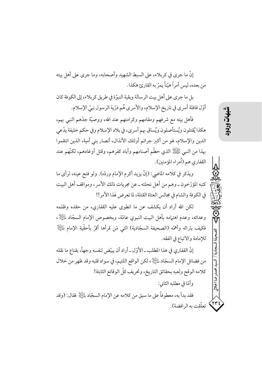إنَّ ما جرى في كربلاء، على السبط الشهيد وأصحابه، وما جرى على أهل بيته من بعده، ليس أمراً هيّناً يمرّ به القارئ هكذا.

بل ما جرى على أهل بيت الرسالة وبقية النبوّة في طريق كربلاء، إلى الكوفة كان أوّل قافلة أسري في تاريخ الإسلام، والأسري هُم ذرّية الرسول نبيّ الإسلام.

فأهل بيته مع شرفهم ومقامهم وكرامتهم عند الله، ووصيّة جدّهم النبي بهم، هكذا يُقتلون ويُستأصلون ويُساق بهم أسري، في بلاد الإسلام وفي حكم خليفة يدّعي الدين والإسلام، لهو من أكبر جرائم أولئك الأنذال، أنصار بني أمية، الذين انتقموا بهذا من النبي ﷺ الذي حطَّم أصنامهم وأباد كفرهم، وقتل أوغادهم، لكنَّهم عند القفاري هم (أمراء المؤمنين).

ويذكر في كلامه الماضي: (إنَّ يزيد أكرم الإمام وردَّه). ولو فتح عينه، لرأى ما كتبه المؤرِّخون ــ وهم من أهل نحلته ــ عن مجريات ذلك الأسر، ومواقف أهل البيت في الكوفة والشام في مجالس العتاة القتلة، لما تعرض لهذا الأمر!!

لكن الله أراد أن يكشف عن ما انطوى عليه القفاري، من حقده وظلمه وعدائه، وعدم اهتمامه بأهل البيت النبوي عامّة، وبخصوص الإمام السجّاد لِلتِّيلَإِ، فكيف بتراثه وأهمّه (الصحيفة السجّادية) التي مَن قرأها أقرّ بأحقّية الإمام لمالِخَلاٍ للإمامة والاتباع في الفقه.

إنَّ القفاري في هذا المطلب ــ الأوّل ــ أراد أن يبيّض لنفسه وجهاً، بقناع ما نقله من فضائل الإمام السجّاد ﷺ، لكن الواقع اللئيم، في سواد قلبه وقد ظهر من خلال كلامه الوقح ولعبه بحقائق التاريخ، وتحريف كلِّ الوقائع الثابتة! وأمَّا في مطلبه الثاني: فقد بدأ به، معطو فاً على ما سبق من كلامه عن الإمام السجّاد لِمائِيَّالٍ فقال: (وقد

تعلّقت به الرافضة).

محمدر ضا الجلالي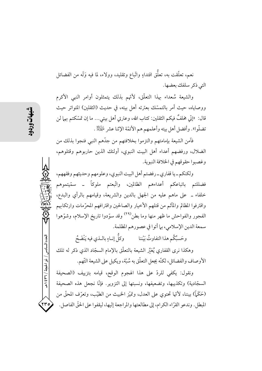نعم، تعلَّقت به، تعلُّق اقتداءٍ واتَّباع وتقليد، وولاء، لما فيه وَلَه من الفضائل التي ذكر سلفك بعضها.

والشيعة سُعداء بهذا التعلُّق، لأنَّهم بذلك يتمثلون أوامر النبي الأكرم ووصاياه، حيث أمر بالتمسُّك بعترته أهل بيته، في حديث (الثقلين) المتواتر حيث قال: إنَّى مخلفٌ فيكم الثقلين: كتاب الله، وعترتي أهل بيتي… ما إن تمسّكتم بهما لن تضلُّوا». وأفضل أهل بيته وأعلمهم هم الأئمَّة الإثنا عشر  $\mathbb{R}$  .

فآمن الشيعة بإمامتهم والتزموا بخلافتهم من جدَّهم النبي فنجوا بذلك من الضلال، ورفضهم أعداء أهل البيت النبوي، أولئك الذين حاربوهم وقتلوهم، وغصبوا حقوقهم في الخلافة النبوية.

ولكنكم ـ يا قفاري ـ رفضتم أهل البيت النبوي، وعلومهم وحديثهم وفقههم، فضللتم باتباعكم أعداءهم الظالمين، واتَّبعتم ملوكاً ــ سمّيتموهم خلفاء \_ على ماهم عليه من الجهل بالدين والشريعة، وقيامهم بالرأى والبدع، واقترفوا المظالم والمآثم من قتلهم الأخيار والصالحين واقترافهم المحرّمات وارتكابهم الفجور والفواحش ما ظهر منها وما بطن<sup>(۲۹)</sup> وقد سوّدوا تاريخ الإسلام، وشوّهوا سمعة الدين الإسلامي، بما أتوا في عصورهم المظلمة.

وحَسبُكُم هذا التفاوتُ بَيْننا وكلَّ إنـاءٍ بالــذي فيه يَنْضَحُ وهكذا نرى القفاري يُعَيِّر الشيعة بالتعلُّق بالإمام السجَّاد الذي ذكر له تلك

الأوصاف والفضائل، لكنَّه يجعل التعلُّق به سُبَّة، ويكيل على الشيعة التَّهم.

ونقول: يكفى للردّ على هذا الهجوم الوقح، قيامه بتزييف (الصحيفة السجّادية) وتكذيبها، وتضعيفها، ونسبتها إلى التزوير. فإنّا نجعل هذه الصحيفة (حَكَمَّ)) بيننا، لأنَّها تحتوي على العدل، وتميَّز الحبيث من الطيَّب، وتعرَّف المحقَّ من المبطل. وندعو القرَّاء الكرام، إلى مطالعتها والمراجعة إليها، ليقفوا على الحقَّ الفاصل.

العدد السادس / ذو الحجة / ٣٦٦ / ه

٢٣٥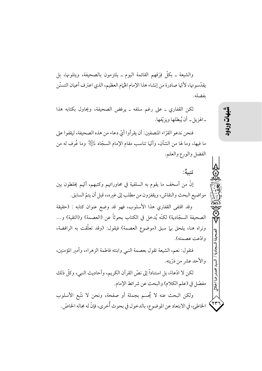والشيعة ـ بكلِّ فِرَقهم القائمة اليوم ـ يلتزمون بالصحيفة، ويتلونها، بل يقدّسونها، لأنّها صادرة من إنشاء هذا الإمام الهُمام العظيم، الذي اعترف أعيان التسنّن ىفضلە.

لكن القفاري ــ على رغم سلفه ــ يرفض الصحيفة، ويحاول بكتابه هذا ـ الهزيل ـ أن يُبطلها ويزيِّفها.

فنحن ندعو القرَّاء المنصفين: أن يقرأوا أيِّ دعاء من هذه الصحيفة، ليقفوا على ما فيها، وما لها من الشأن، وأُتَّها تناسب مقام الإمام السجَّاد ﷺ وما عُرف له من الفضل والورع والعلم.

تنسه: إنَّ من أسخف ما يقوم به السلفية في محاوراتهم وكتبهم، أُنَّهم يُخلطون بين مواضيع البحث والنقاش، ويقفزون من مطلب إلى غيره،، قبل أن يتمّ السابق.

وقد اقتفى القفاري هذا الأسلوب، فهو قد وضع عنوان كتابه : (حقيقة الصحيفة السجّادية) لكنّه يُدخل في الكتاب بحوثاً عن (العصمة) و(التقية) و… ونراه هنا، يلحق بها سبق (موضوع العصمة) فيقول: (وقد تعلَّقت به الرافضة، وادّعت عصمته).

فنقول: نعم، الشيعة تقول بعصمة النبي وابنته فاطمة الزهراء، وأمير المؤمنين، والأحد عشر من ذرّيته.

لكن لا ادِّعاءً، بل استناداً إلى نصِّ القرآن الكريم، وأحاديث النبي، وكلَّ ذلك مفصّل في (علم الكلام) والبحث عن شرائط الإمام.

ولكن البحث عنه لا يُحسم بجملة أو صفحة، ونحن لا نتَّبع الأسلوب الخاطئ، في الابتعاد عن الموضوع، بالدخول في بحوث أُخرى، فإنَّ له مجاله الخاصِّ. ۲۳ شهات

دضا الجلالى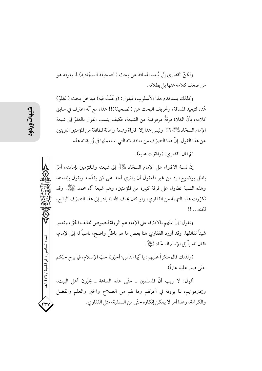ولكنَّ القفاري إنَّما يُبعد المسافة عن بحث (الصحيفة السجَّادية) لما يعرفه هو من ضعف كلامه عنها بل بطلانه.

وكذلك يستخدم هذا الأسلوب، فيقول: (وغَلَتْ فيه) فيدخل بحث (الغلوّ) هُنا، لتبعيد المسافة، وتحريف البحث عن (الصحيفة)!! هذا، مع أنَّه اعترف في سابق كلامه، بأنَّ الغلاة فرقةٌ مرفوضة من الشيعة، فكيف ينسب القول بالغلوِّ إلى شيعة الإمام السجّاد لِمَائِلِكَ ؟!! وليس هذا إلا افتراءً وتهمة وإهانة لطائفة من المؤمنين البريئين عن هذا القول. إنَّ هذا التصرّف من مناقضاته التي استعملها في وُريقاته هذه.

ثمّ قال القفاري: (وافترت عليه).

إنَّ نسبة الافتراء على الإمام السجَّاد لِلَّيِّلَةِ ۚ إِلى شيعته والملتزمين بإمامته، أمرٌ باطل بوضوح، إذ من غير المعقول أن يفتري أحد على مَن يقدَّسه ويقول بإمامته، وهذه النسبة تطاول على فرقة كبيرة من المؤمنين، وهم شيعة آل محمد ﷺ. وقد تكرَّرت هذه التهمة من القفاري، ولو كان يخاف الله لما بادر إلى هذا التصرُّف البشع، لكنه... !!

ونقول: إنَّ المَّهم بالافتراء على الإمام هم الرواة لنصوص تخالف الحقُّ، وتعتبر شيئاً لقائلها. وقد أورد القفاري هنا بعض ما هو باطلٌ واضح، ناسباً له إلى الإمام، فقال ناسباً إلى الإمام السجّاد عليَّالٍ :

(ولذلك قال منكراً عليهم: يا أيِّها الناس؛ أحبُّونا حبِّ الإسلام، فيا برح حبَّكم حتَّى صاد علينا عاد اً).

أقول: لا ريب أنَّ المسلمين ــ حتَّى هذه الساعة ــ يحبُّون أهل البيت، ويحترمونهم، لما يرونه في أعمالهم وما لهم من الصلاح والخير والعلم والفضل والكرامة، وهذا أمرٍ لا يمكن إنكاره حتَّى من السلفية، مثل القفاري.

العدد السادس / ذو الحجة / ٣٦ / ه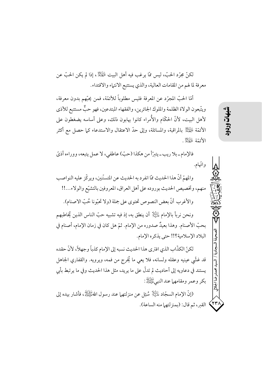لكنَّ مجرَّد الحبِّ، ليس ممَّا يرغب فيه أهل البيت لِمُبْتِكِمْ ، إذا لم يكن الحبِّ عن معرفة لما لهم من المقامات العالية، والذي يستتبع الانتهاء والاقتداء.

أمَّا الحتَّ المجرَّد عن المعرفة فليس مطلوباً للأئمَّة، فمن يحبَّهم بدون معرفة، ويتَّبعون الولاة الظلمة والملوك الجائرين، والفقهاء المبتدعين، فهو حبٌّ مستتبع للأذي لأهل البيت، لأنَّ الحكَّام والأُمراء كانوا يهابون ذلك، وعلى أساسه يضغطون على الأئمَّة لِلْهَيْلِ اللهِ اقبة، والمسائلة، وإلى حدَّ الاعتقال والاستدعاء كما حصل مع أكثر الأئمّة عليّ لله :

فالإمام\_بلا ريب\_يترّأ من هكذا (حبّ) عاطفي، لا عمل يتبعه، ووراءه أذيَّ واتّهام.

والمهمِّ أنَّ هذا الحديث ممَّا انفرد به الحديث عن المتسنَّنين، ويركِّز عليه النواصب منهم، وتخصيص الحديث بوروده على أهل العراق، المعروفين بالتشيّع والولاء...!! والأغرب أنَّ بعض النصوص تحتوي على جملة (ولا تحبُّونا حُبِّ الاصنام).

ونحن نرباً بالإمام لِلتِّلِلَّةِ أن ينطق به، إذ فيه تشبيه حبَّ الناس الذين يُخاطبهم بحبِّ الأصنام. وهذا بعيدٌ صدوره من الإمام. ثمَّ هل كان في زمان الإمام، أصنام في البلاد الإسلامية؟!! حتى يذكره الإمام.

لكنِّ الكذَّابِ الذي افترى هذا الحديث نسبه إلى الإمام كذباً وجهلاً، لأنَّ حقده قد غشَّى عينيه وعقله ولسانه، فلا يعي ما يُخرج من فمه، ويرويه. والقفاري الجاهل يستند في دعاويه إلى أحاديث لم تدلُّ على ما يريد، مثل هذا الحديث وفي ما يرتبط بأبي بكر وعمر ومقامهما عند النبيءَيَّةِ اللهُ :

(إنَّ الإمام السجَّاد لِمَليِّكَلٍّ سُئِلٍ عن منزلتهما عند رسول اللهﷺ، فأشار بيده إلى القبر، ثم قال: (بمنزلتهما منه الساعة). شهات

محمدرضا الجلالى

 $\left\langle \mathbf{y}\mathbf{r}\right\rangle$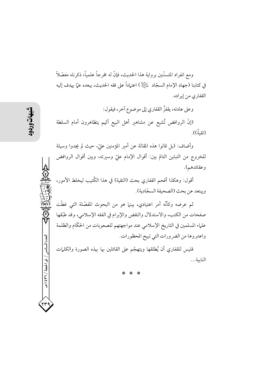ومع انفراد المتسنَّنين برواية هذا الحديث، فإنَّ له مخرجاً علمياً، ذكرناه مفصَّلاً في كتابنا (جهاد الإمام السجّاد ﷺ) اعتماداً على فقه الحديث، يبعده عمّا يهدف إليه القفاري من إيراده.

وعلى عادته، يقفزُ القفاري إلى موضوع آخر، فيقول: (إنَّ الروافض تُشيع عن مشاهير أهل البيع أُتَّهم يتظاهرون أمام السلطة (تقبةً)).

وأضاف: (بل قالوا هذه المقالة عن أمير المؤمنين عليّ، حيث لم يجدوا وسيلة للخروج من التباين التامّ بين: أقوال الإمام عليّ وسيرته، وبين أقوال الروافض وعقائدهم).

أقول: وهكذا أقحم القفاري بحث (التقية) في هذا الكُتيب ليخلط الأمور، ويبتعد عن بحث (الصحيفة السجّادية).

ثم عرضه وكأنَّه أمر اعتيادي، بينها هو من البحوث المفصَّلة التي غطَّت صفحات من الكتب، والاستدلال والنقض والإبرام في الفقه الإسلامي، وقد طبِّقها علياء المسلمين في التاريخ الإسلامي عند مواجهتهم للصعوبات من الحكّام والظلمة واعتبروها من الضرورات التي تبيح المحظورات.

فليس للقفاري أن يُطلقها ويتهجّم على القائلين بها بهذه الصورة والكلمات النابية...

العدد السادس / ذو الحجة / ٣٦٦ هـ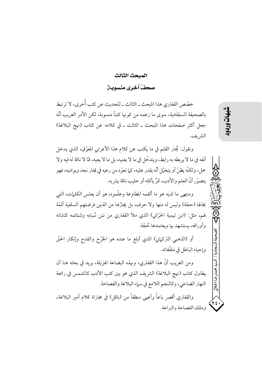## المبحث الثالث صحفٌ ٱخرى منسودين

خصّص القفاري هذا المبحث ــ الثالث ــ للحديث عن كتب أُخرى، لا ترتبط بالصحيفة السجّادية، سوى ما زعمه من كونها كتباً منسوبة، لكن الأمر الغريب أنّه جعل أكثر صفحات هذا المبحث ـ الثالث ـ في كلامه عن كتاب (نهج البلاغة) الشريف.

ونقول: يُحار القلم في ما يكتب عن كلام هذا الأعرابي المعوَّق، الذي يدخل أنفه في ما لا يربطه به رابط، ويتدخَّل في ما لا يعنيه، بل ما لا يعيه، ممَّا لا ناقة له فيه ولا جمل، ولكنَّه يظنَّ أو يتخيَّل أنَّه يقدر عليه، كما تعوَّد من رعيه في قِفار نجد وبواديه، فهو يتصوَّر أنَّ العلم والأدب، تمرُّ يأكله أو حليب ناقة يشربه.

ومنتهى ما لديه هو ما ألقمه المطاوعة وعلّموه، هو أن يعلس الكلمات، التي يخالها (حجَّة) وليس له منها ولا حرف، بل يجترَّها من الذين فرضتهم السلفية أئمَّة لهم، مثل: (ابن تيمية الحرِّاني) الذي ملأ القفاري من نتن سُبابه وشتائمه كتاباته وأوراقه، يستشهد بها ويعتمدها حُجَّة.

أو (الذهبي التركماني) الذي أبلغ ما عنده هو الجَرْح والقدح وإنكار الحقّ وإحياء الباطل في ملفّقاته.

ومن الغريب أنَّ هذا القفاري، وبهذه البضاعة الهزيلة، يريد في بحثه هنا أن يطاول كتاب (نهج البلاغة) الشريف الذي هو بين كتب الأدب كالشمس في رائعة النهار الضاحي، وكالنجم اللامع في سماء البلاغة والفصاحة.

والقفاري أقصر باعاً وأعيى منطقاً من (باقل) في مجاراة كلام أمير البلاغة، وملك الفصاحة والبراعة.

يقية.<br>تول

 $\overline{H}$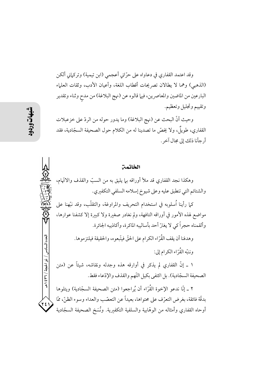وقد اعتمد القفاري في دعاواه على حرّاني أعجمي (ابن تيمية) وتركماني ألكن (الذهبي) وهما لا يطالان تصريحات أقطاب اللغة، وأعيان الأدب، وثقات العلماء البارعين من الماضين والمعاصرين، فيها قالوه عن (نهج البلاغة) من مدح وثناء وتقدير وتقييم وتجليل وتعظيم.

وحيث أنَّ البحث عن (نهج البلاغة) وما يدور حوله من الردِّ على خزعبلات القفاري، طويلٌ، ولا يخصُّ ما تصدينا له من الكلام حول الصحيفة السجَّادية، فقد أرجأنا ذلك إلى مجال آخر .

وهكذا نجد القفاري قد ملأ أوراقه بها يليق به من السبّ والقذف والاتَّهام، والشتائم التي تنطبق عليه وعلى شيوخ إسلامه السلفي التكفيري.

الخاتمة

كما رأينا أسلوبه في استخدام التحريف والمراوغة، والتقلُّب، وقد نبَّهنا على مواضع لهذه الأمور في أوراقه التافهة، ولم نغادر صغيرة ولا كبيرة إلا كشفنا عوارها، وألقمناه حجراً كي لا يغترّ أحد بأساليبه الماكرة، وأكاذيبه الجائرة.

> وهدفنا أن يقف القُرِّ اء الكر ام على الحقِّ فيتَّبعو ه، والحقيقة فيلتز موها. وننبّه القُرّاء الكرام إلى:

١ ــ إنَّ القفاري لم يذكر في أوارقه هذه وجدله ونقاشه، شيئاً عن (متن الصحيفة السجّادية). بل اكتفى بكيل التّهم والقذف والإدّعاء فقط.

٢ ـ إنَّا ندعو الإخوة القُرَّاء أن يُراجعوا (متن الصحيفة السجَّادية) ويتلوها بدقَّة فائقة، بغرض التعرّف على محتواها، بعيداً عن التعصُّب والعداء وسوء الظنِّ، ممَّا أوحاه القفاري وأمثاله من الوهّابية والسلفية التكفيرية. ونُسَخ الصحيفة السجّادية

إلعدد السادس

/ ذو الحجة / ٢٦٦ / هـ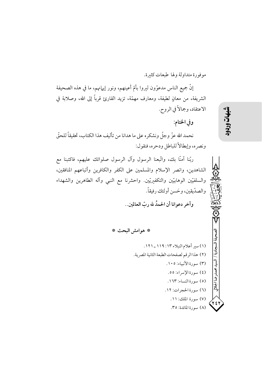موفورة متداولة ولها طبعات كثيرة.

إنَّ جميع الناس مدعوَّون ليروا بأمِّ أعينهم، ونور إيهانهم، ما في هذه الصحيفة الشريفة، من معانٍ لطيفة، ومعارف مهمّة، تزيد القارئ قرباً إلى الله، وصلابة في الاعتقاد، وجمالاً في الروح.

وفي الختام:

نحمد الله عزّ وجلّ ونشكره على ما هدانا من تأليف هذا الكتاب، تحقيقاً للحقّ ونصره، وإبطالاً للباطل ودحره، فنقول:

ربّنا آمنّا بك، واتّبعنا الرسول وآل الرسول صلواتك عليهم، فاكتبنا مع الشاهدين، وانصر الإسلام والمسلمين على الكفر والكافرين وأتباعهم المنافقين، والسلفيّين الوهابيّين والتكفيريّين. واحشرنا مع النبي وآله الطاهرين والشهداء والصدّيقين، وحَسن أولئك رفيقاً.

وآخر دعوانا أن الحمدُ لله ربِّ العالمين..

\* هوامش البحث \*

(١) سير أعلام النبلاء ١١٣: ١١٩ \_ ١٢١. (٢) هذا الرقم لصفحات الطبعة الثانية المصرية. (٣) سورة الأنبياء: ١٠٥. (٤) سورة الإسراء: ٥٥. (٥) سورة النساء: ١٦٣. (٦) سورة الحجرات: ١٢. (٧) سورة الملك: ١١. ۲٤۱ (٨) سورة المائدة: ٣٥.

شهات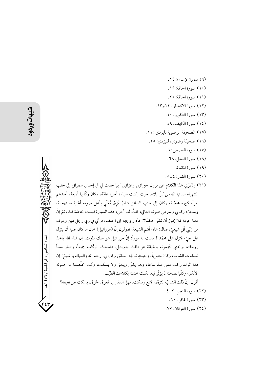(٩) سورة الإسراء: ١٤. (١٠) سورة الحاقة: ١٩. (١١) سورة الحاقة: ٢٥. (١٢) سورة الانفطار : ١٢و١٣. (١٣) سورة التكوير: ١٠. (١٤) سورة الكهف: ٤٩. (١٥) الصحيفة الرضوية لليزدي: ٥١. (١٦) صحيفة رضوي، لليزدي: ٢٥. (١٧) سورة القصص: ٦. (٢١) وذكرِّني هذا الكلام عن نزول جبرائيل وعزائيل' بها حدث لي في إحدى سفراتي إلى حلب الشهباء صانها الله من كلُّ بلاء، حيث ركبت سيارة أجرة عامَّة، وكان ركَّابها أربعة، أحدهم امرأة كبيرة محجّبة، وكان إلى جنب السائق شابٌ نَزق يُغنّى بأعلى صوته أغنية مستهجنة، وبمجرِّد ركوبي وسماعي صوته العالي، قلتُ له: أخي، هذه السيَّارة ليست خاصَّة لك، ثمَّ إنّ معنا حرمة فلا يجوز أن تغنّى هكذا؟! فأدار وجهه إلى الخلف، فرآني في زي رجل دين وعرف من زيِّي أنَّى شيعيٌّ، فقال: هاه، أنتم الشيعة، تقولون إنَّ (عزرائيل) خان ما كان عليه أن ينز ل على عليّ، فنزل على محمّد!! فقلت له فوراً: إنّ عزرائيل هو ملك الموت، إن شاء الله يأخذ روحك، والذي تتَّهمونه بالخيانة هو الملك جبرائيل. فضحك الركَّاب جميعاً، وصار سبباً لسكوت الشابّ، وكان مصرياً، وحينئذٍ توجّه السائق وقال لي: رحم الله والديك يا شيخ! إنّ هذا الولد راكب معي منذ ساعة، وهو يغنّي وينعق ولا يسكت، وأنت خلّصتنا من صوته الأنكر، وكلَّما نصحته لم يؤثَّر فيه، لكنك خنقته بكلامك الطيّب. أقول: إنَّ ذلك الشابِّ النزق، اقتنع وسكت، فهل القفاري المعوق الخرق، يسكت عن نعيقه؟ (٢٢) سورة النجم: ٣\_٤.

(١٨) سورة النحل: ٦٨. (١٩) سورة المائدة:  $(1)$ سورة القدر: ٤ \_ ٥.

العدد السادس / ذو الحجة / ٣٦٦ هـ

(٢٣) سورة غافر : ٦٠.

(٢٤) سورة الفرقان: ٧٧.